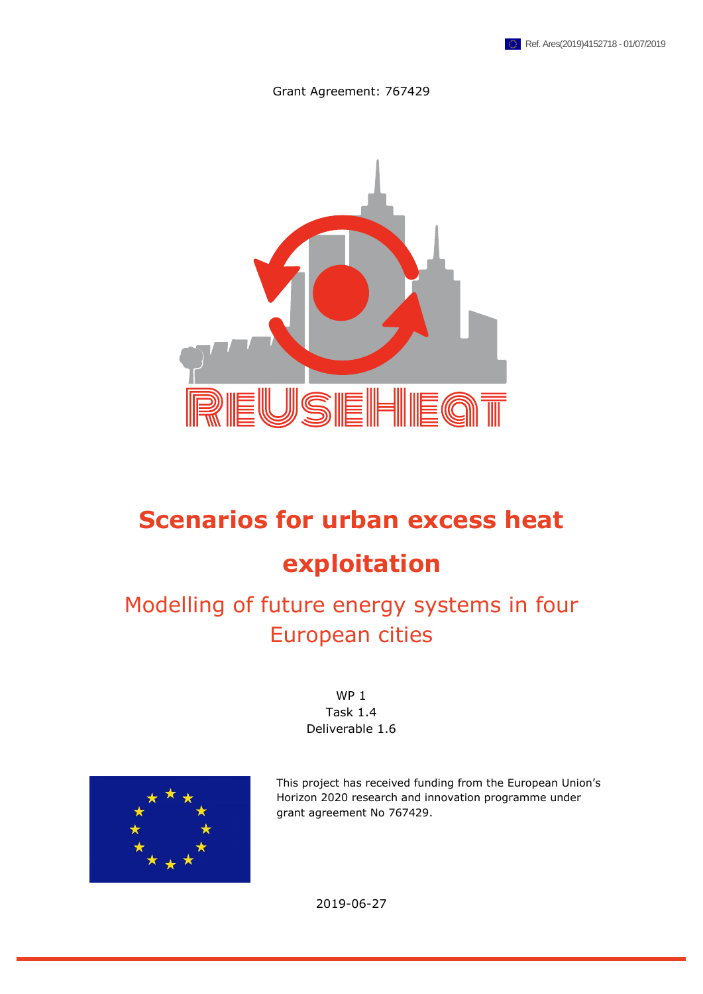

Grant Agreement: 767429



# **Scenarios for urban excess heat exploitation**

Modelling of future energy systems in four European cities

> WP<sub>1</sub> Task 1.4 Deliverable 1.6



This project has received funding from the European Union's Horizon 2020 research and innovation programme under grant agreement No 767429.

2019-06-27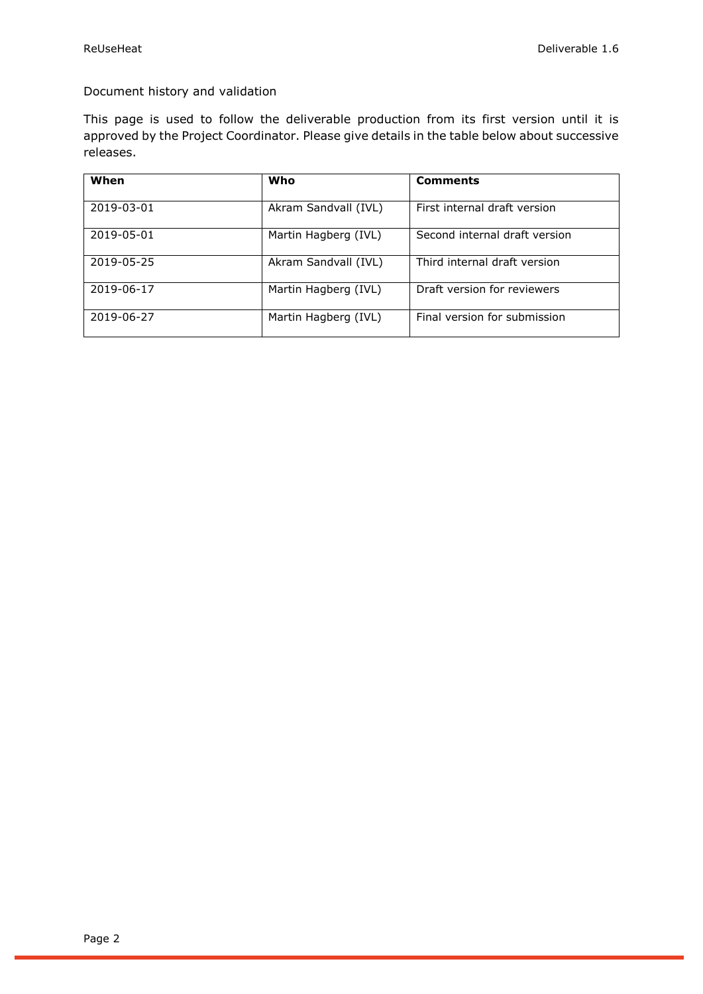#### Document history and validation

This page is used to follow the deliverable production from its first version until it is approved by the Project Coordinator. Please give details in the table below about successive releases.

| When       | Who                  | <b>Comments</b>               |
|------------|----------------------|-------------------------------|
| 2019-03-01 | Akram Sandvall (IVL) | First internal draft version  |
| 2019-05-01 | Martin Hagberg (IVL) | Second internal draft version |
| 2019-05-25 | Akram Sandvall (IVL) | Third internal draft version  |
| 2019-06-17 | Martin Hagberg (IVL) | Draft version for reviewers   |
| 2019-06-27 | Martin Hagberg (IVL) | Final version for submission  |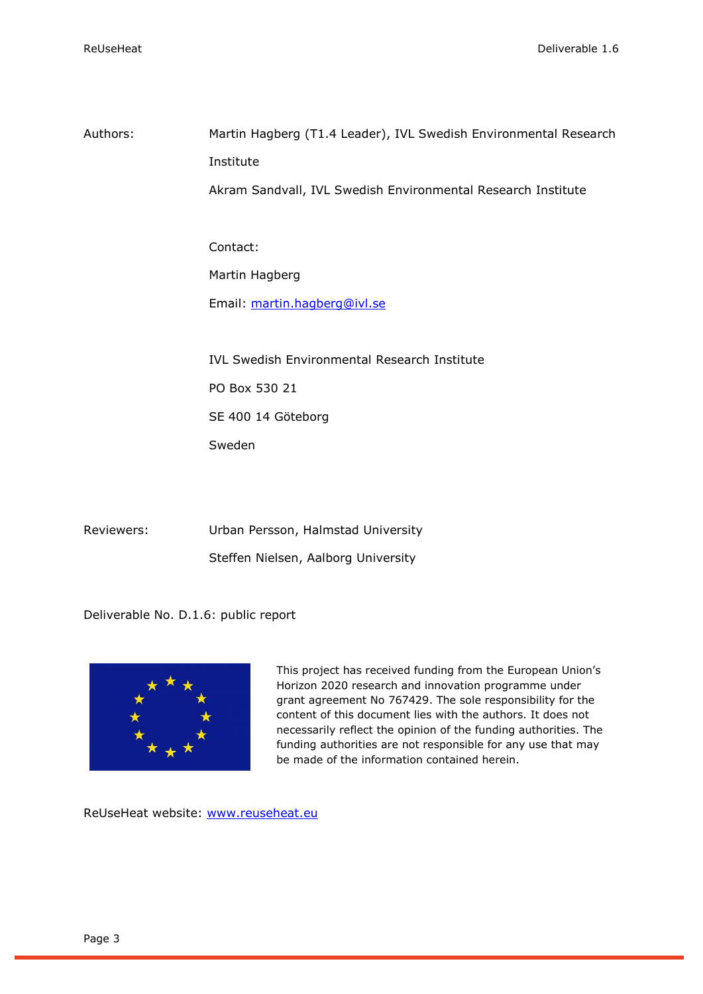Authors: Martin Hagberg (T1.4 Leader), IVL Swedish Environmental Research Institute Akram Sandvall, IVL Swedish Environmental Research Institute Contact: Martin Hagberg Email: [martin.hagberg@ivl.se](mailto:martin.hagberg@ivl.se) IVL Swedish Environmental Research Institute PO Box 530 21 SE 400 14 Göteborg Sweden

Reviewers: Urban Persson, Halmstad University Steffen Nielsen, Aalborg University

Deliverable No. D.1.6: public report



This project has received funding from the European Union's Horizon 2020 research and innovation programme under grant agreement No 767429. The sole responsibility for the content of this document lies with the authors. It does not necessarily reflect the opinion of the funding authorities. The funding authorities are not responsible for any use that may be made of the information contained herein.

ReUseHeat website: [www.reuseheat.eu](http://www.reuseheat.eu/)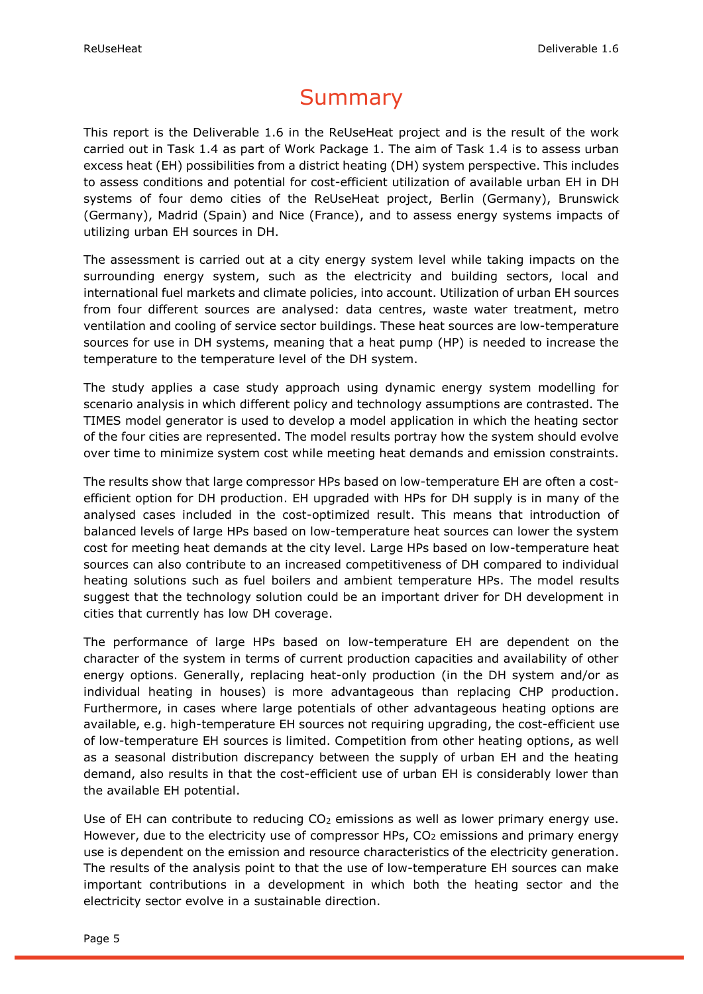## **Summary**

This report is the Deliverable 1.6 in the ReUseHeat project and is the result of the work carried out in Task 1.4 as part of Work Package 1. The aim of Task 1.4 is to assess urban excess heat (EH) possibilities from a district heating (DH) system perspective. This includes to assess conditions and potential for cost-efficient utilization of available urban EH in DH systems of four demo cities of the ReUseHeat project, Berlin (Germany), Brunswick (Germany), Madrid (Spain) and Nice (France), and to assess energy systems impacts of utilizing urban EH sources in DH.

The assessment is carried out at a city energy system level while taking impacts on the surrounding energy system, such as the electricity and building sectors, local and international fuel markets and climate policies, into account. Utilization of urban EH sources from four different sources are analysed: data centres, waste water treatment, metro ventilation and cooling of service sector buildings. These heat sources are low-temperature sources for use in DH systems, meaning that a heat pump (HP) is needed to increase the temperature to the temperature level of the DH system.

The study applies a case study approach using dynamic energy system modelling for scenario analysis in which different policy and technology assumptions are contrasted. The TIMES model generator is used to develop a model application in which the heating sector of the four cities are represented. The model results portray how the system should evolve over time to minimize system cost while meeting heat demands and emission constraints.

The results show that large compressor HPs based on low-temperature EH are often a costefficient option for DH production. EH upgraded with HPs for DH supply is in many of the analysed cases included in the cost-optimized result. This means that introduction of balanced levels of large HPs based on low-temperature heat sources can lower the system cost for meeting heat demands at the city level. Large HPs based on low-temperature heat sources can also contribute to an increased competitiveness of DH compared to individual heating solutions such as fuel boilers and ambient temperature HPs. The model results suggest that the technology solution could be an important driver for DH development in cities that currently has low DH coverage.

The performance of large HPs based on low-temperature EH are dependent on the character of the system in terms of current production capacities and availability of other energy options. Generally, replacing heat-only production (in the DH system and/or as individual heating in houses) is more advantageous than replacing CHP production. Furthermore, in cases where large potentials of other advantageous heating options are available, e.g. high-temperature EH sources not requiring upgrading, the cost-efficient use of low-temperature EH sources is limited. Competition from other heating options, as well as a seasonal distribution discrepancy between the supply of urban EH and the heating demand, also results in that the cost-efficient use of urban EH is considerably lower than the available EH potential.

Use of EH can contribute to reducing CO<sub>2</sub> emissions as well as lower primary energy use. However, due to the electricity use of compressor HPs, CO<sub>2</sub> emissions and primary energy use is dependent on the emission and resource characteristics of the electricity generation. The results of the analysis point to that the use of low-temperature EH sources can make important contributions in a development in which both the heating sector and the electricity sector evolve in a sustainable direction.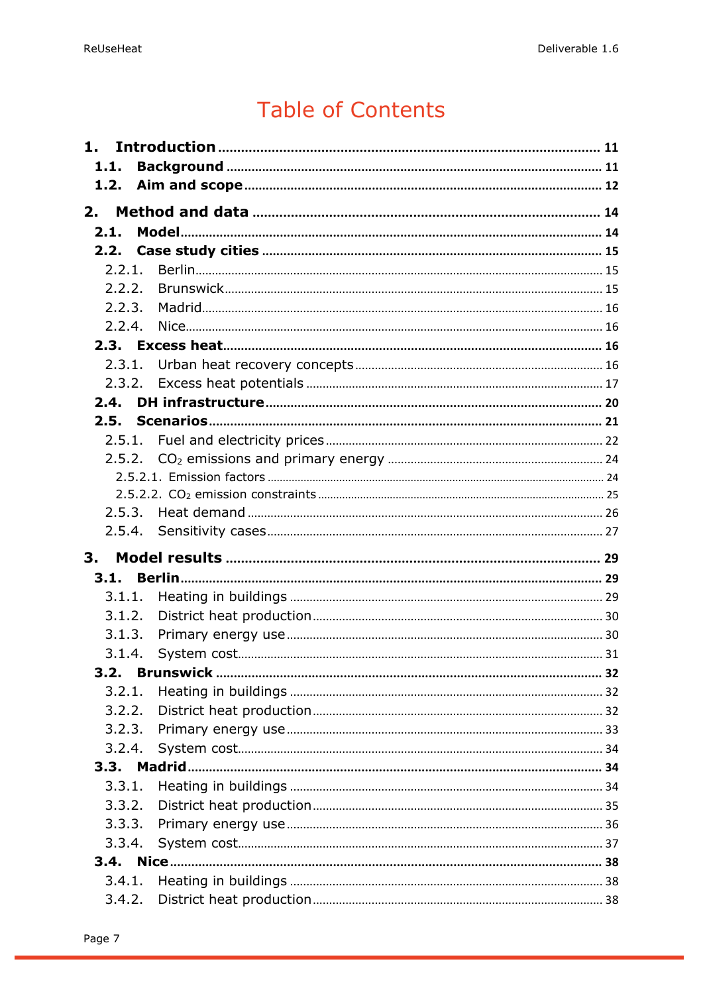## **Table of Contents**

| 1.     |  |
|--------|--|
| 1.1.   |  |
| 1.2.   |  |
| 2.     |  |
| 2.1.   |  |
| 2.2.   |  |
| 2.2.1. |  |
| 2.2.2. |  |
| 2.2.3. |  |
| 2.2.4. |  |
|        |  |
| 2.3.1. |  |
| 2.3.2. |  |
| 2.4.   |  |
| 2.5.   |  |
| 2.5.1. |  |
|        |  |
|        |  |
|        |  |
|        |  |
|        |  |
| 3.     |  |
| 3.1.   |  |
| 3.1.1. |  |
| 3.1.2. |  |
| 3.1.3. |  |
| 3.1.4. |  |
| 3.2.   |  |
| 3.2.1. |  |
| 3.2.2. |  |
| 3.2.3. |  |
| 3.2.4. |  |
|        |  |
| 3.3.1. |  |
| 3.3.2. |  |
| 3.3.3. |  |
| 3.3.4. |  |
|        |  |
| 3.4.1. |  |
| 3.4.2. |  |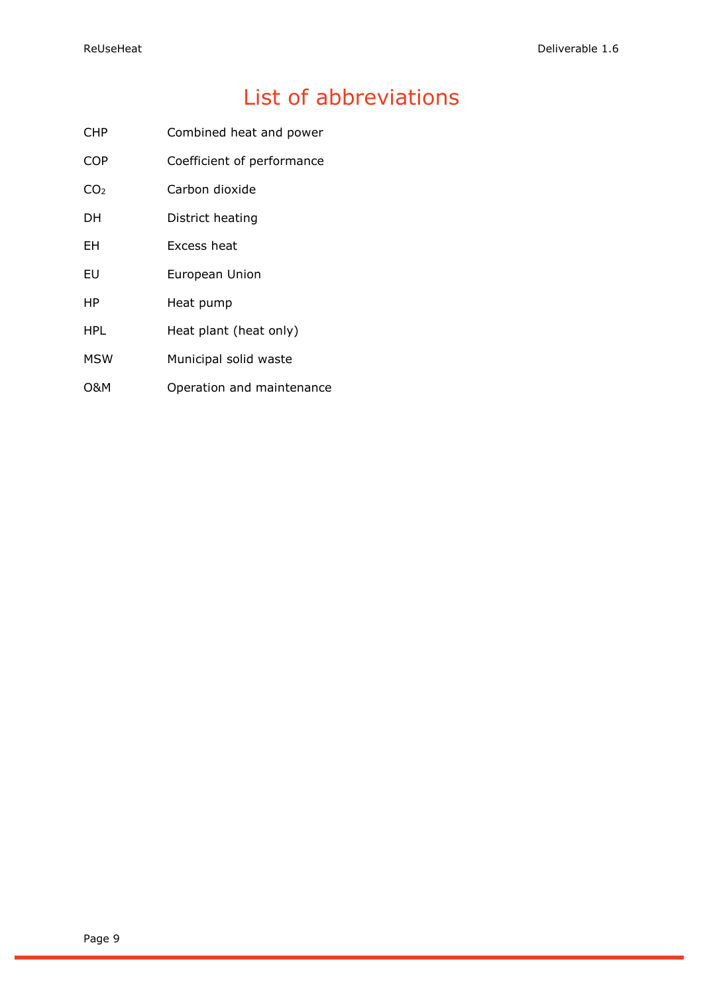## List of abbreviations

| Combined heat and power<br>CHP |  |
|--------------------------------|--|
|--------------------------------|--|

COP Coefficient of performance

- CO<sup>2</sup> Carbon dioxide
- DH District heating
- EH Excess heat
- EU European Union
- HP Heat pump
- HPL Heat plant (heat only)
- MSW Municipal solid waste
- O&M Operation and maintenance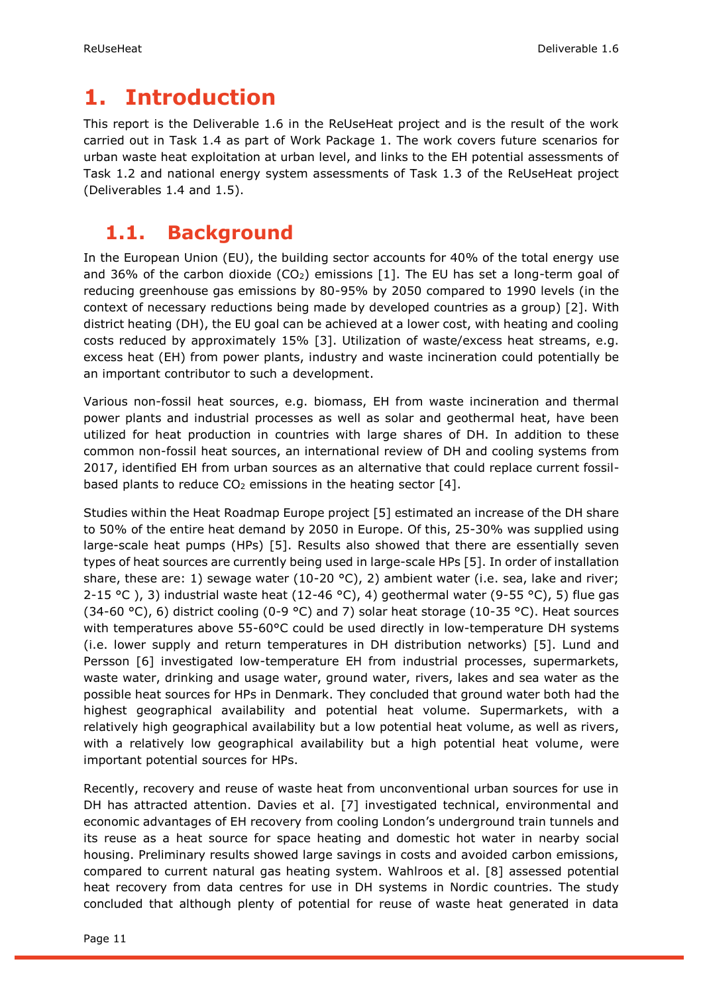## <span id="page-10-0"></span>**1. Introduction**

This report is the Deliverable 1.6 in the ReUseHeat project and is the result of the work carried out in Task 1.4 as part of Work Package 1. The work covers future scenarios for urban waste heat exploitation at urban level, and links to the EH potential assessments of Task 1.2 and national energy system assessments of Task 1.3 of the ReUseHeat project (Deliverables 1.4 and 1.5).

## <span id="page-10-1"></span>**1.1. Background**

In the European Union (EU), the building sector accounts for 40% of the total energy use and 36% of the carbon dioxide (CO<sub>2</sub>) emissions [\[1\]](#page-50-0). The EU has set a long-term goal of reducing greenhouse gas emissions by 80-95% by 2050 compared to 1990 levels (in the context of necessary reductions being made by developed countries as a group) [\[2\]](#page-50-1). With district heating (DH), the EU goal can be achieved at a lower cost, with heating and cooling costs reduced by approximately 15% [\[3\]](#page-50-2). Utilization of waste/excess heat streams, e.g. excess heat (EH) from power plants, industry and waste incineration could potentially be an important contributor to such a development.

Various non-fossil heat sources, e.g. biomass, EH from waste incineration and thermal power plants and industrial processes as well as solar and geothermal heat, have been utilized for heat production in countries with large shares of DH. In addition to these common non-fossil heat sources, an international review of DH and cooling systems from 2017, identified EH from urban sources as an alternative that could replace current fossilbased plants to reduce  $CO<sub>2</sub>$  emissions in the heating sector [\[4\]](#page-50-3).

Studies within the Heat Roadmap Europe project [\[5\]](#page-50-4) estimated an increase of the DH share to 50% of the entire heat demand by 2050 in Europe. Of this, 25-30% was supplied using large-scale heat pumps (HPs) [\[5\]](#page-50-4). Results also showed that there are essentially seven types of heat sources are currently being used in large-scale HPs [\[5\]](#page-50-4). In order of installation share, these are: 1) sewage water (10-20  $\degree$ C), 2) ambient water (i.e. sea, lake and river; 2-15 °C ), 3) industrial waste heat (12-46 °C), 4) geothermal water (9-55 °C), 5) flue gas (34-60 °C), 6) district cooling (0-9 °C) and 7) solar heat storage (10-35 °C). Heat sources with temperatures above 55-60°C could be used directly in low-temperature DH systems (i.e. lower supply and return temperatures in DH distribution networks) [\[5\]](#page-50-4). Lund and Persson [\[6\]](#page-50-5) investigated low-temperature EH from industrial processes, supermarkets, waste water, drinking and usage water, ground water, rivers, lakes and sea water as the possible heat sources for HPs in Denmark. They concluded that ground water both had the highest geographical availability and potential heat volume. Supermarkets, with a relatively high geographical availability but a low potential heat volume, as well as rivers, with a relatively low geographical availability but a high potential heat volume, were important potential sources for HPs.

Recently, recovery and reuse of waste heat from unconventional urban sources for use in DH has attracted attention. Davies et al. [\[7\]](#page-50-6) investigated technical, environmental and economic advantages of EH recovery from cooling London's underground train tunnels and its reuse as a heat source for space heating and domestic hot water in nearby social housing. Preliminary results showed large savings in costs and avoided carbon emissions, compared to current natural gas heating system. Wahlroos et al. [\[8\]](#page-50-7) assessed potential heat recovery from data centres for use in DH systems in Nordic countries. The study concluded that although plenty of potential for reuse of waste heat generated in data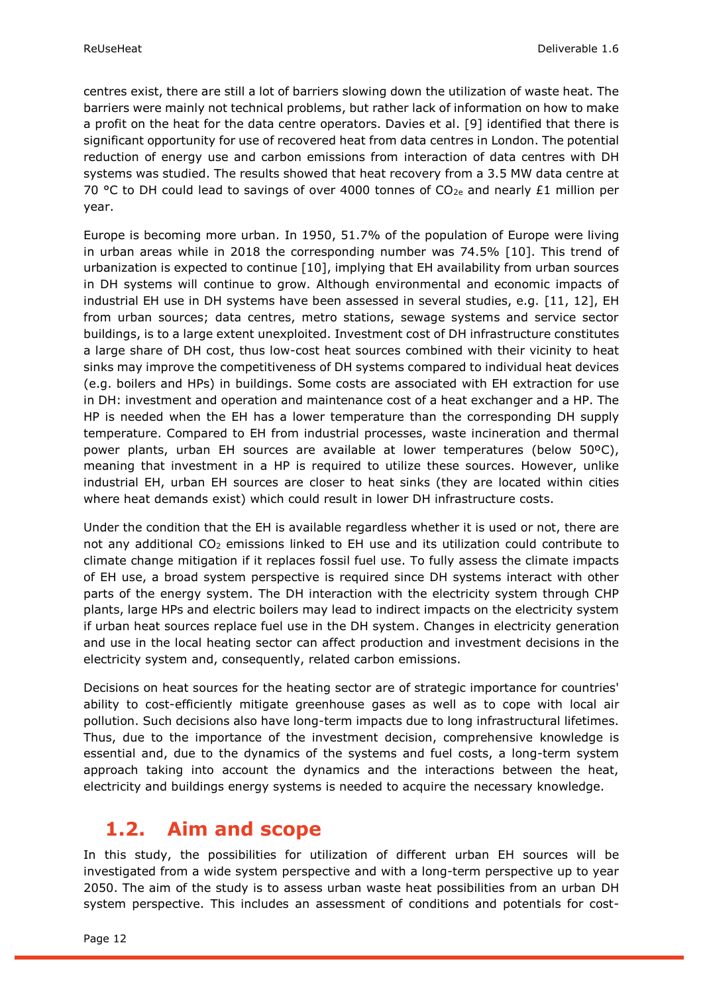centres exist, there are still a lot of barriers slowing down the utilization of waste heat. The barriers were mainly not technical problems, but rather lack of information on how to make a profit on the heat for the data centre operators. Davies et al. [\[9\]](#page-50-8) identified that there is significant opportunity for use of recovered heat from data centres in London. The potential reduction of energy use and carbon emissions from interaction of data centres with DH systems was studied. The results showed that heat recovery from a 3.5 MW data centre at 70 °C to DH could lead to savings of over 4000 tonnes of CO<sub>2e</sub> and nearly £1 million per year.

Europe is becoming more urban. In 1950, 51.7% of the population of Europe were living in urban areas while in 2018 the corresponding number was 74.5% [\[10\]](#page-50-9). This trend of urbanization is expected to continue [\[10\]](#page-50-9), implying that EH availability from urban sources in DH systems will continue to grow. Although environmental and economic impacts of industrial EH use in DH systems have been assessed in several studies, e.g. [\[11,](#page-50-10) [12\]](#page-50-11), EH from urban sources; data centres, metro stations, sewage systems and service sector buildings, is to a large extent unexploited. Investment cost of DH infrastructure constitutes a large share of DH cost, thus low-cost heat sources combined with their vicinity to heat sinks may improve the competitiveness of DH systems compared to individual heat devices (e.g. boilers and HPs) in buildings. Some costs are associated with EH extraction for use in DH: investment and operation and maintenance cost of a heat exchanger and a HP. The HP is needed when the EH has a lower temperature than the corresponding DH supply temperature. Compared to EH from industrial processes, waste incineration and thermal power plants, urban EH sources are available at lower temperatures (below 50ºC), meaning that investment in a HP is required to utilize these sources. However, unlike industrial EH, urban EH sources are closer to heat sinks (they are located within cities where heat demands exist) which could result in lower DH infrastructure costs.

Under the condition that the EH is available regardless whether it is used or not, there are not any additional CO<sub>2</sub> emissions linked to EH use and its utilization could contribute to climate change mitigation if it replaces fossil fuel use. To fully assess the climate impacts of EH use, a broad system perspective is required since DH systems interact with other parts of the energy system. The DH interaction with the electricity system through CHP plants, large HPs and electric boilers may lead to indirect impacts on the electricity system if urban heat sources replace fuel use in the DH system. Changes in electricity generation and use in the local heating sector can affect production and investment decisions in the electricity system and, consequently, related carbon emissions.

Decisions on heat sources for the heating sector are of strategic importance for countries' ability to cost-efficiently mitigate greenhouse gases as well as to cope with local air pollution. Such decisions also have long-term impacts due to long infrastructural lifetimes. Thus, due to the importance of the investment decision, comprehensive knowledge is essential and, due to the dynamics of the systems and fuel costs, a long-term system approach taking into account the dynamics and the interactions between the heat, electricity and buildings energy systems is needed to acquire the necessary knowledge.

### <span id="page-11-0"></span>**1.2. Aim and scope**

In this study, the possibilities for utilization of different urban EH sources will be investigated from a wide system perspective and with a long-term perspective up to year 2050. The aim of the study is to assess urban waste heat possibilities from an urban DH system perspective. This includes an assessment of conditions and potentials for cost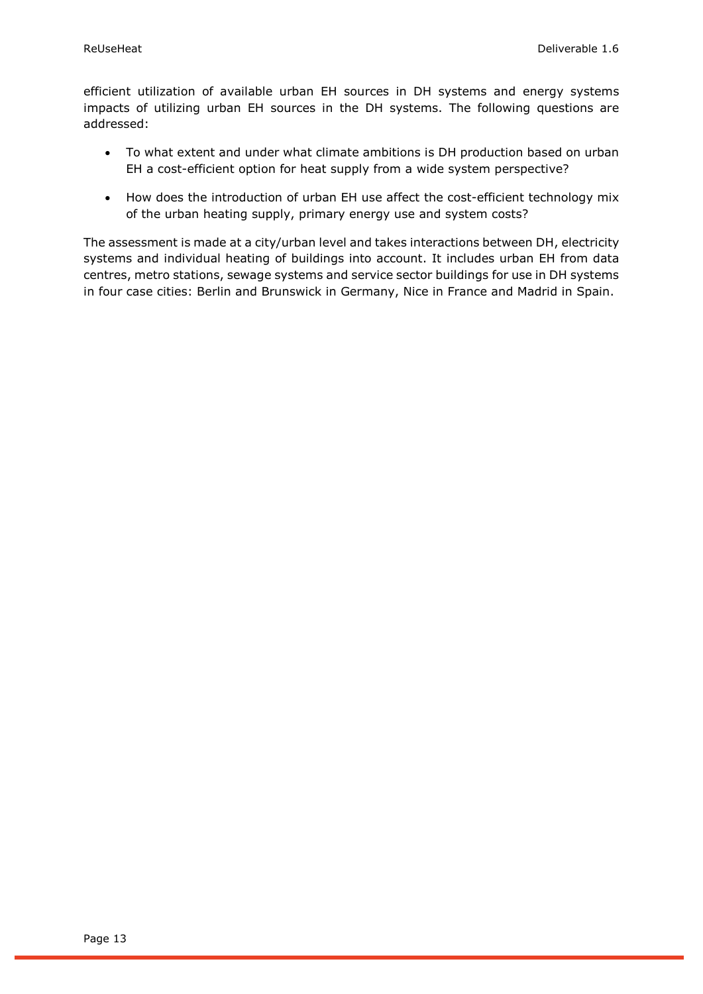efficient utilization of available urban EH sources in DH systems and energy systems impacts of utilizing urban EH sources in the DH systems. The following questions are addressed:

- To what extent and under what climate ambitions is DH production based on urban EH a cost-efficient option for heat supply from a wide system perspective?
- How does the introduction of urban EH use affect the cost-efficient technology mix of the urban heating supply, primary energy use and system costs?

The assessment is made at a city/urban level and takes interactions between DH, electricity systems and individual heating of buildings into account. It includes urban EH from data centres, metro stations, sewage systems and service sector buildings for use in DH systems in four case cities: Berlin and Brunswick in Germany, Nice in France and Madrid in Spain.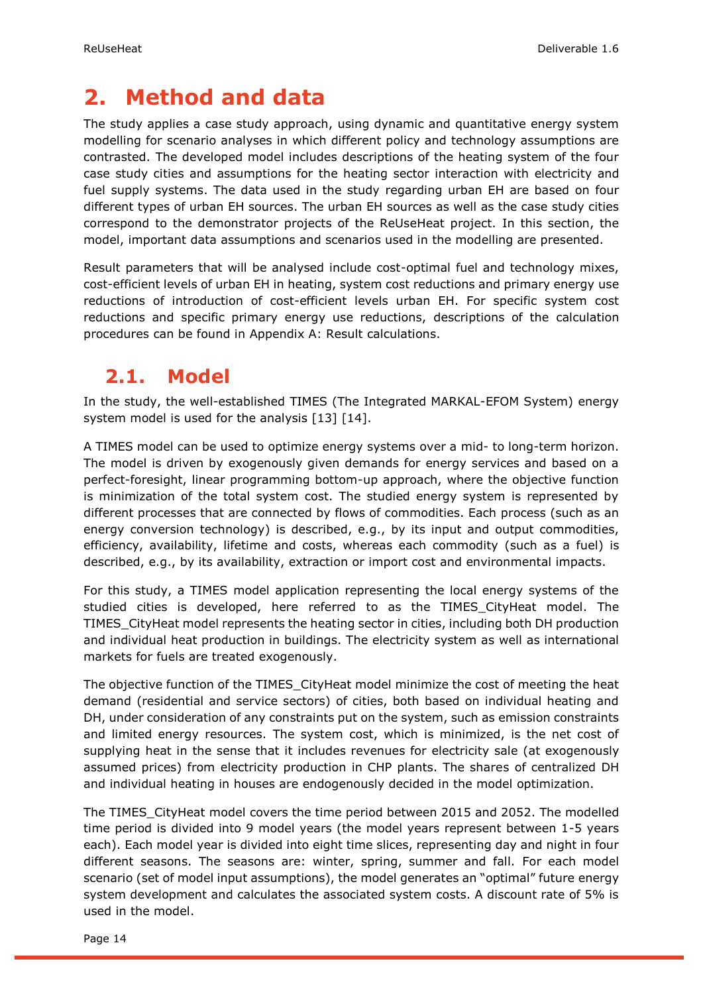## <span id="page-13-0"></span>**2. Method and data**

The study applies a case study approach, using dynamic and quantitative energy system modelling for scenario analyses in which different policy and technology assumptions are contrasted. The developed model includes descriptions of the heating system of the four case study cities and assumptions for the heating sector interaction with electricity and fuel supply systems. The data used in the study regarding urban EH are based on four different types of urban EH sources. The urban EH sources as well as the case study cities correspond to the demonstrator projects of the ReUseHeat project. In this section, the model, important data assumptions and scenarios used in the modelling are presented.

Result parameters that will be analysed include cost-optimal fuel and technology mixes, cost-efficient levels of urban EH in heating, system cost reductions and primary energy use reductions of introduction of cost-efficient levels urban EH. For specific system cost reductions and specific primary energy use reductions, descriptions of the calculation procedures can be found in Appendix [A: Result calculations.](#page-52-0)

### <span id="page-13-1"></span>**2.1. Model**

In the study, the well-established TIMES (The Integrated MARKAL-EFOM System) energy system model is used for the analysis [\[13\]](#page-50-12) [\[14\]](#page-50-13).

A TIMES model can be used to optimize energy systems over a mid- to long-term horizon. The model is driven by exogenously given demands for energy services and based on a perfect-foresight, linear programming bottom-up approach, where the objective function is minimization of the total system cost. The studied energy system is represented by different processes that are connected by flows of commodities. Each process (such as an energy conversion technology) is described, e.g., by its input and output commodities, efficiency, availability, lifetime and costs, whereas each commodity (such as a fuel) is described, e.g., by its availability, extraction or import cost and environmental impacts.

For this study, a TIMES model application representing the local energy systems of the studied cities is developed, here referred to as the TIMES\_CityHeat model. The TIMES\_CityHeat model represents the heating sector in cities, including both DH production and individual heat production in buildings. The electricity system as well as international markets for fuels are treated exogenously.

The objective function of the TIMES\_CityHeat model minimize the cost of meeting the heat demand (residential and service sectors) of cities, both based on individual heating and DH, under consideration of any constraints put on the system, such as emission constraints and limited energy resources. The system cost, which is minimized, is the net cost of supplying heat in the sense that it includes revenues for electricity sale (at exogenously assumed prices) from electricity production in CHP plants. The shares of centralized DH and individual heating in houses are endogenously decided in the model optimization.

The TIMES\_CityHeat model covers the time period between 2015 and 2052. The modelled time period is divided into 9 model years (the model years represent between 1-5 years each). Each model year is divided into eight time slices, representing day and night in four different seasons. The seasons are: winter, spring, summer and fall. For each model scenario (set of model input assumptions), the model generates an "optimal" future energy system development and calculates the associated system costs. A discount rate of 5% is used in the model.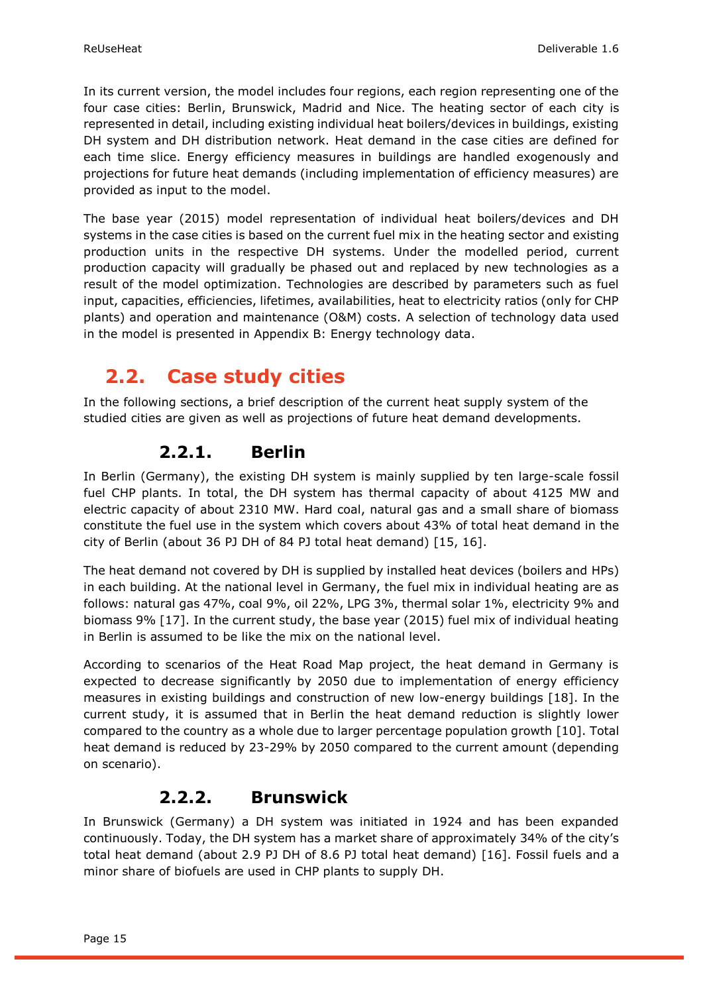In its current version, the model includes four regions, each region representing one of the four case cities: Berlin, Brunswick, Madrid and Nice. The heating sector of each city is represented in detail, including existing individual heat boilers/devices in buildings, existing DH system and DH distribution network. Heat demand in the case cities are defined for each time slice. Energy efficiency measures in buildings are handled exogenously and projections for future heat demands (including implementation of efficiency measures) are provided as input to the model.

The base year (2015) model representation of individual heat boilers/devices and DH systems in the case cities is based on the current fuel mix in the heating sector and existing production units in the respective DH systems. Under the modelled period, current production capacity will gradually be phased out and replaced by new technologies as a result of the model optimization. Technologies are described by parameters such as fuel input, capacities, efficiencies, lifetimes, availabilities, heat to electricity ratios (only for CHP plants) and operation and maintenance (O&M) costs. A selection of technology data used in the model is presented in [Appendix B: Energy technology data.](#page-53-0)

## <span id="page-14-0"></span>**2.2. Case study cities**

In the following sections, a brief description of the current heat supply system of the studied cities are given as well as projections of future heat demand developments.

#### **2.2.1. Berlin**

<span id="page-14-1"></span>In Berlin (Germany), the existing DH system is mainly supplied by ten large-scale fossil fuel CHP plants. In total, the DH system has thermal capacity of about 4125 MW and electric capacity of about 2310 MW. Hard coal, natural gas and a small share of biomass constitute the fuel use in the system which covers about 43% of total heat demand in the city of Berlin (about 36 PJ DH of 84 PJ total heat demand) [\[15,](#page-50-14) [16\]](#page-50-15).

The heat demand not covered by DH is supplied by installed heat devices (boilers and HPs) in each building. At the national level in Germany, the fuel mix in individual heating are as follows: natural gas 47%, coal 9%, oil 22%, LPG 3%, thermal solar 1%, electricity 9% and biomass 9% [\[17\]](#page-50-16). In the current study, the base year (2015) fuel mix of individual heating in Berlin is assumed to be like the mix on the national level.

According to scenarios of the Heat Road Map project, the heat demand in Germany is expected to decrease significantly by 2050 due to implementation of energy efficiency measures in existing buildings and construction of new low-energy buildings [\[18\]](#page-50-17). In the current study, it is assumed that in Berlin the heat demand reduction is slightly lower compared to the country as a whole due to larger percentage population growth [\[10\]](#page-50-9). Total heat demand is reduced by 23-29% by 2050 compared to the current amount (depending on scenario).

#### **2.2.2. Brunswick**

<span id="page-14-2"></span>In Brunswick (Germany) a DH system was initiated in 1924 and has been expanded continuously. Today, the DH system has a market share of approximately 34% of the city's total heat demand (about 2.9 PJ DH of 8.6 PJ total heat demand) [\[16\]](#page-50-15). Fossil fuels and a minor share of biofuels are used in CHP plants to supply DH.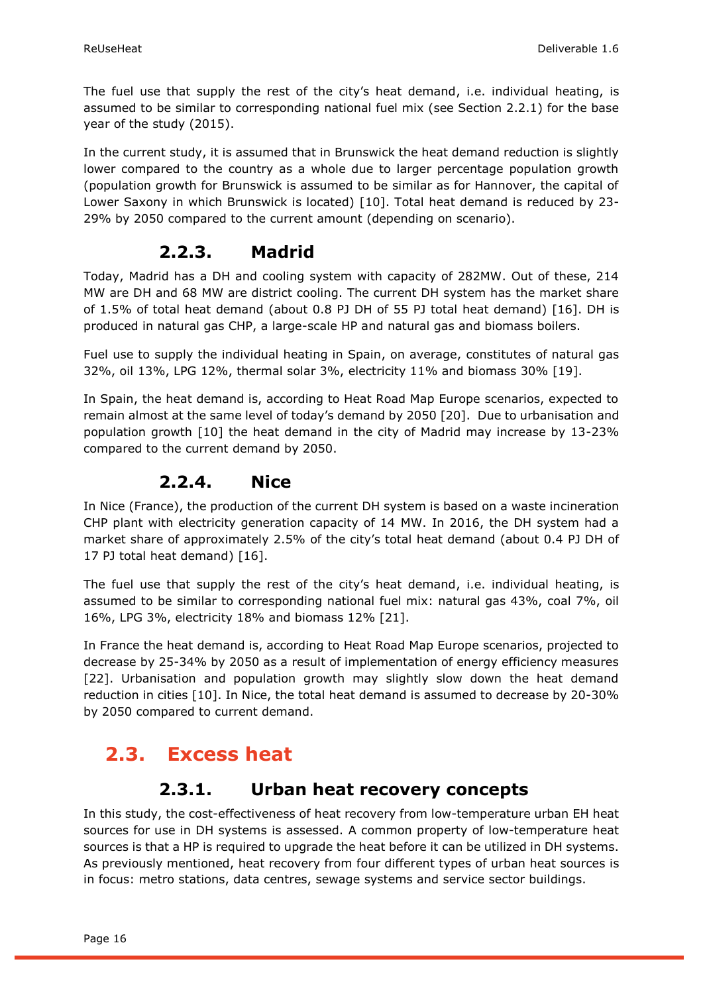The fuel use that supply the rest of the city's heat demand, i.e. individual heating, is assumed to be similar to corresponding national fuel mix (see Section [2.2.1\)](#page-14-1) for the base year of the study (2015).

In the current study, it is assumed that in Brunswick the heat demand reduction is slightly lower compared to the country as a whole due to larger percentage population growth (population growth for Brunswick is assumed to be similar as for Hannover, the capital of Lower Saxony in which Brunswick is located) [\[10\]](#page-50-9). Total heat demand is reduced by 23- 29% by 2050 compared to the current amount (depending on scenario).

#### **2.2.3. Madrid**

<span id="page-15-0"></span>Today, Madrid has a DH and cooling system with capacity of 282MW. Out of these, 214 MW are DH and 68 MW are district cooling. The current DH system has the market share of 1.5% of total heat demand (about 0.8 PJ DH of 55 PJ total heat demand) [\[16\]](#page-50-15). DH is produced in natural gas CHP, a large-scale HP and natural gas and biomass boilers.

Fuel use to supply the individual heating in Spain, on average, constitutes of natural gas 32%, oil 13%, LPG 12%, thermal solar 3%, electricity 11% and biomass 30% [\[19\]](#page-50-18).

In Spain, the heat demand is, according to Heat Road Map Europe scenarios, expected to remain almost at the same level of today's demand by 2050 [\[20\]](#page-50-19). Due to urbanisation and population growth [\[10\]](#page-50-9) the heat demand in the city of Madrid may increase by 13-23% compared to the current demand by 2050.

#### **2.2.4. Nice**

<span id="page-15-1"></span>In Nice (France), the production of the current DH system is based on a waste incineration CHP plant with electricity generation capacity of 14 MW. In 2016, the DH system had a market share of approximately 2.5% of the city's total heat demand (about 0.4 PJ DH of 17 PJ total heat demand) [\[16\]](#page-50-15).

The fuel use that supply the rest of the city's heat demand, i.e. individual heating, is assumed to be similar to corresponding national fuel mix: natural gas 43%, coal 7%, oil 16%, LPG 3%, electricity 18% and biomass 12% [\[21\]](#page-50-20).

In France the heat demand is, according to Heat Road Map Europe scenarios, projected to decrease by 25-34% by 2050 as a result of implementation of energy efficiency measures [\[22\]](#page-50-21). Urbanisation and population growth may slightly slow down the heat demand reduction in cities [\[10\]](#page-50-9). In Nice, the total heat demand is assumed to decrease by 20-30% by 2050 compared to current demand.

### <span id="page-15-2"></span>**2.3. Excess heat**

#### **2.3.1. Urban heat recovery concepts**

<span id="page-15-3"></span>In this study, the cost-effectiveness of heat recovery from low-temperature urban EH heat sources for use in DH systems is assessed. A common property of low-temperature heat sources is that a HP is required to upgrade the heat before it can be utilized in DH systems. As previously mentioned, heat recovery from four different types of urban heat sources is in focus: metro stations, data centres, sewage systems and service sector buildings.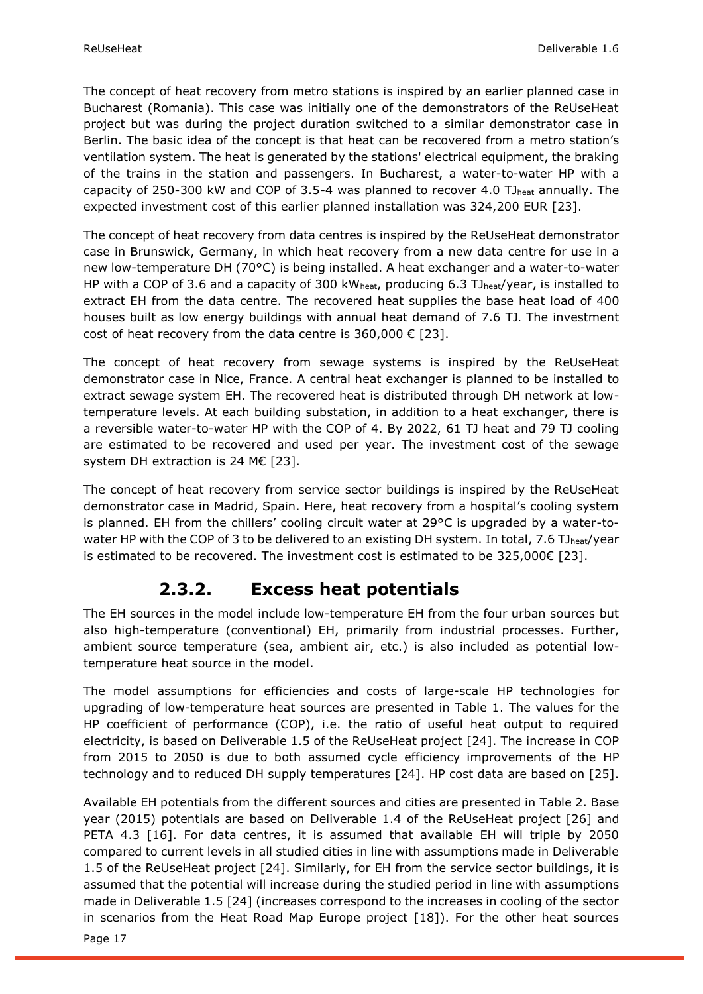The concept of heat recovery from metro stations is inspired by an earlier planned case in Bucharest (Romania). This case was initially one of the demonstrators of the ReUseHeat project but was during the project duration switched to a similar demonstrator case in Berlin. The basic idea of the concept is that heat can be recovered from a metro station's ventilation system. The heat is generated by the stations' electrical equipment, the braking of the trains in the station and passengers. In Bucharest, a water-to-water HP with a capacity of 250-300 kW and COP of 3.5-4 was planned to recover 4.0 TJ<sub>heat</sub> annually. The expected investment cost of this earlier planned installation was 324,200 EUR [\[23\]](#page-50-22).

The concept of heat recovery from data centres is inspired by the ReUseHeat demonstrator case in Brunswick, Germany, in which heat recovery from a new data centre for use in a new low-temperature DH (70°C) is being installed. A heat exchanger and a water-to-water HP with a COP of 3.6 and a capacity of 300 kW<sub>heat</sub>, producing 6.3 TJ<sub>heat</sub>/year, is installed to extract EH from the data centre. The recovered heat supplies the base heat load of 400 houses built as low energy buildings with annual heat demand of 7.6 TJ. The investment cost of heat recovery from the data centre is  $360,000 \in [23]$  $360,000 \in [23]$ .

The concept of heat recovery from sewage systems is inspired by the ReUseHeat demonstrator case in Nice, France. A central heat exchanger is planned to be installed to extract sewage system EH. The recovered heat is distributed through DH network at lowtemperature levels. At each building substation, in addition to a heat exchanger, there is a reversible water-to-water HP with the COP of 4. By 2022, 61 TJ heat and 79 TJ cooling are estimated to be recovered and used per year. The investment cost of the sewage system DH extraction is 24 M€ [\[23\]](#page-50-22).

The concept of heat recovery from service sector buildings is inspired by the ReUseHeat demonstrator case in Madrid, Spain. Here, heat recovery from a hospital's cooling system is planned. EH from the chillers' cooling circuit water at 29°C is upgraded by a water-towater HP with the COP of 3 to be delivered to an existing DH system. In total, 7.6 TJ<sub>heat</sub>/year is estimated to be recovered. The investment cost is estimated to be 325,000€ [\[23\]](#page-50-22).

#### **2.3.2. Excess heat potentials**

<span id="page-16-0"></span>The EH sources in the model include low-temperature EH from the four urban sources but also high-temperature (conventional) EH, primarily from industrial processes. Further, ambient source temperature (sea, ambient air, etc.) is also included as potential lowtemperature heat source in the model.

The model assumptions for efficiencies and costs of large-scale HP technologies for upgrading of low-temperature heat sources are presented in [Table 1.](#page-17-0) The values for the HP coefficient of performance (COP), i.e. the ratio of useful heat output to required electricity, is based on Deliverable 1.5 of the ReUseHeat project [\[24\]](#page-50-23). The increase in COP from 2015 to 2050 is due to both assumed cycle efficiency improvements of the HP technology and to reduced DH supply temperatures [\[24\]](#page-50-23). HP cost data are based on [\[25\]](#page-50-24).

Available EH potentials from the different sources and cities are presented in [Table 2.](#page-17-1) Base year (2015) potentials are based on Deliverable 1.4 of the ReUseHeat project [\[26\]](#page-50-25) and PETA 4.3 [\[16\]](#page-50-15). For data centres, it is assumed that available EH will triple by 2050 compared to current levels in all studied cities in line with assumptions made in Deliverable 1.5 of the ReUseHeat project [\[24\]](#page-50-23). Similarly, for EH from the service sector buildings, it is assumed that the potential will increase during the studied period in line with assumptions made in Deliverable 1.5 [\[24\]](#page-50-23) (increases correspond to the increases in cooling of the sector in scenarios from the Heat Road Map Europe project [\[18\]](#page-50-17)). For the other heat sources

Page 17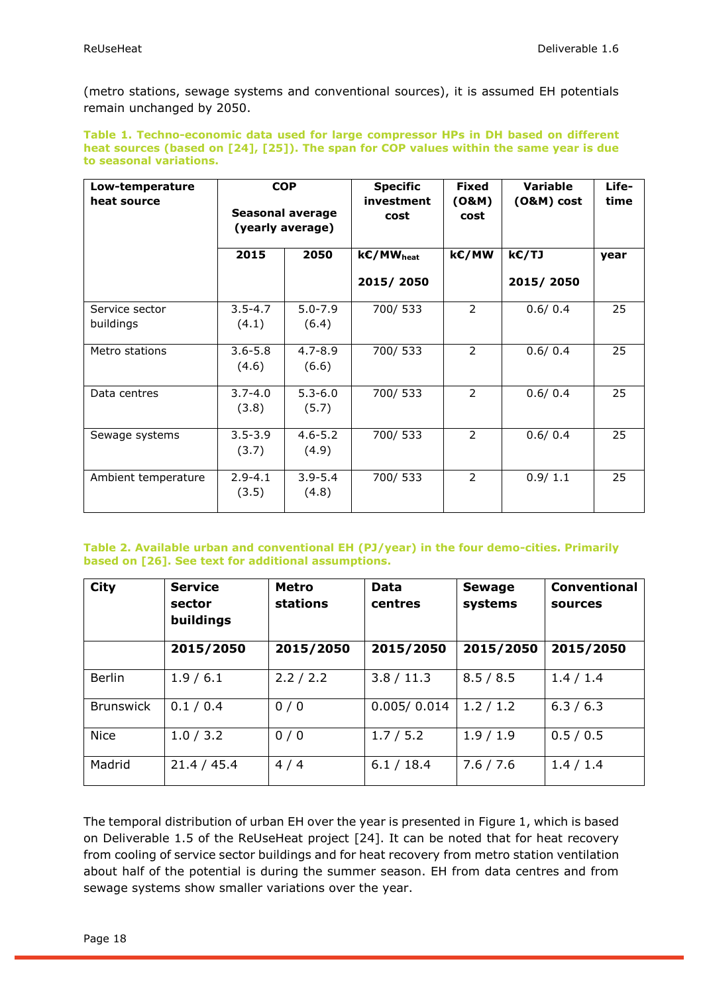(metro stations, sewage systems and conventional sources), it is assumed EH potentials remain unchanged by 2050.

<span id="page-17-0"></span>**Table 1. Techno-economic data used for large compressor HPs in DH based on different heat sources (based on [\[24\]](#page-50-23), [\[25\]](#page-50-24)). The span for COP values within the same year is due to seasonal variations.** 

| Low-temperature<br>heat source |                      | <b>COP</b><br><b>Seasonal average</b><br>(yearly average) | <b>Specific</b><br>investment<br>cost | <b>Fixed</b><br>(0&M)<br>cost | Variable<br>(0&M) cost | Life-<br>time |
|--------------------------------|----------------------|-----------------------------------------------------------|---------------------------------------|-------------------------------|------------------------|---------------|
|                                | 2015                 | 2050                                                      | k€/MW <sub>heat</sub>                 | k€/MW                         | k€/TJ                  | year          |
|                                |                      |                                                           | 2015/2050                             |                               | 2015/2050              |               |
| Service sector<br>buildings    | $3.5 - 4.7$<br>(4.1) | $5.0 - 7.9$<br>(6.4)                                      | 700/533                               | $\overline{2}$                | 0.6/0.4                | 25            |
| Metro stations                 | $3.6 - 5.8$<br>(4.6) | $4.7 - 8.9$<br>(6.6)                                      | 700/533                               | $\overline{2}$                | 0.6/0.4                | 25            |
| Data centres                   | $3.7 - 4.0$<br>(3.8) | $5.3 - 6.0$<br>(5.7)                                      | 700/533                               | $\overline{2}$                | 0.6/0.4                | 25            |
| Sewage systems                 | $3.5 - 3.9$<br>(3.7) | $4.6 - 5.2$<br>(4.9)                                      | 700/533                               | $\overline{2}$                | 0.6/0.4                | 25            |
| Ambient temperature            | $2.9 - 4.1$<br>(3.5) | $3.9 - 5.4$<br>(4.8)                                      | 700/533                               | 2                             | 0.9/1.1                | 25            |

#### <span id="page-17-1"></span>**Table 2. Available urban and conventional EH (PJ/year) in the four demo-cities. Primarily based on [\[26\]](#page-50-25). See text for additional assumptions.**

| <b>City</b>      | <b>Service</b><br>sector<br>buildings | <b>Metro</b><br><b>stations</b> | Data<br>centres | <b>Sewage</b><br>systems | <b>Conventional</b><br>sources |
|------------------|---------------------------------------|---------------------------------|-----------------|--------------------------|--------------------------------|
|                  | 2015/2050                             | 2015/2050                       | 2015/2050       | 2015/2050                | 2015/2050                      |
| <b>Berlin</b>    | 1.9/6.1                               | 2.2 / 2.2                       | 3.8 / 11.3      | 8.5 / 8.5                | 1.4 / 1.4                      |
| <b>Brunswick</b> | 0.1 / 0.4                             | 0/0                             | 0.005/0.014     | 1.2 / 1.2                | 6.3 / 6.3                      |
| <b>Nice</b>      | 1.0 / 3.2                             | 0/0                             | 1.7 / 5.2       | 1.9/1.9                  | 0.5 / 0.5                      |
| Madrid           | 21.4 / 45.4                           | 4/4                             | 6.1 / 18.4      | 7.6 / 7.6                | 1.4 / 1.4                      |

The temporal distribution of urban EH over the year is presented in [Figure 1,](#page-18-0) which is based on Deliverable 1.5 of the ReUseHeat project [\[24\]](#page-50-23). It can be noted that for heat recovery from cooling of service sector buildings and for heat recovery from metro station ventilation about half of the potential is during the summer season. EH from data centres and from sewage systems show smaller variations over the year.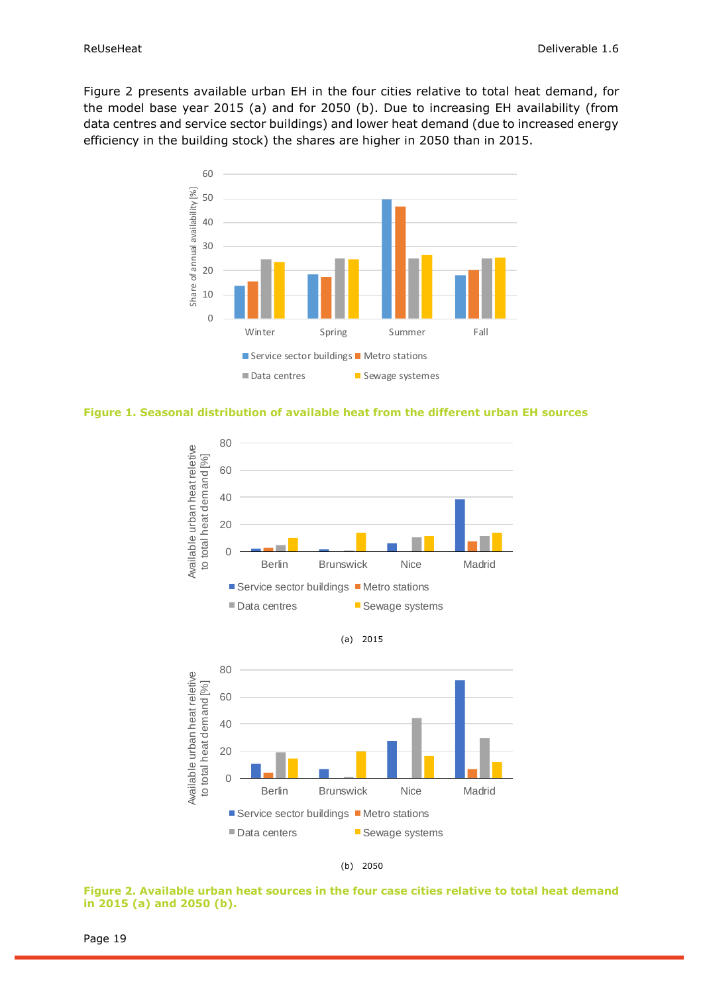[Figure 2](#page-18-1) presents available urban EH in the four cities relative to total heat demand, for the model base year 2015 (a) and for 2050 (b). Due to increasing EH availability (from data centres and service sector buildings) and lower heat demand (due to increased energy efficiency in the building stock) the shares are higher in 2050 than in 2015.



<span id="page-18-0"></span>**Figure 1. Seasonal distribution of available heat from the different urban EH sources**





<span id="page-18-1"></span>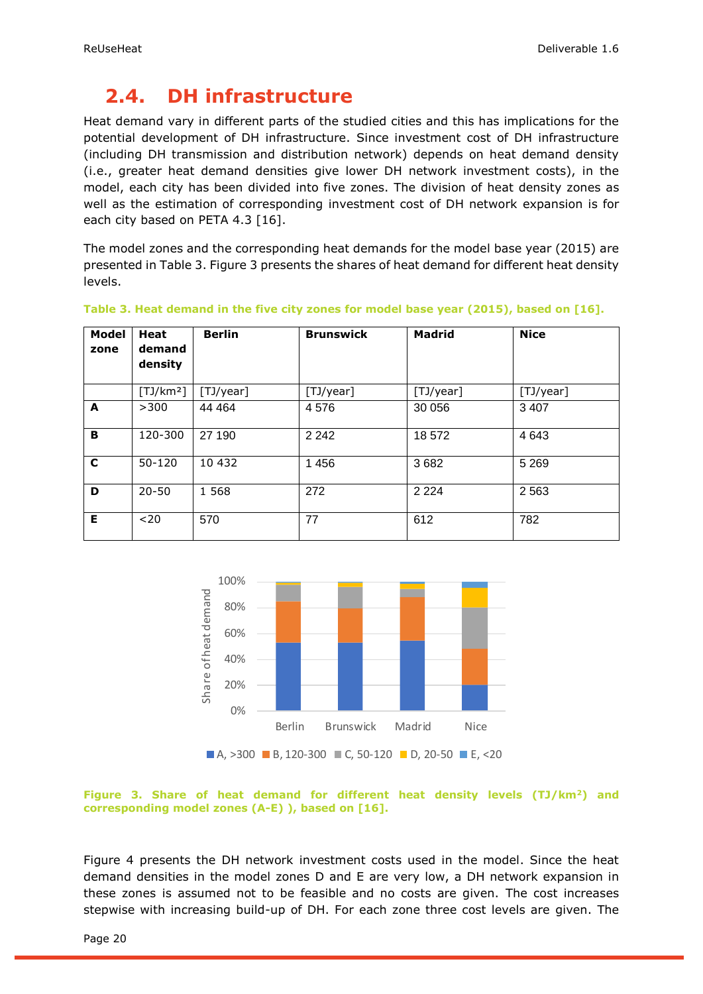## <span id="page-19-0"></span>**2.4. DH infrastructure**

Heat demand vary in different parts of the studied cities and this has implications for the potential development of DH infrastructure. Since investment cost of DH infrastructure (including DH transmission and distribution network) depends on heat demand density (i.e., greater heat demand densities give lower DH network investment costs), in the model, each city has been divided into five zones. The division of heat density zones as well as the estimation of corresponding investment cost of DH network expansion is for each city based on PETA 4.3 [\[16\]](#page-50-15).

The model zones and the corresponding heat demands for the model base year (2015) are presented in [Table 3.](#page-19-1) [Figure 3](#page-19-2) presents the shares of heat demand for different heat density levels.

| <b>Model</b><br>zone | Heat<br>demand<br>density | <b>Berlin</b> | <b>Brunswick</b> | <b>Madrid</b> | <b>Nice</b> |
|----------------------|---------------------------|---------------|------------------|---------------|-------------|
|                      | [TJ/km <sup>2</sup> ]     | [TJ/year]     | [TJ/year]        | [TJ/year]     | [TJ/year]   |
| A                    | >300                      | 44 4 64       | 4576             | 30 056        | 3 4 0 7     |
| В                    | 120-300                   | 27 190        | 2 2 4 2          | 18 572        | 4 6 4 3     |
| C                    | 50-120                    | 10 432        | 1456             | 3682          | 5 2 6 9     |
| D                    | $20 - 50$                 | 1 5 6 8       | 272              | 2 2 2 4       | 2 5 6 3     |
| E.                   | $20$                      | 570           | 77               | 612           | 782         |

<span id="page-19-1"></span>

|  | Table 3. Heat demand in the five city zones for model base year (2015), based on [16]. |  |  |  |  |  |  |
|--|----------------------------------------------------------------------------------------|--|--|--|--|--|--|
|  |                                                                                        |  |  |  |  |  |  |



<span id="page-19-2"></span>**Figure 3. Share of heat demand for different heat density levels (TJ/km<sup>2</sup>) and corresponding model zones (A-E) ), based on [\[16\]](#page-50-15).**

[Figure 4](#page-20-1) presents the DH network investment costs used in the model. Since the heat demand densities in the model zones D and E are very low, a DH network expansion in these zones is assumed not to be feasible and no costs are given. The cost increases stepwise with increasing build-up of DH. For each zone three cost levels are given. The

Page 20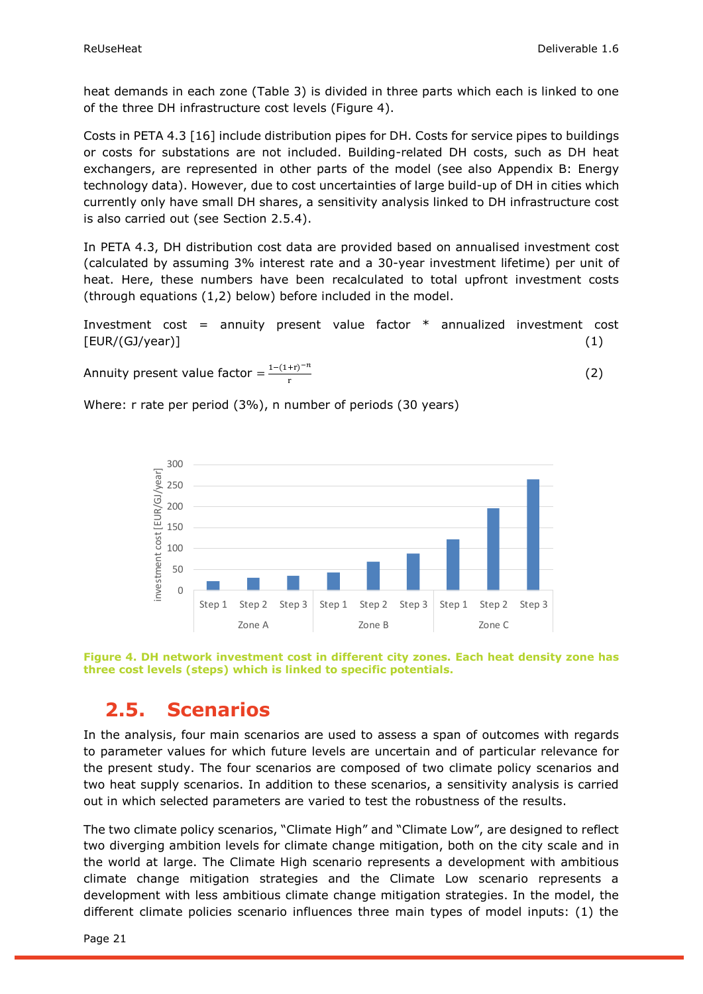heat demands in each zone [\(Table 3\)](#page-19-1) is divided in three parts which each is linked to one of the three DH infrastructure cost levels [\(Figure 4\)](#page-20-1).

Costs in PETA 4.3 [\[16\]](#page-50-15) include distribution pipes for DH. Costs for service pipes to buildings or costs for substations are not included. Building-related DH costs, such as DH heat exchangers, are represented in other parts of the model (see also [Appendix B: Energy](#page-53-0)  [technology data\)](#page-53-0). However, due to cost uncertainties of large build-up of DH in cities which currently only have small DH shares, a sensitivity analysis linked to DH infrastructure cost is also carried out (see Section [2.5.4\)](#page-26-0).

In PETA 4.3, DH distribution cost data are provided based on annualised investment cost (calculated by assuming 3% interest rate and a 30-year investment lifetime) per unit of heat. Here, these numbers have been recalculated to total upfront investment costs (through equations (1,2) below) before included in the model.

Investment cost = annuity present value factor \* annualized investment cost  $[EUR/(GJ/year)]$  (1)

Annuity present value factor =  $\frac{1-(1+r)^{-n}}{n}$ r (2)

Where: r rate per period (3%), n number of periods (30 years)



<span id="page-20-1"></span>

## <span id="page-20-0"></span>**2.5. Scenarios**

In the analysis, four main scenarios are used to assess a span of outcomes with regards to parameter values for which future levels are uncertain and of particular relevance for the present study. The four scenarios are composed of two climate policy scenarios and two heat supply scenarios. In addition to these scenarios, a sensitivity analysis is carried out in which selected parameters are varied to test the robustness of the results.

The two climate policy scenarios, "Climate High" and "Climate Low", are designed to reflect two diverging ambition levels for climate change mitigation, both on the city scale and in the world at large. The Climate High scenario represents a development with ambitious climate change mitigation strategies and the Climate Low scenario represents a development with less ambitious climate change mitigation strategies. In the model, the different climate policies scenario influences three main types of model inputs: (1) the

Page 21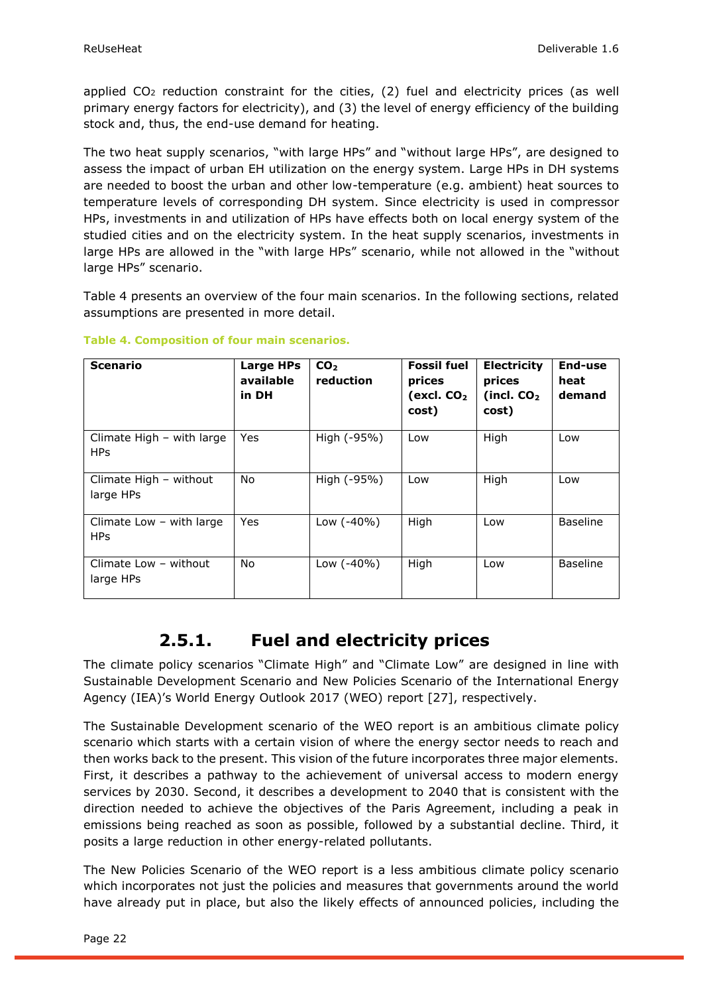applied CO<sub>2</sub> reduction constraint for the cities, (2) fuel and electricity prices (as well primary energy factors for electricity), and (3) the level of energy efficiency of the building stock and, thus, the end-use demand for heating.

The two heat supply scenarios, "with large HPs" and "without large HPs", are designed to assess the impact of urban EH utilization on the energy system. Large HPs in DH systems are needed to boost the urban and other low-temperature (e.g. ambient) heat sources to temperature levels of corresponding DH system. Since electricity is used in compressor HPs, investments in and utilization of HPs have effects both on local energy system of the studied cities and on the electricity system. In the heat supply scenarios, investments in large HPs are allowed in the "with large HPs" scenario, while not allowed in the "without large HPs" scenario.

[Table 4](#page-21-1) presents an overview of the four main scenarios. In the following sections, related assumptions are presented in more detail.

| <b>Scenario</b>                          | Large HPs<br>available<br>in DH | CO <sub>2</sub><br>reduction | <b>Fossil fuel</b><br>prices<br>(excl. $CO2$<br>cost) | <b>Electricity</b><br>prices<br>(incl. $CO2$<br>cost) | End-use<br>heat<br>demand |
|------------------------------------------|---------------------------------|------------------------------|-------------------------------------------------------|-------------------------------------------------------|---------------------------|
| Climate High - with large<br><b>HPs</b>  | <b>Yes</b>                      | High (-95%)                  | Low                                                   | High                                                  | Low                       |
| Climate High - without<br>large HPs      | No.                             | High (-95%)                  | Low                                                   | High                                                  | Low                       |
| Climate Low $-$ with large<br><b>HPs</b> | Yes                             | Low $(-40\%)$                | High                                                  | Low                                                   | <b>Baseline</b>           |
| Climate Low - without<br>large HPs       | No.                             | Low $(-40\%)$                | High                                                  | Low                                                   | <b>Baseline</b>           |

<span id="page-21-1"></span>**Table 4. Composition of four main scenarios.**

#### **2.5.1. Fuel and electricity prices**

<span id="page-21-0"></span>The climate policy scenarios "Climate High" and "Climate Low" are designed in line with Sustainable Development Scenario and New Policies Scenario of the International Energy Agency (IEA)'s World Energy Outlook 2017 (WEO) report [\[27\]](#page-51-0), respectively.

The Sustainable Development scenario of the WEO report is an ambitious climate policy scenario which starts with a certain vision of where the energy sector needs to reach and then works back to the present. This vision of the future incorporates three major elements. First, it describes a pathway to the achievement of universal access to modern energy services by 2030. Second, it describes a development to 2040 that is consistent with the direction needed to achieve the objectives of the Paris Agreement, including a peak in emissions being reached as soon as possible, followed by a substantial decline. Third, it posits a large reduction in other energy-related pollutants.

The New Policies Scenario of the WEO report is a less ambitious climate policy scenario which incorporates not just the policies and measures that governments around the world have already put in place, but also the likely effects of announced policies, including the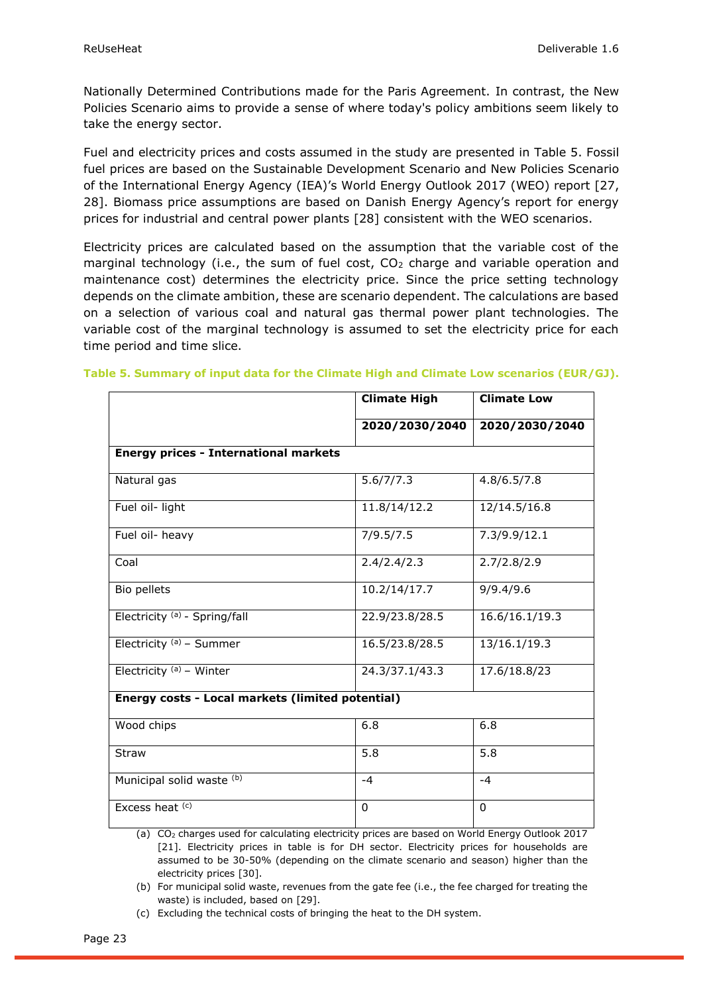Nationally Determined Contributions made for the Paris Agreement. In contrast, the New Policies Scenario aims to provide a sense of where today's policy ambitions seem likely to take the energy sector.

Fuel and electricity prices and costs assumed in the study are presented in [Table 5.](#page-22-0) Fossil fuel prices are based on the Sustainable Development Scenario and New Policies Scenario of the International Energy Agency (IEA)'s World Energy Outlook 2017 (WEO) report [\[27,](#page-51-0) [28\]](#page-51-1). Biomass price assumptions are based on Danish Energy Agency's report for energy prices for industrial and central power plants [\[28\]](#page-51-1) consistent with the WEO scenarios.

Electricity prices are calculated based on the assumption that the variable cost of the marginal technology (i.e., the sum of fuel cost, CO<sub>2</sub> charge and variable operation and maintenance cost) determines the electricity price. Since the price setting technology depends on the climate ambition, these are scenario dependent. The calculations are based on a selection of various coal and natural gas thermal power plant technologies. The variable cost of the marginal technology is assumed to set the electricity price for each time period and time slice.

|                                                  | <b>Climate High</b> | <b>Climate Low</b> |
|--------------------------------------------------|---------------------|--------------------|
|                                                  | 2020/2030/2040      | 2020/2030/2040     |
| <b>Energy prices - International markets</b>     |                     |                    |
| Natural gas                                      | 5.6/7/7.3           | 4.8/6.5/7.8        |
| Fuel oil- light                                  | 11.8/14/12.2        | 12/14.5/16.8       |
| Fuel oil- heavy                                  | 7/9.5/7.5           | 7.3/9.9/12.1       |
| Coal                                             | 2.4/2.4/2.3         | 2.7/2.8/2.9        |
| Bio pellets                                      | 10.2/14/17.7        | 9/9.4/9.6          |
| Electricity (a) - Spring/fall                    | 22.9/23.8/28.5      | 16.6/16.1/19.3     |
| Electricity <sup>(a)</sup> - Summer              | 16.5/23.8/28.5      | 13/16.1/19.3       |
| Electricity <sup>(a)</sup> - Winter              | 24.3/37.1/43.3      | 17.6/18.8/23       |
| Energy costs - Local markets (limited potential) |                     |                    |
| Wood chips                                       | 6.8                 | 6.8                |
| <b>Straw</b>                                     | 5.8                 | 5.8                |
| Municipal solid waste (b)                        | $-4$                | $-4$               |
| Excess heat (c)                                  | $\Omega$            | $\Omega$           |

#### <span id="page-22-0"></span>**Table 5. Summary of input data for the Climate High and Climate Low scenarios (EUR/GJ).**

(a) CO<sup>2</sup> charges used for calculating electricity prices are based on World Energy Outlook 2017 [21]. Electricity prices in table is for DH sector. Electricity prices for households are assumed to be 30-50% (depending on the climate scenario and season) higher than the electricity prices [\[30\]](#page-51-2).

(b) For municipal solid waste, revenues from the gate fee (i.e., the fee charged for treating the waste) is included, based on [\[29\]](#page-51-3).

(c) Excluding the technical costs of bringing the heat to the DH system.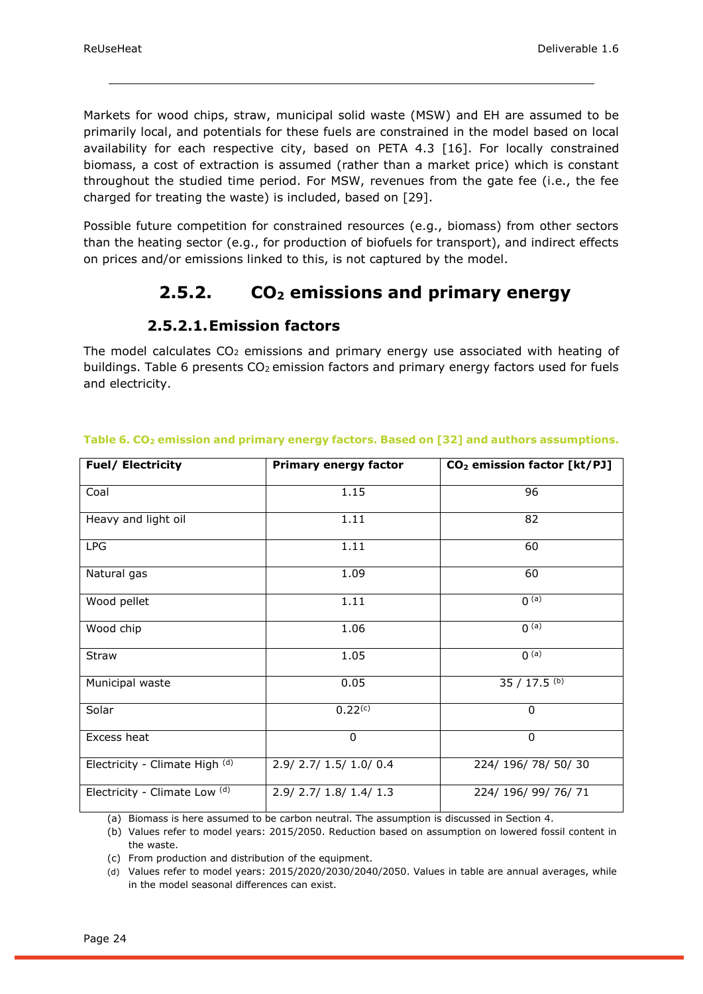Markets for wood chips, straw, municipal solid waste (MSW) and EH are assumed to be primarily local, and potentials for these fuels are constrained in the model based on local availability for each respective city, based on PETA 4.3 [\[16\]](#page-50-15). For locally constrained biomass, a cost of extraction is assumed (rather than a market price) which is constant throughout the studied time period. For MSW, revenues from the gate fee (i.e., the fee charged for treating the waste) is included, based on [\[29\]](#page-51-3).

<span id="page-23-0"></span>Possible future competition for constrained resources (e.g., biomass) from other sectors than the heating sector (e.g., for production of biofuels for transport), and indirect effects on prices and/or emissions linked to this, is not captured by the model.

#### **2.5.2. CO<sup>2</sup> emissions and primary energy**

#### **2.5.2.1.Emission factors**

<span id="page-23-1"></span>The model calculates  $CO<sub>2</sub>$  emissions and primary energy use associated with heating of buildings. [Table 6](#page-23-2) presents CO<sub>2</sub> emission factors and primary energy factors used for fuels and electricity.

| <b>Fuel/ Electricity</b>       | <b>Primary energy factor</b> | CO <sub>2</sub> emission factor [kt/PJ] |  |  |
|--------------------------------|------------------------------|-----------------------------------------|--|--|
| Coal                           | 1.15                         | 96                                      |  |  |
| Heavy and light oil            | 1.11                         | 82                                      |  |  |
| <b>LPG</b>                     | 1.11                         | 60                                      |  |  |
| Natural gas                    | 1.09                         | 60                                      |  |  |
| Wood pellet                    | 1.11                         | $\overline{0}$ (a)                      |  |  |
| Wood chip                      | 1.06                         | $0^{(a)}$                               |  |  |
| <b>Straw</b>                   | 1.05                         | $0^{(a)}$                               |  |  |
| Municipal waste                | 0.05                         | $35 / 17.5$ <sup>(b)</sup>              |  |  |
| Solar                          | $0.22^{(c)}$                 | $\Omega$                                |  |  |
| Excess heat                    | 0                            | 0                                       |  |  |
| Electricity - Climate High (d) | 2.9/ 2.7/ 1.5/ 1.0/ 0.4      | 224/ 196/ 78/ 50/ 30                    |  |  |
| Electricity - Climate Low (d)  | 2.9/ 2.7/ 1.8/ 1.4/ 1.3      | 224/ 196/ 99/ 76/ 71                    |  |  |

#### <span id="page-23-2"></span>**Table 6. CO<sup>2</sup> emission and primary energy factors. Based on [\[32\]](#page-51-4) and authors assumptions.**

(a) Biomass is here assumed to be carbon neutral. The assumption is discussed in Section [4.](#page-45-0)

(b) Values refer to model years: 2015/2050. Reduction based on assumption on lowered fossil content in the waste.

(c) From production and distribution of the equipment.

(d) Values refer to model years: 2015/2020/2030/2040/2050. Values in table are annual averages, while in the model seasonal differences can exist.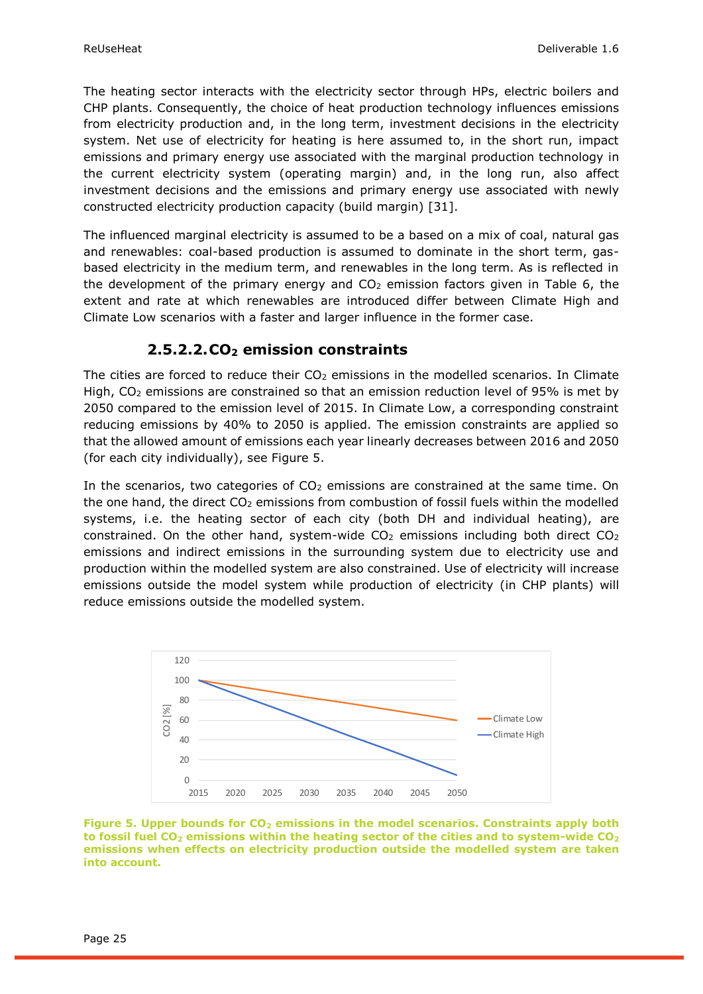The heating sector interacts with the electricity sector through HPs, electric boilers and CHP plants. Consequently, the choice of heat production technology influences emissions from electricity production and, in the long term, investment decisions in the electricity system. Net use of electricity for heating is here assumed to, in the short run, impact emissions and primary energy use associated with the marginal production technology in the current electricity system (operating margin) and, in the long run, also affect investment decisions and the emissions and primary energy use associated with newly constructed electricity production capacity (build margin) [\[31\]](#page-51-5).

The influenced marginal electricity is assumed to be a based on a mix of coal, natural gas and renewables: coal-based production is assumed to dominate in the short term, gasbased electricity in the medium term, and renewables in the long term. As is reflected in the development of the primary energy and  $CO<sub>2</sub>$  emission factors given in [Table 6,](#page-23-2) the extent and rate at which renewables are introduced differ between Climate High and Climate Low scenarios with a faster and larger influence in the former case.

#### **2.5.2.2.CO<sup>2</sup> emission constraints**

<span id="page-24-0"></span>The cities are forced to reduce their  $CO<sub>2</sub>$  emissions in the modelled scenarios. In Climate High, CO<sup>2</sup> emissions are constrained so that an emission reduction level of 95% is met by 2050 compared to the emission level of 2015. In Climate Low, a corresponding constraint reducing emissions by 40% to 2050 is applied. The emission constraints are applied so that the allowed amount of emissions each year linearly decreases between 2016 and 2050 (for each city individually), see [Figure 5.](#page-24-1)

In the scenarios, two categories of  $CO<sub>2</sub>$  emissions are constrained at the same time. On the one hand, the direct  $CO<sub>2</sub>$  emissions from combustion of fossil fuels within the modelled systems, i.e. the heating sector of each city (both DH and individual heating), are constrained. On the other hand, system-wide  $CO<sub>2</sub>$  emissions including both direct  $CO<sub>2</sub>$ emissions and indirect emissions in the surrounding system due to electricity use and production within the modelled system are also constrained. Use of electricity will increase emissions outside the model system while production of electricity (in CHP plants) will reduce emissions outside the modelled system.



<span id="page-24-1"></span>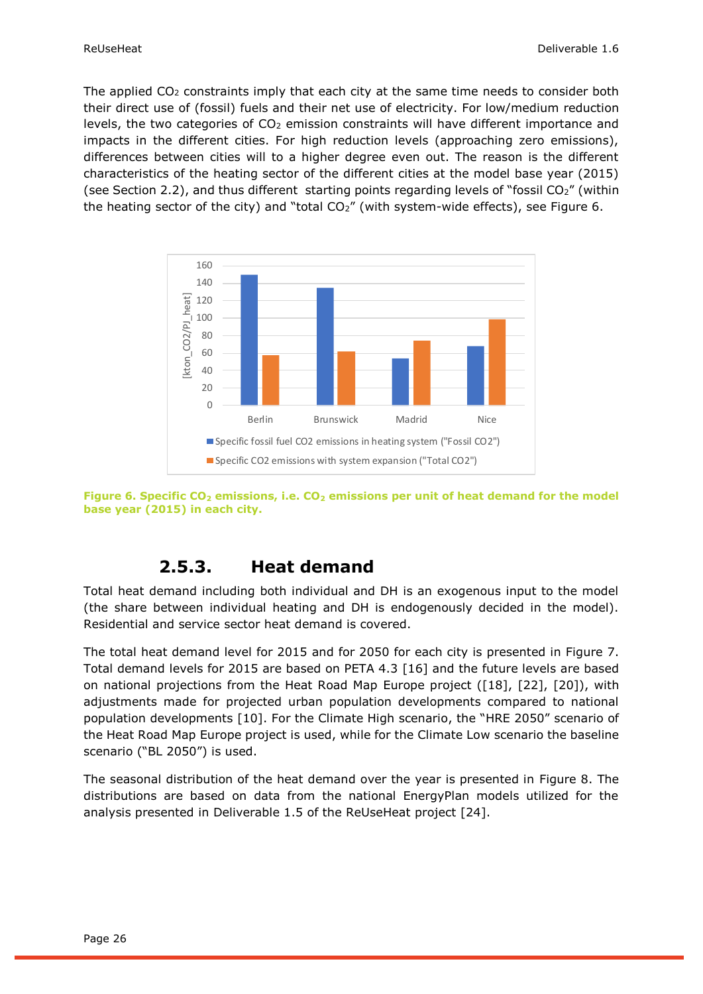The applied CO<sub>2</sub> constraints imply that each city at the same time needs to consider both their direct use of (fossil) fuels and their net use of electricity. For low/medium reduction levels, the two categories of  $CO<sub>2</sub>$  emission constraints will have different importance and impacts in the different cities. For high reduction levels (approaching zero emissions), differences between cities will to a higher degree even out. The reason is the different characteristics of the heating sector of the different cities at the model base year (2015) (see Section [2.2\)](#page-14-0), and thus different starting points regarding levels of "fossil CO2" (within the heating sector of the city) and "total  $CO<sub>2</sub>$ " (with system-wide effects), see [Figure 6.](#page-25-1)



<span id="page-25-1"></span>**Figure 6. Specific CO<sup>2</sup> emissions, i.e. CO<sup>2</sup> emissions per unit of heat demand for the model base year (2015) in each city.** 

#### **2.5.3. Heat demand**

<span id="page-25-0"></span>Total heat demand including both individual and DH is an exogenous input to the model (the share between individual heating and DH is endogenously decided in the model). Residential and service sector heat demand is covered.

The total heat demand level for 2015 and for 2050 for each city is presented in [Figure 7.](#page-26-1)  [Total demand](#page-26-1) levels for 2015 are based on PETA 4.3 [\[16\]](#page-50-15) and the future levels are based on national projections from the Heat Road Map Europe project ([\[18\]](#page-50-17), [\[22\]](#page-50-21), [\[20\]](#page-50-19)), with adjustments made for projected urban population developments compared to national population developments [\[10\]](#page-50-9). For the Climate High scenario, the "HRE 2050" scenario of the Heat Road Map Europe project is used, while for the Climate Low scenario the baseline scenario ("BL 2050") is used.

The seasonal distribution of the heat demand over the year is presented in [Figure 8.](#page-26-2) The distributions are based on data from the national EnergyPlan models utilized for the analysis presented in Deliverable 1.5 of the ReUseHeat project [\[24\]](#page-50-23).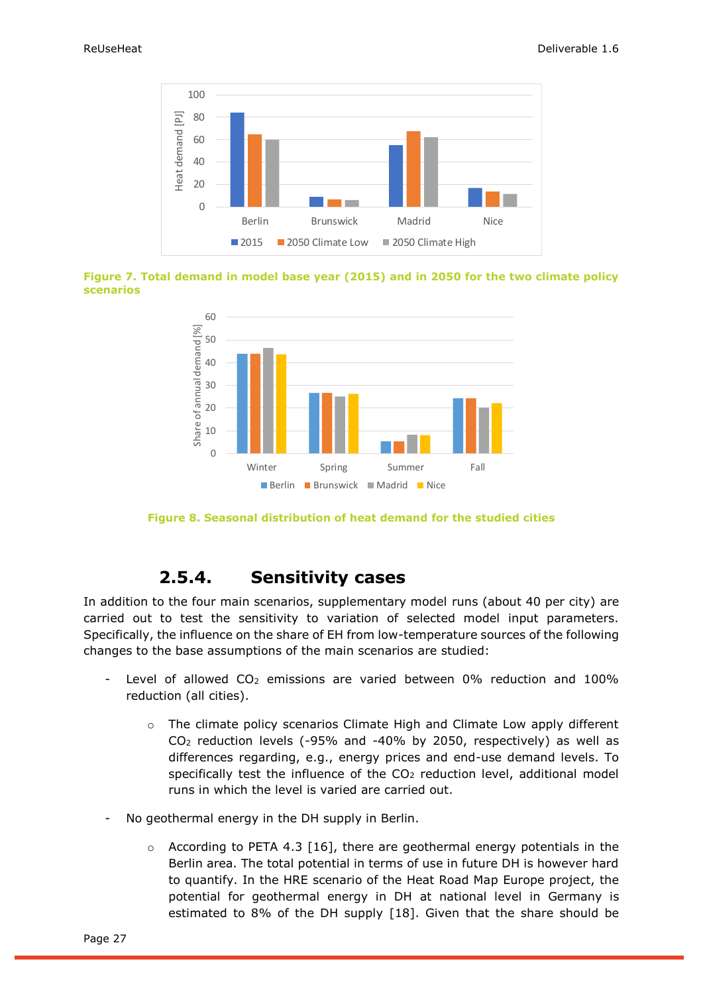

<span id="page-26-1"></span>**Figure 7. Total demand in model base year (2015) and in 2050 for the two climate policy scenarios**



<span id="page-26-2"></span>**Figure 8. Seasonal distribution of heat demand for the studied cities**

#### **2.5.4. Sensitivity cases**

<span id="page-26-0"></span>In addition to the four main scenarios, supplementary model runs (about 40 per city) are carried out to test the sensitivity to variation of selected model input parameters. Specifically, the influence on the share of EH from low-temperature sources of the following changes to the base assumptions of the main scenarios are studied:

- Level of allowed  $CO<sub>2</sub>$  emissions are varied between 0% reduction and 100% reduction (all cities).
	- $\circ$  The climate policy scenarios Climate High and Climate Low apply different  $CO<sub>2</sub>$  reduction levels (-95% and -40% by 2050, respectively) as well as differences regarding, e.g., energy prices and end-use demand levels. To specifically test the influence of the  $CO<sub>2</sub>$  reduction level, additional model runs in which the level is varied are carried out.
- No geothermal energy in the DH supply in Berlin.
	- $\circ$  According to PETA 4.3 [\[16\]](#page-50-15), there are geothermal energy potentials in the Berlin area. The total potential in terms of use in future DH is however hard to quantify. In the HRE scenario of the Heat Road Map Europe project, the potential for geothermal energy in DH at national level in Germany is estimated to 8% of the DH supply [\[18\]](#page-50-17). Given that the share should be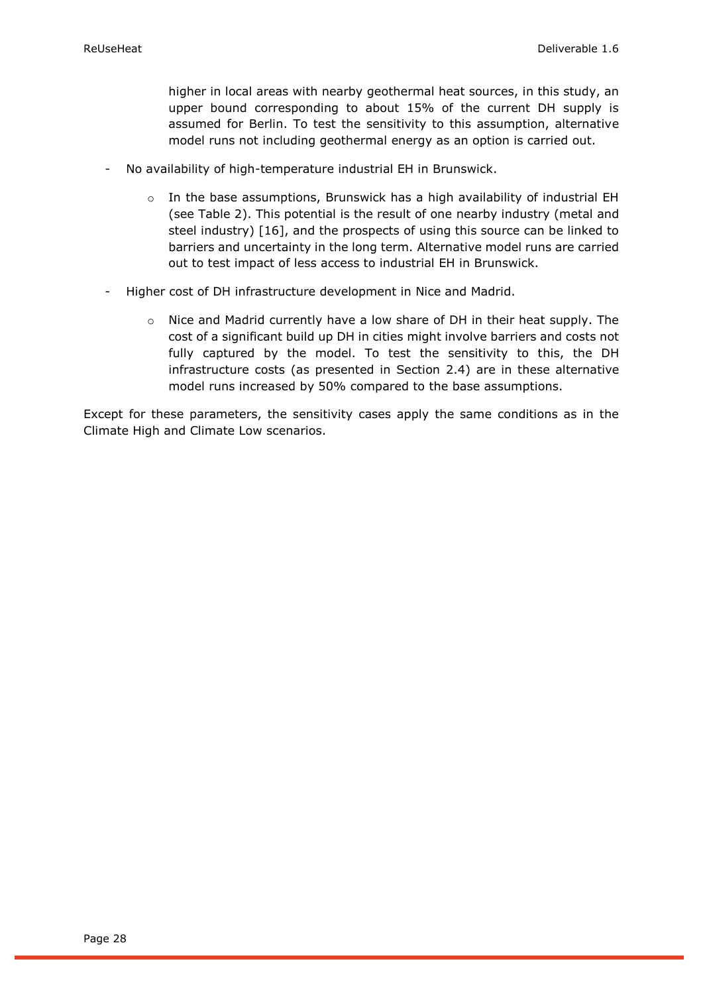higher in local areas with nearby geothermal heat sources, in this study, an upper bound corresponding to about 15% of the current DH supply is assumed for Berlin. To test the sensitivity to this assumption, alternative model runs not including geothermal energy as an option is carried out.

- No availability of high-temperature industrial EH in Brunswick.
	- $\circ$  In the base assumptions, Brunswick has a high availability of industrial EH (see [Table 2\)](#page-17-1). This potential is the result of one nearby industry (metal and steel industry) [\[16\]](#page-50-15), and the prospects of using this source can be linked to barriers and uncertainty in the long term. Alternative model runs are carried out to test impact of less access to industrial EH in Brunswick.
- Higher cost of DH infrastructure development in Nice and Madrid.
	- $\circ$  Nice and Madrid currently have a low share of DH in their heat supply. The cost of a significant build up DH in cities might involve barriers and costs not fully captured by the model. To test the sensitivity to this, the DH infrastructure costs (as presented in Section [2.4\)](#page-19-0) are in these alternative model runs increased by 50% compared to the base assumptions.

Except for these parameters, the sensitivity cases apply the same conditions as in the Climate High and Climate Low scenarios.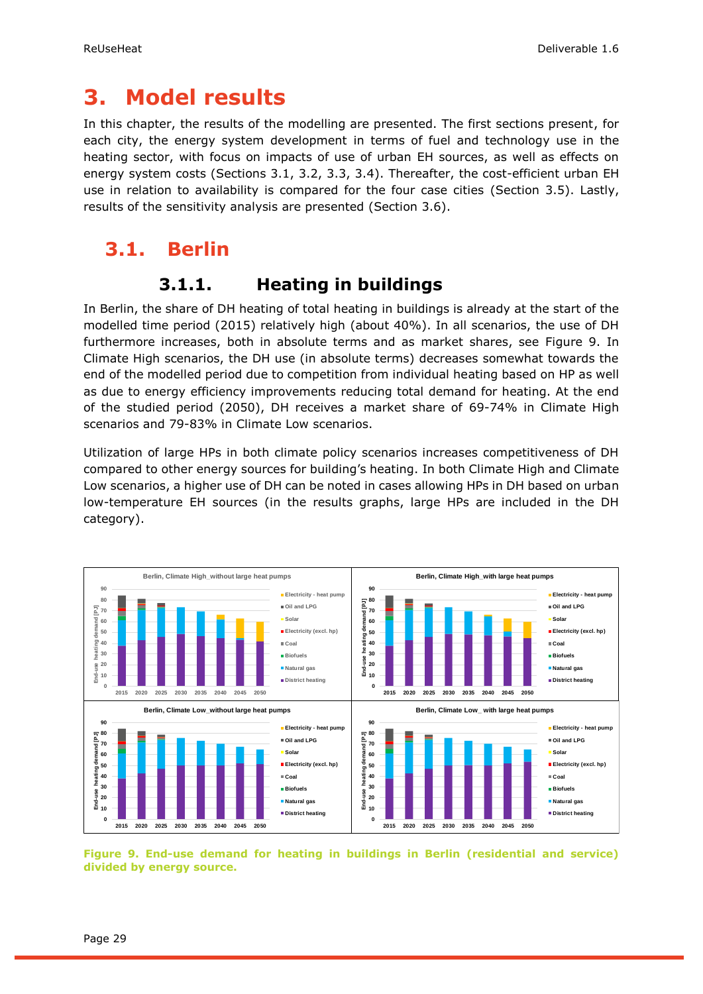## <span id="page-28-0"></span>**3. Model results**

In this chapter, the results of the modelling are presented. The first sections present, for each city, the energy system development in terms of fuel and technology use in the heating sector, with focus on impacts of use of urban EH sources, as well as effects on energy system costs (Sections [3.1,](#page-28-1) [3.2,](#page-31-0) [3.3,](#page-33-1) [3.4\)](#page-37-0). Thereafter, the cost-efficient urban EH use in relation to availability is compared for the four case cities (Section [3.5\)](#page-39-1). Lastly, results of the sensitivity analysis are presented (Section [3.6\)](#page-41-0).

## <span id="page-28-1"></span>**3.1. Berlin**

### <span id="page-28-2"></span>**3.1.1. Heating in buildings**

In Berlin, the share of DH heating of total heating in buildings is already at the start of the modelled time period (2015) relatively high (about 40%). In all scenarios, the use of DH furthermore increases, both in absolute terms and as market shares, see [Figure 9.](#page-28-3) In Climate High scenarios, the DH use (in absolute terms) decreases somewhat towards the end of the modelled period due to competition from individual heating based on HP as well as due to energy efficiency improvements reducing total demand for heating. At the end of the studied period (2050), DH receives a market share of 69-74% in Climate High scenarios and 79-83% in Climate Low scenarios.

Utilization of large HPs in both climate policy scenarios increases competitiveness of DH compared to other energy sources for building's heating. In both Climate High and Climate Low scenarios, a higher use of DH can be noted in cases allowing HPs in DH based on urban low-temperature EH sources (in the results graphs, large HPs are included in the DH category).



<span id="page-28-3"></span>**Figure 9. End-use demand for heating in buildings in Berlin (residential and service) divided by energy source.**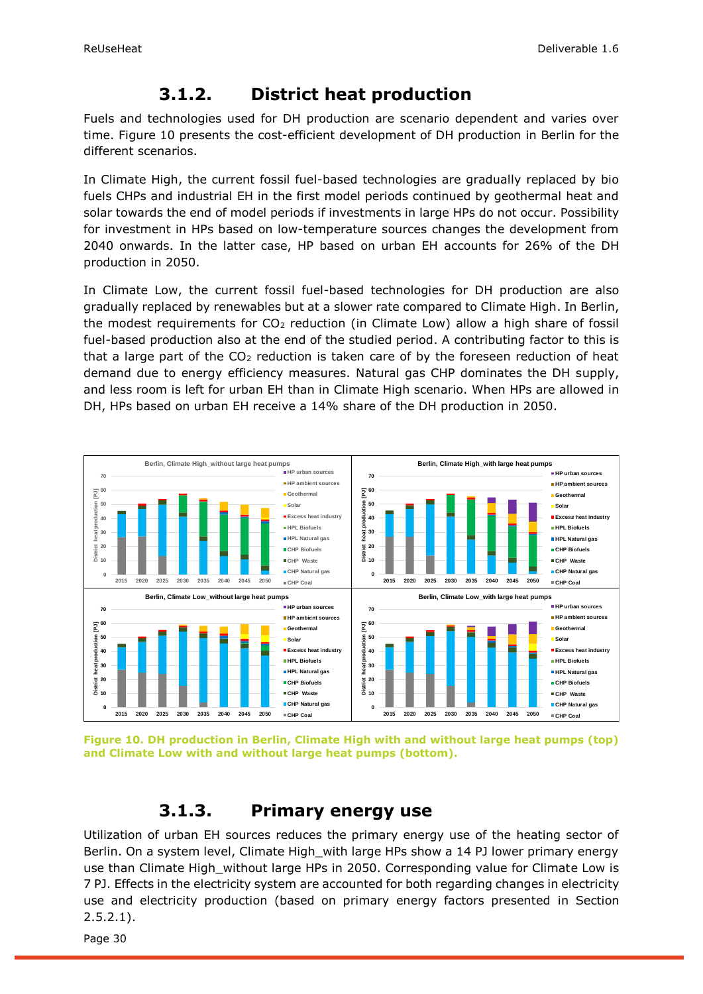#### **3.1.2. District heat production**

<span id="page-29-0"></span>Fuels and technologies used for DH production are scenario dependent and varies over time. [Figure 10](#page-29-2) presents the cost-efficient development of DH production in Berlin for the different scenarios.

In Climate High, the current fossil fuel-based technologies are gradually replaced by bio fuels CHPs and industrial EH in the first model periods continued by geothermal heat and solar towards the end of model periods if investments in large HPs do not occur. Possibility for investment in HPs based on low-temperature sources changes the development from 2040 onwards. In the latter case, HP based on urban EH accounts for 26% of the DH production in 2050.

In Climate Low, the current fossil fuel-based technologies for DH production are also gradually replaced by renewables but at a slower rate compared to Climate High. In Berlin, the modest requirements for  $CO<sub>2</sub>$  reduction (in Climate Low) allow a high share of fossil fuel-based production also at the end of the studied period. A contributing factor to this is that a large part of the  $CO<sub>2</sub>$  reduction is taken care of by the foreseen reduction of heat demand due to energy efficiency measures. Natural gas CHP dominates the DH supply, and less room is left for urban EH than in Climate High scenario. When HPs are allowed in DH, HPs based on urban EH receive a 14% share of the DH production in 2050.



<span id="page-29-2"></span>**Figure 10. DH production in Berlin, Climate High with and without large heat pumps (top) and Climate Low with and without large heat pumps (bottom).** 

#### **3.1.3. Primary energy use**

<span id="page-29-1"></span>Utilization of urban EH sources reduces the primary energy use of the heating sector of Berlin. On a system level, Climate High\_with large HPs show a 14 PJ lower primary energy use than Climate High without large HPs in 2050. Corresponding value for Climate Low is 7 PJ. Effects in the electricity system are accounted for both regarding changes in electricity use and electricity production (based on primary energy factors presented in Section [2.5.2.1\)](#page-23-1).

Page 30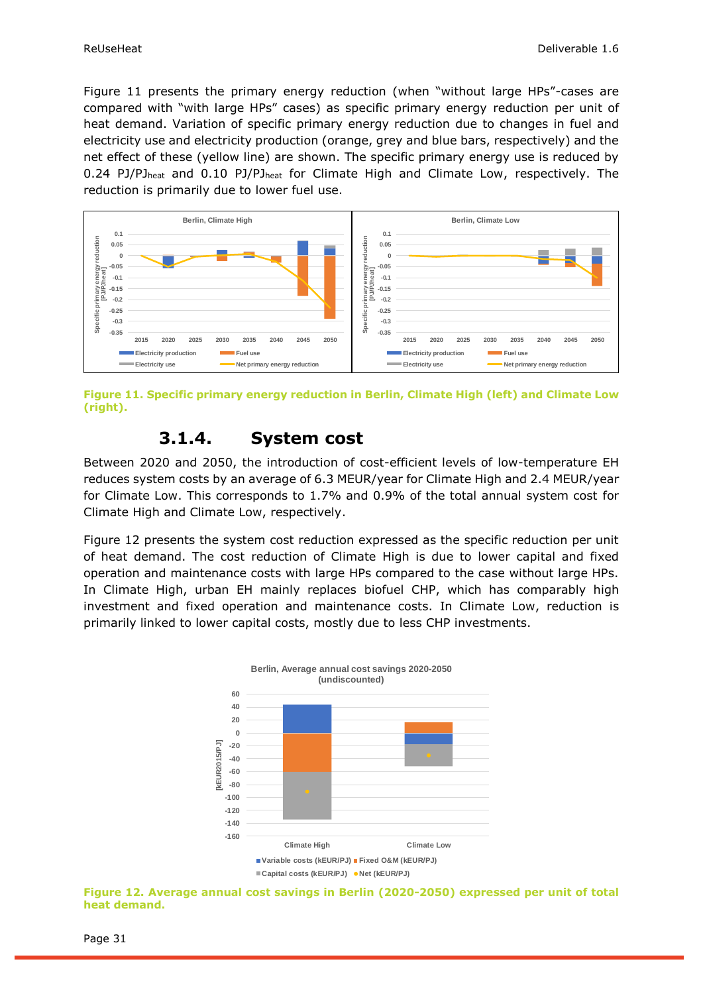[Figure 11](#page-30-1) presents the primary energy reduction (when "without large HPs"-cases are compared with "with large HPs" cases) as specific primary energy reduction per unit of heat demand. Variation of specific primary energy reduction due to changes in fuel and electricity use and electricity production (orange, grey and blue bars, respectively) and the net effect of these (yellow line) are shown. The specific primary energy use is reduced by 0.24 PJ/PJ<sub>heat</sub> and 0.10 PJ/PJ<sub>heat</sub> for Climate High and Climate Low, respectively. The reduction is primarily due to lower fuel use.



<span id="page-30-1"></span>**Figure 11. Specific primary energy reduction in Berlin, Climate High (left) and Climate Low (right).**

#### **3.1.4. System cost**

<span id="page-30-0"></span>Between 2020 and 2050, the introduction of cost-efficient levels of low-temperature EH reduces system costs by an average of 6.3 MEUR/year for Climate High and 2.4 MEUR/year for Climate Low. This corresponds to 1.7% and 0.9% of the total annual system cost for Climate High and Climate Low, respectively.

[Figure 12](#page-30-2) presents the system cost reduction expressed as the specific reduction per unit of heat demand. The cost reduction of Climate High is due to lower capital and fixed operation and maintenance costs with large HPs compared to the case without large HPs. In Climate High, urban EH mainly replaces biofuel CHP, which has comparably high investment and fixed operation and maintenance costs. In Climate Low, reduction is primarily linked to lower capital costs, mostly due to less CHP investments.



<span id="page-30-2"></span>**Figure 12. Average annual cost savings in Berlin (2020-2050) expressed per unit of total heat demand.**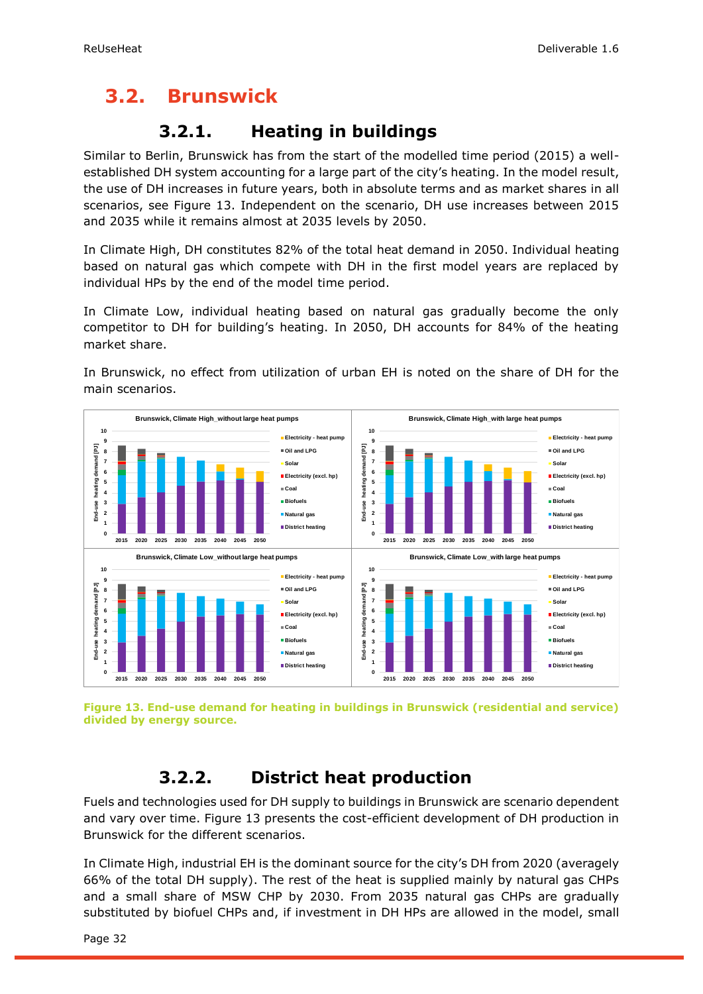## <span id="page-31-0"></span>**3.2. Brunswick**

### **3.2.1. Heating in buildings**

<span id="page-31-1"></span>Similar to Berlin, Brunswick has from the start of the modelled time period (2015) a wellestablished DH system accounting for a large part of the city's heating. In the model result, the use of DH increases in future years, both in absolute terms and as market shares in all scenarios, see [Figure 13.](#page-31-3) Independent on the scenario, DH use increases between 2015 and 2035 while it remains almost at 2035 levels by 2050.

In Climate High, DH constitutes 82% of the total heat demand in 2050. Individual heating based on natural gas which compete with DH in the first model years are replaced by individual HPs by the end of the model time period.

In Climate Low, individual heating based on natural gas gradually become the only competitor to DH for building's heating. In 2050, DH accounts for 84% of the heating market share.

In Brunswick, no effect from utilization of urban EH is noted on the share of DH for the main scenarios.



<span id="page-31-3"></span>**Figure 13. End-use demand for heating in buildings in Brunswick (residential and service) divided by energy source.**

### **3.2.2. District heat production**

<span id="page-31-2"></span>Fuels and technologies used for DH supply to buildings in Brunswick are scenario dependent and vary over time. [Figure 13](#page-31-3) presents the cost-efficient development of DH production in Brunswick for the different scenarios.

In Climate High, industrial EH is the dominant source for the city's DH from 2020 (averagely 66% of the total DH supply). The rest of the heat is supplied mainly by natural gas CHPs and a small share of MSW CHP by 2030. From 2035 natural gas CHPs are gradually substituted by biofuel CHPs and, if investment in DH HPs are allowed in the model, small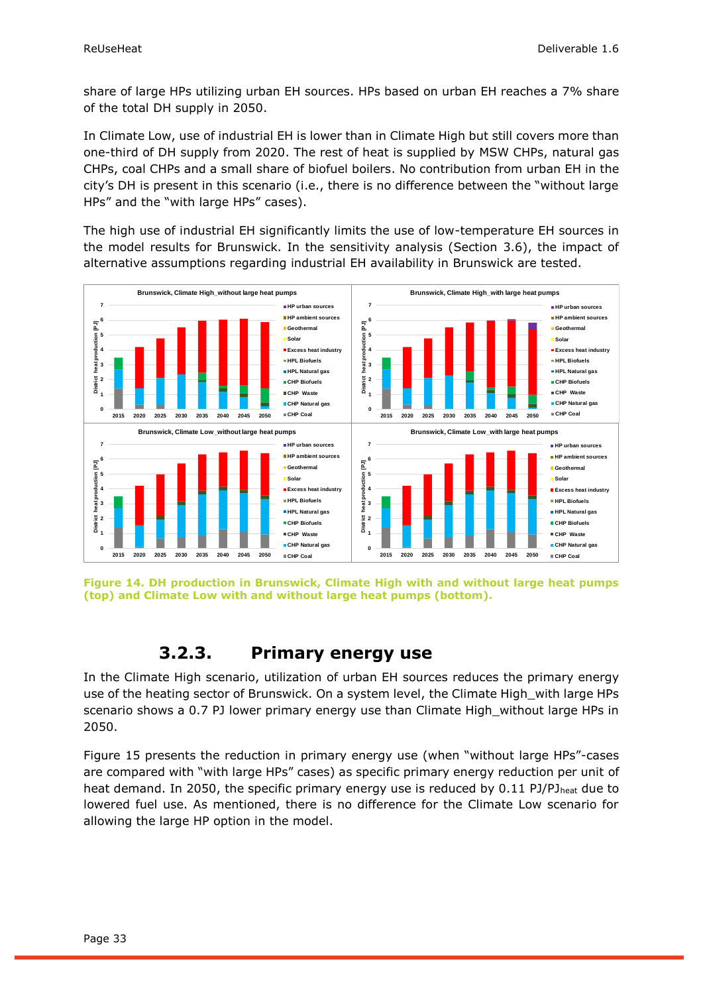share of large HPs utilizing urban EH sources. HPs based on urban EH reaches a 7% share of the total DH supply in 2050.

In Climate Low, use of industrial EH is lower than in Climate High but still covers more than one-third of DH supply from 2020. The rest of heat is supplied by MSW CHPs, natural gas CHPs, coal CHPs and a small share of biofuel boilers. No contribution from urban EH in the city's DH is present in this scenario (i.e., there is no difference between the "without large HPs" and the "with large HPs" cases).

The high use of industrial EH significantly limits the use of low-temperature EH sources in the model results for Brunswick. In the sensitivity analysis (Section [3.6\)](#page-41-0), the impact of alternative assumptions regarding industrial EH availability in Brunswick are tested.



**Figure 14. DH production in Brunswick, Climate High with and without large heat pumps (top) and Climate Low with and without large heat pumps (bottom).** 

#### **3.2.3. Primary energy use**

<span id="page-32-0"></span>In the Climate High scenario, utilization of urban EH sources reduces the primary energy use of the heating sector of Brunswick. On a system level, the Climate High\_with large HPs scenario shows a 0.7 PJ lower primary energy use than Climate High\_without large HPs in 2050.

[Figure 15](#page-33-3) presents the reduction in primary energy use (when "without large HPs"-cases are compared with "with large HPs" cases) as specific primary energy reduction per unit of heat demand. In 2050, the specific primary energy use is reduced by 0.11 PJ/PJ<sub>heat</sub> due to lowered fuel use. As mentioned, there is no difference for the Climate Low scenario for allowing the large HP option in the model.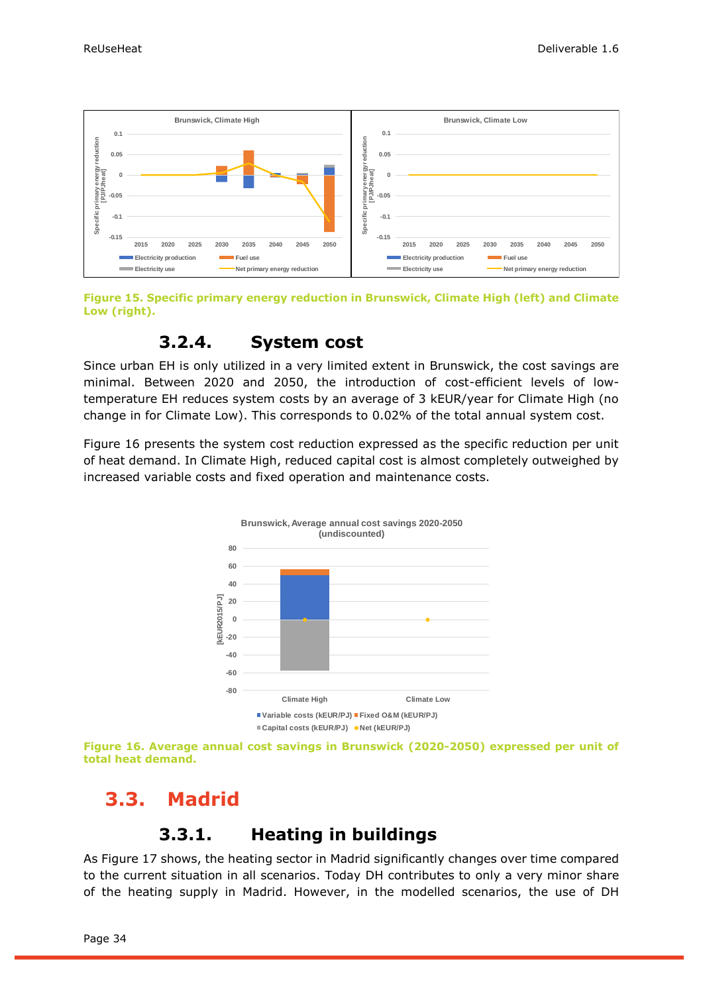

<span id="page-33-3"></span>**Figure 15. Specific primary energy reduction in Brunswick, Climate High (left) and Climate Low (right).**

#### **3.2.4. System cost**

<span id="page-33-0"></span>Since urban EH is only utilized in a very limited extent in Brunswick, the cost savings are minimal. Between 2020 and 2050, the introduction of cost-efficient levels of lowtemperature EH reduces system costs by an average of 3 kEUR/year for Climate High (no change in for Climate Low). This corresponds to 0.02% of the total annual system cost.

[Figure 16](#page-33-4) presents the system cost reduction expressed as the specific reduction per unit of heat demand. In Climate High, reduced capital cost is almost completely outweighed by increased variable costs and fixed operation and maintenance costs.



<span id="page-33-4"></span>**Figure 16. Average annual cost savings in Brunswick (2020-2050) expressed per unit of total heat demand.**

## <span id="page-33-1"></span>**3.3. Madrid**

#### **3.3.1. Heating in buildings**

<span id="page-33-2"></span>As [Figure 17](#page-34-1) shows, the heating sector in Madrid significantly changes over time compared to the current situation in all scenarios. Today DH contributes to only a very minor share of the heating supply in Madrid. However, in the modelled scenarios, the use of DH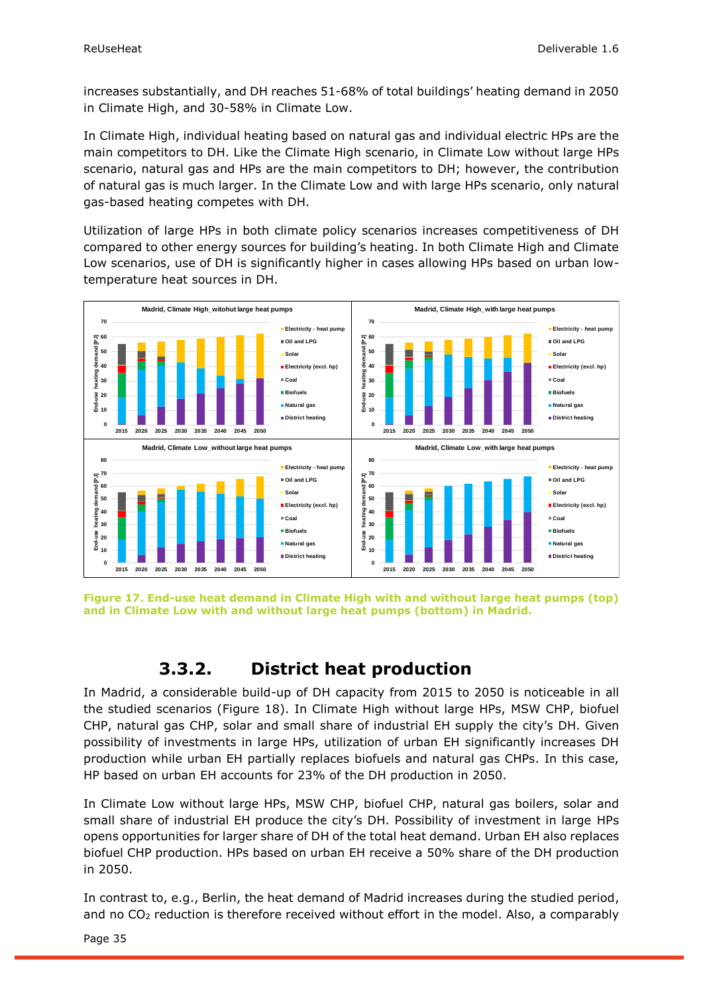increases substantially, and DH reaches 51-68% of total buildings' heating demand in 2050 in Climate High, and 30-58% in Climate Low.

In Climate High, individual heating based on natural gas and individual electric HPs are the main competitors to DH. Like the Climate High scenario, in Climate Low without large HPs scenario, natural gas and HPs are the main competitors to DH; however, the contribution of natural gas is much larger. In the Climate Low and with large HPs scenario, only natural gas-based heating competes with DH.

Utilization of large HPs in both climate policy scenarios increases competitiveness of DH compared to other energy sources for building's heating. In both Climate High and Climate Low scenarios, use of DH is significantly higher in cases allowing HPs based on urban lowtemperature heat sources in DH.



<span id="page-34-1"></span>**Figure 17. End-use heat demand in Climate High with and without large heat pumps (top) and in Climate Low with and without large heat pumps (bottom) in Madrid.**

### **3.3.2. District heat production**

<span id="page-34-0"></span>In Madrid, a considerable build-up of DH capacity from 2015 to 2050 is noticeable in all the studied scenarios [\(Figure 18\)](#page-35-1). In Climate High without large HPs, MSW CHP, biofuel CHP, natural gas CHP, solar and small share of industrial EH supply the city's DH. Given possibility of investments in large HPs, utilization of urban EH significantly increases DH production while urban EH partially replaces biofuels and natural gas CHPs. In this case, HP based on urban EH accounts for 23% of the DH production in 2050.

In Climate Low without large HPs, MSW CHP, biofuel CHP, natural gas boilers, solar and small share of industrial EH produce the city's DH. Possibility of investment in large HPs opens opportunities for larger share of DH of the total heat demand. Urban EH also replaces biofuel CHP production. HPs based on urban EH receive a 50% share of the DH production in 2050.

In contrast to, e.g., Berlin, the heat demand of Madrid increases during the studied period, and no CO<sub>2</sub> reduction is therefore received without effort in the model. Also, a comparably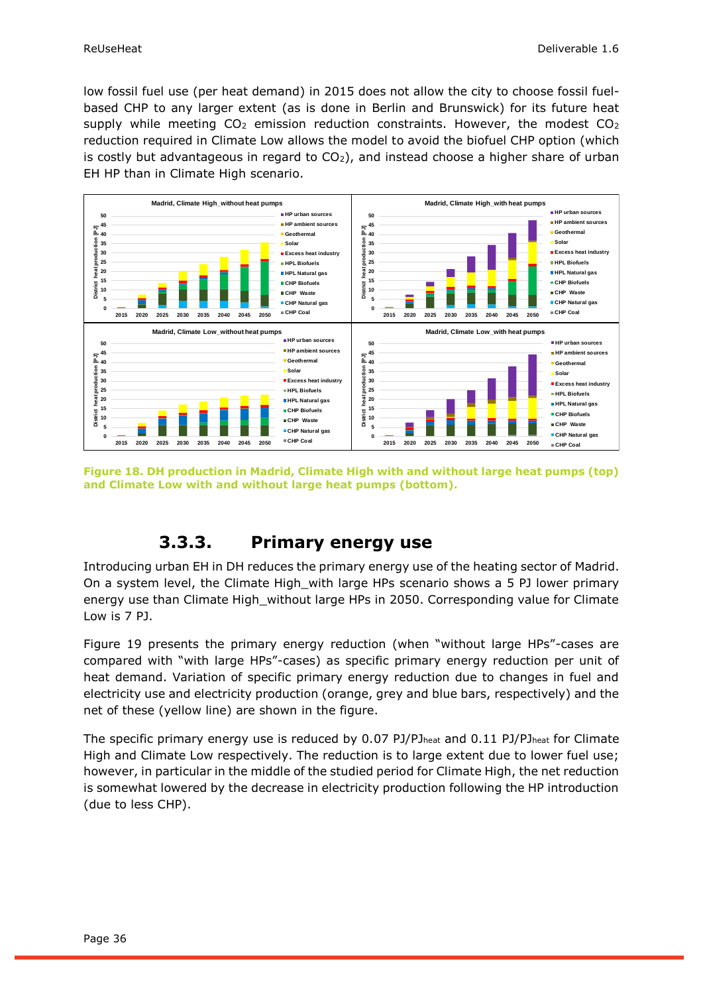low fossil fuel use (per heat demand) in 2015 does not allow the city to choose fossil fuelbased CHP to any larger extent (as is done in Berlin and Brunswick) for its future heat supply while meeting  $CO<sub>2</sub>$  emission reduction constraints. However, the modest  $CO<sub>2</sub>$ reduction required in Climate Low allows the model to avoid the biofuel CHP option (which is costly but advantageous in regard to  $CO<sub>2</sub>$ ), and instead choose a higher share of urban EH HP than in Climate High scenario.



<span id="page-35-1"></span>**Figure 18. DH production in Madrid, Climate High with and without large heat pumps (top) and Climate Low with and without large heat pumps (bottom).** 

### **3.3.3. Primary energy use**

<span id="page-35-0"></span>Introducing urban EH in DH reduces the primary energy use of the heating sector of Madrid. On a system level, the Climate High\_with large HPs scenario shows a 5 PJ lower primary energy use than Climate High\_without large HPs in 2050. Corresponding value for Climate Low is 7 PJ.

[Figure 19](#page-36-1) presents the primary energy reduction (when "without large HPs"-cases are compared with "with large HPs"-cases) as specific primary energy reduction per unit of heat demand. Variation of specific primary energy reduction due to changes in fuel and electricity use and electricity production (orange, grey and blue bars, respectively) and the net of these (yellow line) are shown in the figure.

The specific primary energy use is reduced by 0.07 PJ/PJ<sub>heat</sub> and 0.11 PJ/PJ<sub>heat</sub> for Climate High and Climate Low respectively. The reduction is to large extent due to lower fuel use; however, in particular in the middle of the studied period for Climate High, the net reduction is somewhat lowered by the decrease in electricity production following the HP introduction (due to less CHP).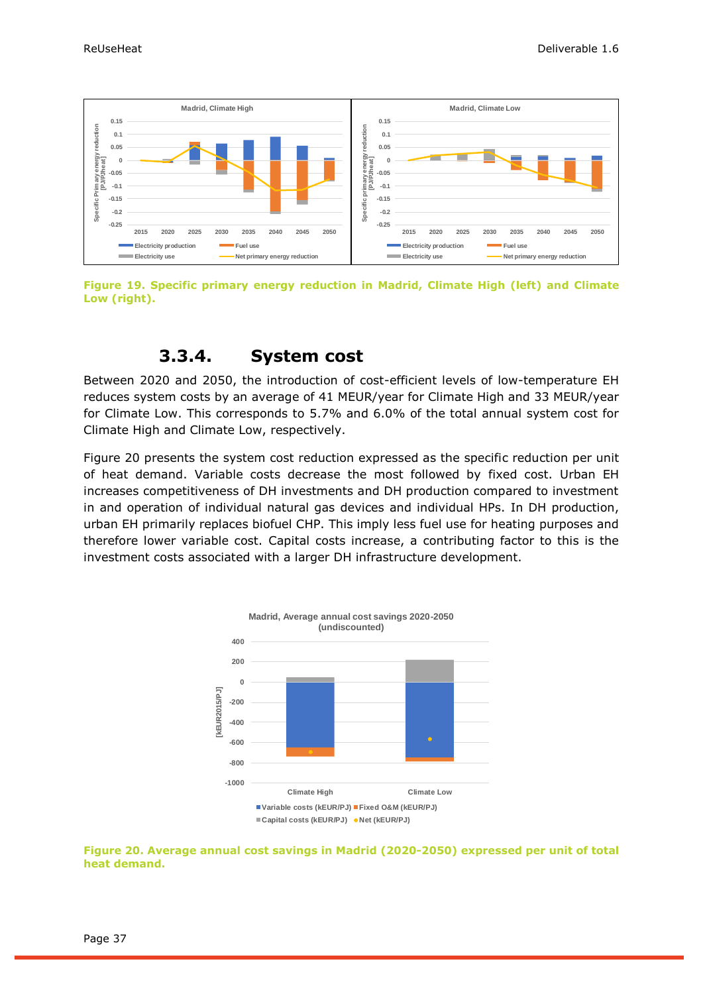

<span id="page-36-1"></span>**Figure 19. Specific primary energy reduction in Madrid, Climate High (left) and Climate Low (right).**

#### **3.3.4. System cost**

<span id="page-36-0"></span>Between 2020 and 2050, the introduction of cost-efficient levels of low-temperature EH reduces system costs by an average of 41 MEUR/year for Climate High and 33 MEUR/year for Climate Low. This corresponds to 5.7% and 6.0% of the total annual system cost for Climate High and Climate Low, respectively.

[Figure 20](#page-36-2) presents the system cost reduction expressed as the specific reduction per unit of heat demand. Variable costs decrease the most followed by fixed cost. Urban EH increases competitiveness of DH investments and DH production compared to investment in and operation of individual natural gas devices and individual HPs. In DH production, urban EH primarily replaces biofuel CHP. This imply less fuel use for heating purposes and therefore lower variable cost. Capital costs increase, a contributing factor to this is the investment costs associated with a larger DH infrastructure development.



<span id="page-36-2"></span>**Figure 20. Average annual cost savings in Madrid (2020-2050) expressed per unit of total heat demand.**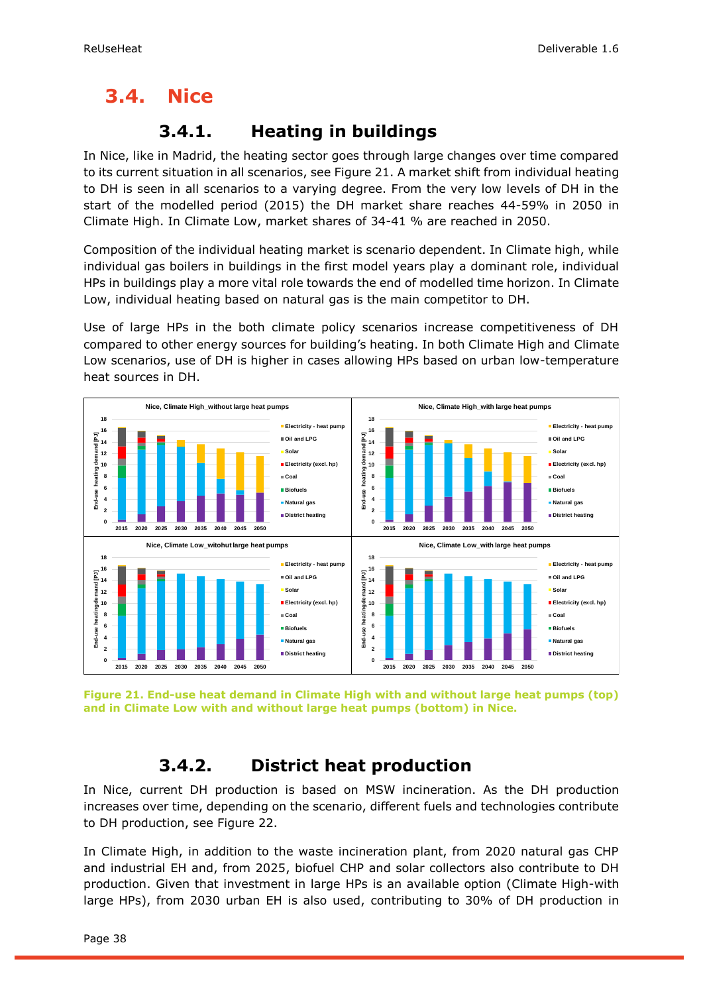## <span id="page-37-0"></span>**3.4. Nice**

### **3.4.1. Heating in buildings**

<span id="page-37-1"></span>In Nice, like in Madrid, the heating sector goes through large changes over time compared to its current situation in all scenarios, see [Figure 21.](#page-37-3) A market shift from individual heating to DH is seen in all scenarios to a varying degree. From the very low levels of DH in the start of the modelled period (2015) the DH market share reaches 44-59% in 2050 in Climate High. In Climate Low, market shares of 34-41 % are reached in 2050.

Composition of the individual heating market is scenario dependent. In Climate high, while individual gas boilers in buildings in the first model years play a dominant role, individual HPs in buildings play a more vital role towards the end of modelled time horizon. In Climate Low, individual heating based on natural gas is the main competitor to DH.

Use of large HPs in the both climate policy scenarios increase competitiveness of DH compared to other energy sources for building's heating. In both Climate High and Climate Low scenarios, use of DH is higher in cases allowing HPs based on urban low-temperature heat sources in DH.



<span id="page-37-3"></span>

### **3.4.2. District heat production**

<span id="page-37-2"></span>In Nice, current DH production is based on MSW incineration. As the DH production increases over time, depending on the scenario, different fuels and technologies contribute to DH production, see [Figure 22.](#page-38-1)

In Climate High, in addition to the waste incineration plant, from 2020 natural gas CHP and industrial EH and, from 2025, biofuel CHP and solar collectors also contribute to DH production. Given that investment in large HPs is an available option (Climate High-with large HPs), from 2030 urban EH is also used, contributing to 30% of DH production in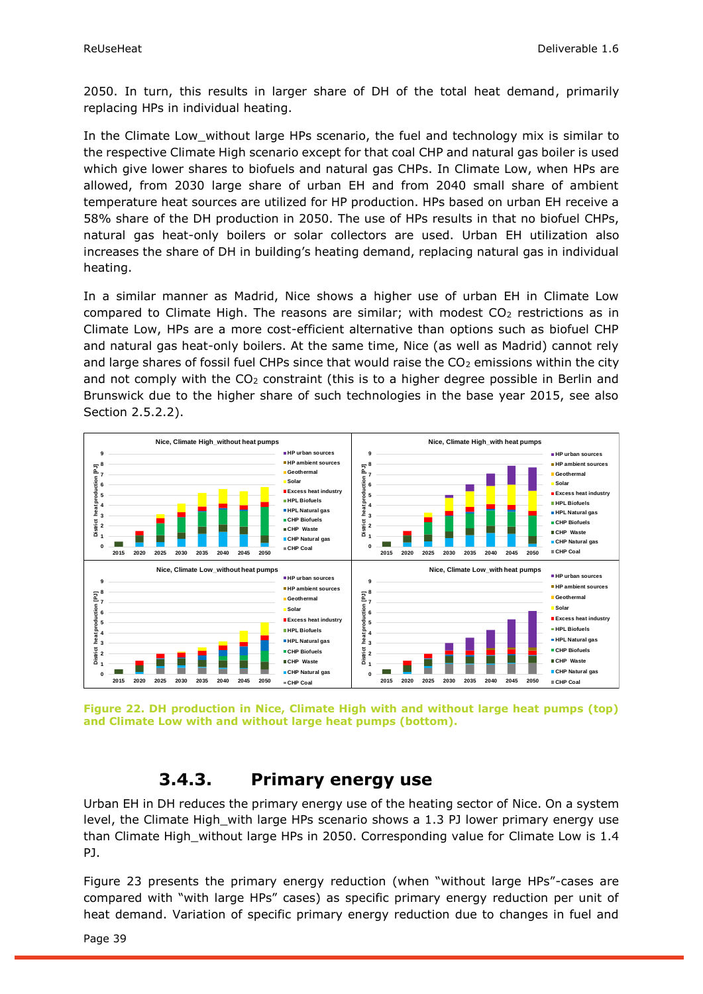2050. In turn, this results in larger share of DH of the total heat demand, primarily replacing HPs in individual heating.

In the Climate Low without large HPs scenario, the fuel and technology mix is similar to the respective Climate High scenario except for that coal CHP and natural gas boiler is used which give lower shares to biofuels and natural gas CHPs. In Climate Low, when HPs are allowed, from 2030 large share of urban EH and from 2040 small share of ambient temperature heat sources are utilized for HP production. HPs based on urban EH receive a 58% share of the DH production in 2050. The use of HPs results in that no biofuel CHPs, natural gas heat-only boilers or solar collectors are used. Urban EH utilization also increases the share of DH in building's heating demand, replacing natural gas in individual heating.

In a similar manner as Madrid, Nice shows a higher use of urban EH in Climate Low compared to Climate High. The reasons are similar; with modest  $CO<sub>2</sub>$  restrictions as in Climate Low, HPs are a more cost-efficient alternative than options such as biofuel CHP and natural gas heat-only boilers. At the same time, Nice (as well as Madrid) cannot rely and large shares of fossil fuel CHPs since that would raise the  $CO<sub>2</sub>$  emissions within the city and not comply with the  $CO<sub>2</sub>$  constraint (this is to a higher degree possible in Berlin and Brunswick due to the higher share of such technologies in the base year 2015, see also Section [2.5.2.2\)](#page-24-0).



<span id="page-38-1"></span>**Figure 22. DH production in Nice, Climate High with and without large heat pumps (top) and Climate Low with and without large heat pumps (bottom).** 

#### **3.4.3. Primary energy use**

<span id="page-38-0"></span>Urban EH in DH reduces the primary energy use of the heating sector of Nice. On a system level, the Climate High\_with large HPs scenario shows a 1.3 PJ lower primary energy use than Climate High\_without large HPs in 2050. Corresponding value for Climate Low is 1.4 PJ.

[Figure 23](#page-39-2) presents the primary energy reduction (when "without large HPs"-cases are compared with "with large HPs" cases) as specific primary energy reduction per unit of heat demand. Variation of specific primary energy reduction due to changes in fuel and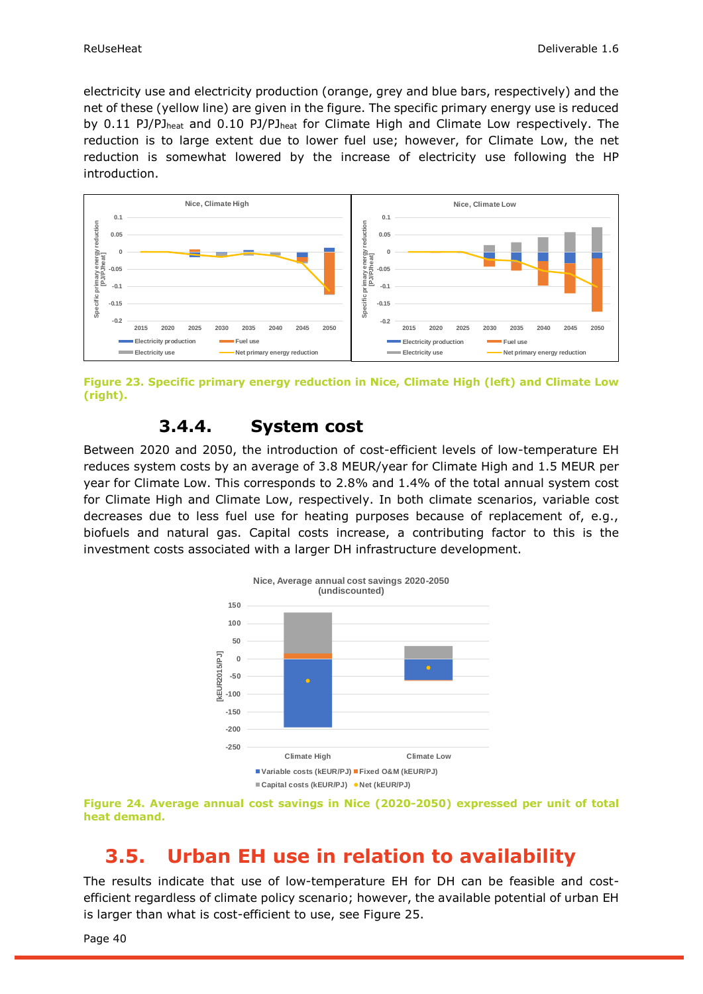electricity use and electricity production (orange, grey and blue bars, respectively) and the net of these (yellow line) are given in the figure. The specific primary energy use is reduced by 0.11 PJ/PJ<sub>heat</sub> and 0.10 PJ/PJ<sub>heat</sub> for Climate High and Climate Low respectively. The reduction is to large extent due to lower fuel use; however, for Climate Low, the net reduction is somewhat lowered by the increase of electricity use following the HP introduction.



<span id="page-39-2"></span>**Figure 23. Specific primary energy reduction in Nice, Climate High (left) and Climate Low (right).**

#### **3.4.4. System cost**

<span id="page-39-0"></span>Between 2020 and 2050, the introduction of cost-efficient levels of low-temperature EH reduces system costs by an average of 3.8 MEUR/year for Climate High and 1.5 MEUR per year for Climate Low. This corresponds to 2.8% and 1.4% of the total annual system cost for Climate High and Climate Low, respectively. In both climate scenarios, variable cost decreases due to less fuel use for heating purposes because of replacement of, e.g., biofuels and natural gas. Capital costs increase, a contributing factor to this is the investment costs associated with a larger DH infrastructure development.



**Figure 24. Average annual cost savings in Nice (2020-2050) expressed per unit of total heat demand.** 

### <span id="page-39-1"></span>**3.5. Urban EH use in relation to availability**

The results indicate that use of low-temperature EH for DH can be feasible and costefficient regardless of climate policy scenario; however, the available potential of urban EH is larger than what is cost-efficient to use, see [Figure 25.](#page-40-0)

Page 40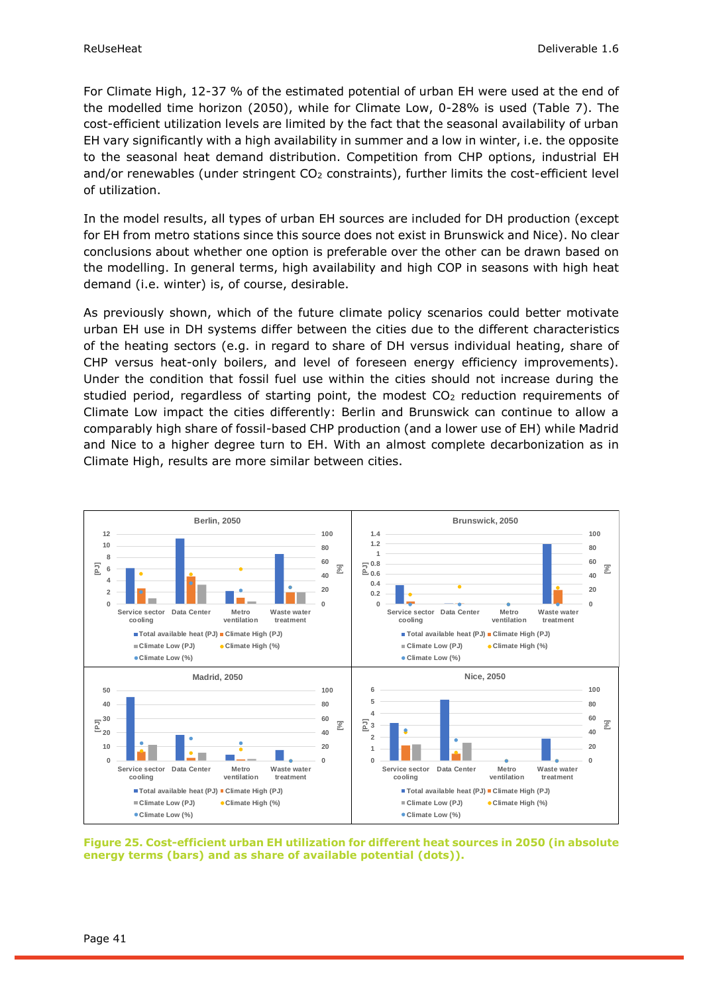For Climate High, 12-37 % of the estimated potential of urban EH were used at the end of the modelled time horizon (2050), while for Climate Low, 0-28% is used [\(Table 7\)](#page-41-1). The cost-efficient utilization levels are limited by the fact that the seasonal availability of urban EH vary significantly with a high availability in summer and a low in winter, i.e. the opposite to the seasonal heat demand distribution. Competition from CHP options, industrial EH and/or renewables (under stringent  $CO<sub>2</sub>$  constraints), further limits the cost-efficient level of utilization.

In the model results, all types of urban EH sources are included for DH production (except for EH from metro stations since this source does not exist in Brunswick and Nice). No clear conclusions about whether one option is preferable over the other can be drawn based on the modelling. In general terms, high availability and high COP in seasons with high heat demand (i.e. winter) is, of course, desirable.

As previously shown, which of the future climate policy scenarios could better motivate urban EH use in DH systems differ between the cities due to the different characteristics of the heating sectors (e.g. in regard to share of DH versus individual heating, share of CHP versus heat-only boilers, and level of foreseen energy efficiency improvements). Under the condition that fossil fuel use within the cities should not increase during the studied period, regardless of starting point, the modest  $CO<sub>2</sub>$  reduction requirements of Climate Low impact the cities differently: Berlin and Brunswick can continue to allow a comparably high share of fossil-based CHP production (and a lower use of EH) while Madrid and Nice to a higher degree turn to EH. With an almost complete decarbonization as in Climate High, results are more similar between cities.



<span id="page-40-0"></span>**Figure 25. Cost-efficient urban EH utilization for different heat sources in 2050 (in absolute energy terms (bars) and as share of available potential (dots)).**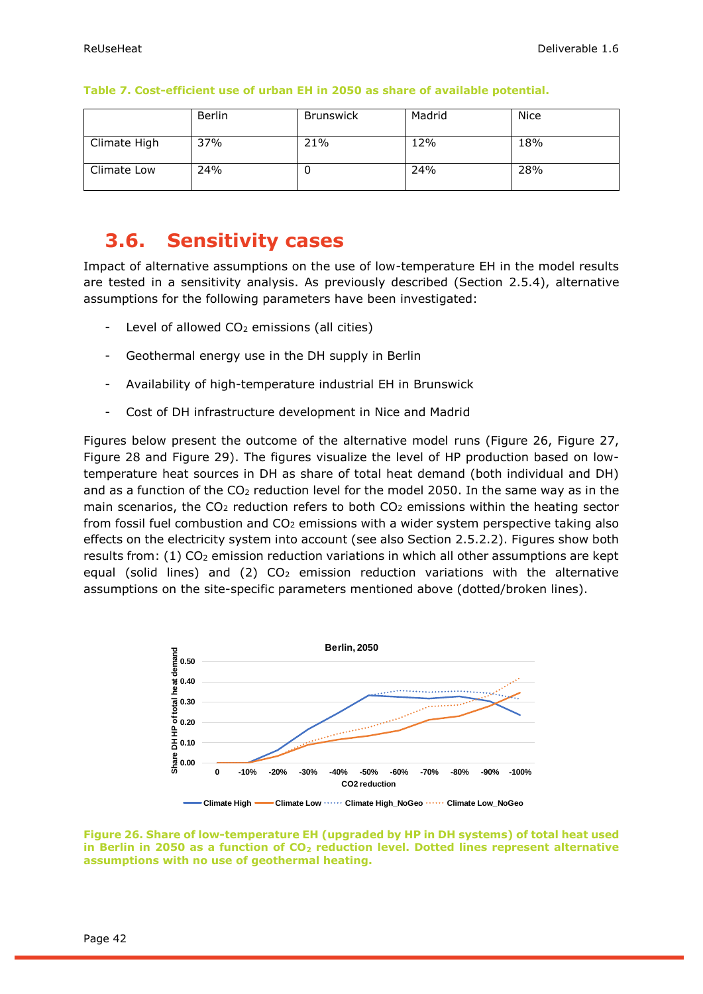|              | Berlin | <b>Brunswick</b> | Madrid | Nice |
|--------------|--------|------------------|--------|------|
| Climate High | 37%    | 21%              | 12%    | 18%  |
| Climate Low  | 24%    | u                | 24%    | 28%  |

#### <span id="page-41-1"></span>**Table 7. Cost-efficient use of urban EH in 2050 as share of available potential.**

### <span id="page-41-0"></span>**3.6. Sensitivity cases**

Impact of alternative assumptions on the use of low-temperature EH in the model results are tested in a sensitivity analysis. As previously described (Section [2.5.4\)](#page-26-0), alternative assumptions for the following parameters have been investigated:

- Level of allowed  $CO<sub>2</sub>$  emissions (all cities)
- Geothermal energy use in the DH supply in Berlin
- Availability of high-temperature industrial EH in Brunswick
- Cost of DH infrastructure development in Nice and Madrid

Figures below present the outcome of the alternative model runs [\(Figure 26,](#page-41-2) [Figure 27,](#page-42-0) [Figure 28](#page-42-1) and [Figure 29\)](#page-42-2). The figures visualize the level of HP production based on lowtemperature heat sources in DH as share of total heat demand (both individual and DH) and as a function of the  $CO<sub>2</sub>$  reduction level for the model 2050. In the same way as in the main scenarios, the  $CO<sub>2</sub>$  reduction refers to both  $CO<sub>2</sub>$  emissions within the heating sector from fossil fuel combustion and  $CO<sub>2</sub>$  emissions with a wider system perspective taking also effects on the electricity system into account (see also Section [2.5.2.2\)](#page-24-0). Figures show both results from: (1) CO<sub>2</sub> emission reduction variations in which all other assumptions are kept equal (solid lines) and (2)  $CO<sub>2</sub>$  emission reduction variations with the alternative assumptions on the site-specific parameters mentioned above (dotted/broken lines).



<span id="page-41-2"></span>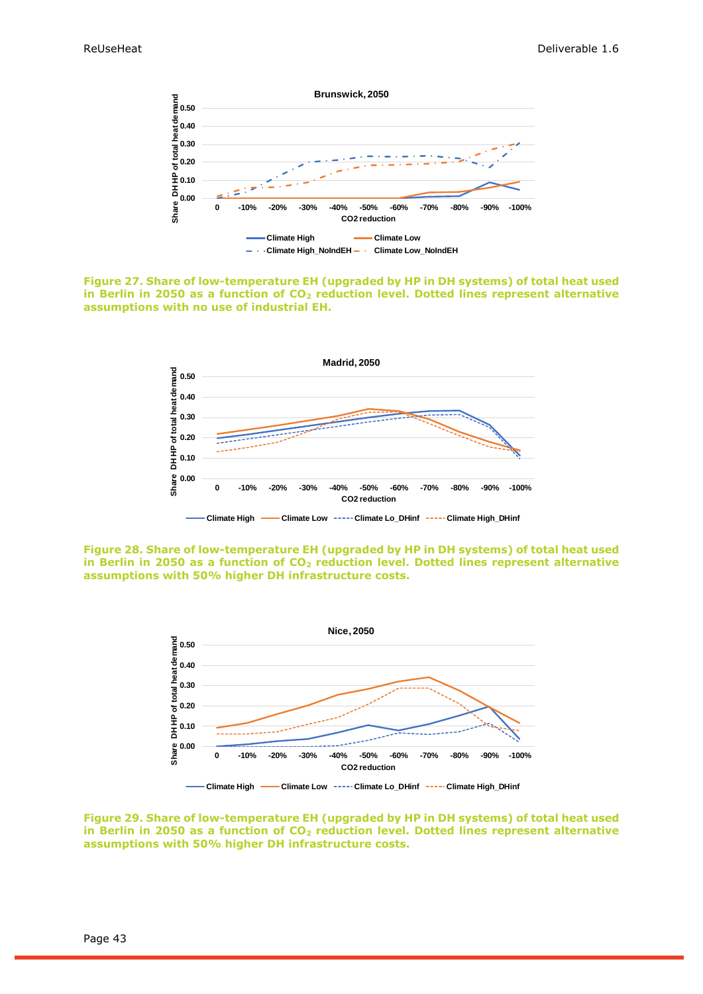

<span id="page-42-0"></span>



<span id="page-42-1"></span>**Figure 28. Share of low-temperature EH (upgraded by HP in DH systems) of total heat used in Berlin in 2050 as a function of CO<sup>2</sup> reduction level. Dotted lines represent alternative assumptions with 50% higher DH infrastructure costs.** 



<span id="page-42-2"></span>**Figure 29. Share of low-temperature EH (upgraded by HP in DH systems) of total heat used in Berlin in 2050 as a function of CO<sup>2</sup> reduction level. Dotted lines represent alternative assumptions with 50% higher DH infrastructure costs.**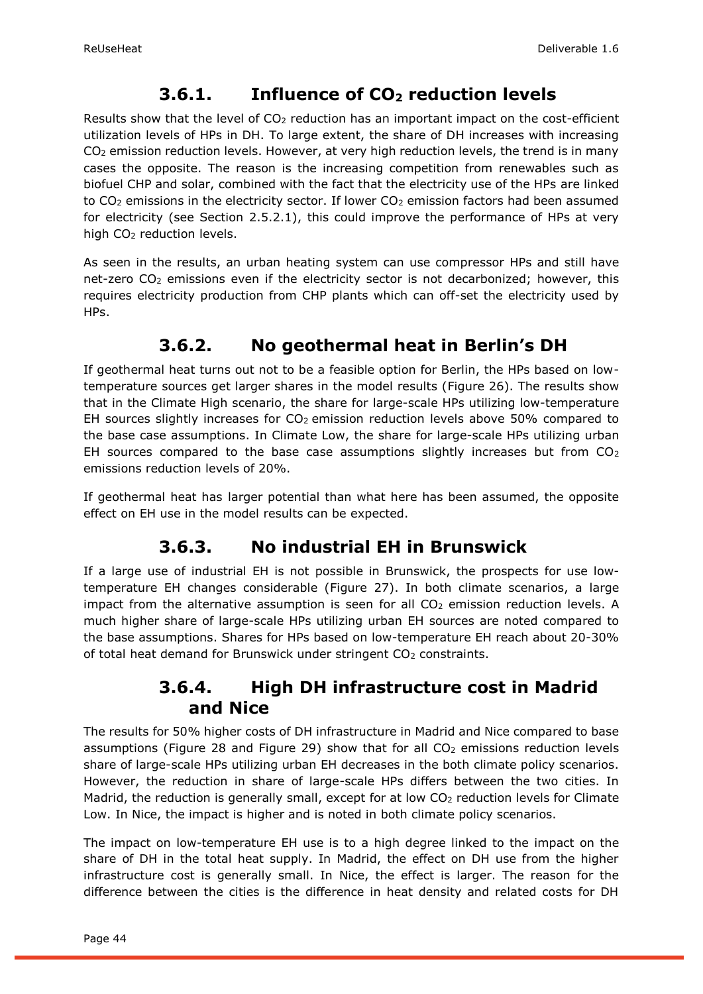### **3.6.1. Influence of CO<sup>2</sup> reduction levels**

<span id="page-43-0"></span>Results show that the level of  $CO<sub>2</sub>$  reduction has an important impact on the cost-efficient utilization levels of HPs in DH. To large extent, the share of DH increases with increasing CO<sup>2</sup> emission reduction levels. However, at very high reduction levels, the trend is in many cases the opposite. The reason is the increasing competition from renewables such as biofuel CHP and solar, combined with the fact that the electricity use of the HPs are linked to  $CO<sub>2</sub>$  emissions in the electricity sector. If lower  $CO<sub>2</sub>$  emission factors had been assumed for electricity (see Section [2.5.2.1\)](#page-23-1), this could improve the performance of HPs at very high CO<sup>2</sup> reduction levels.

As seen in the results, an urban heating system can use compressor HPs and still have net-zero CO<sub>2</sub> emissions even if the electricity sector is not decarbonized; however, this requires electricity production from CHP plants which can off-set the electricity used by HPs.

### **3.6.2. No geothermal heat in Berlin's DH**

<span id="page-43-1"></span>If geothermal heat turns out not to be a feasible option for Berlin, the HPs based on lowtemperature sources get larger shares in the model results [\(Figure 26\)](#page-41-2). The results show that in the Climate High scenario, the share for large-scale HPs utilizing low-temperature EH sources slightly increases for  $CO<sub>2</sub>$  emission reduction levels above 50% compared to the base case assumptions. In Climate Low, the share for large-scale HPs utilizing urban EH sources compared to the base case assumptions slightly increases but from  $CO<sub>2</sub>$ emissions reduction levels of 20%.

If geothermal heat has larger potential than what here has been assumed, the opposite effect on EH use in the model results can be expected.

### **3.6.3. No industrial EH in Brunswick**

<span id="page-43-2"></span>If a large use of industrial EH is not possible in Brunswick, the prospects for use lowtemperature EH changes considerable [\(Figure 27\)](#page-42-0). In both climate scenarios, a large impact from the alternative assumption is seen for all  $CO<sub>2</sub>$  emission reduction levels. A much higher share of large-scale HPs utilizing urban EH sources are noted compared to the base assumptions. Shares for HPs based on low-temperature EH reach about 20-30% of total heat demand for Brunswick under stringent CO<sub>2</sub> constraints.

#### **3.6.4. High DH infrastructure cost in Madrid and Nice**

<span id="page-43-3"></span>The results for 50% higher costs of DH infrastructure in Madrid and Nice compared to base assumptions [\(Figure 28](#page-42-1) and [Figure 29\)](#page-42-2) show that for all  $CO<sub>2</sub>$  emissions reduction levels share of large-scale HPs utilizing urban EH decreases in the both climate policy scenarios. However, the reduction in share of large-scale HPs differs between the two cities. In Madrid, the reduction is generally small, except for at low  $CO<sub>2</sub>$  reduction levels for Climate Low. In Nice, the impact is higher and is noted in both climate policy scenarios.

The impact on low-temperature EH use is to a high degree linked to the impact on the share of DH in the total heat supply. In Madrid, the effect on DH use from the higher infrastructure cost is generally small. In Nice, the effect is larger. The reason for the difference between the cities is the difference in heat density and related costs for DH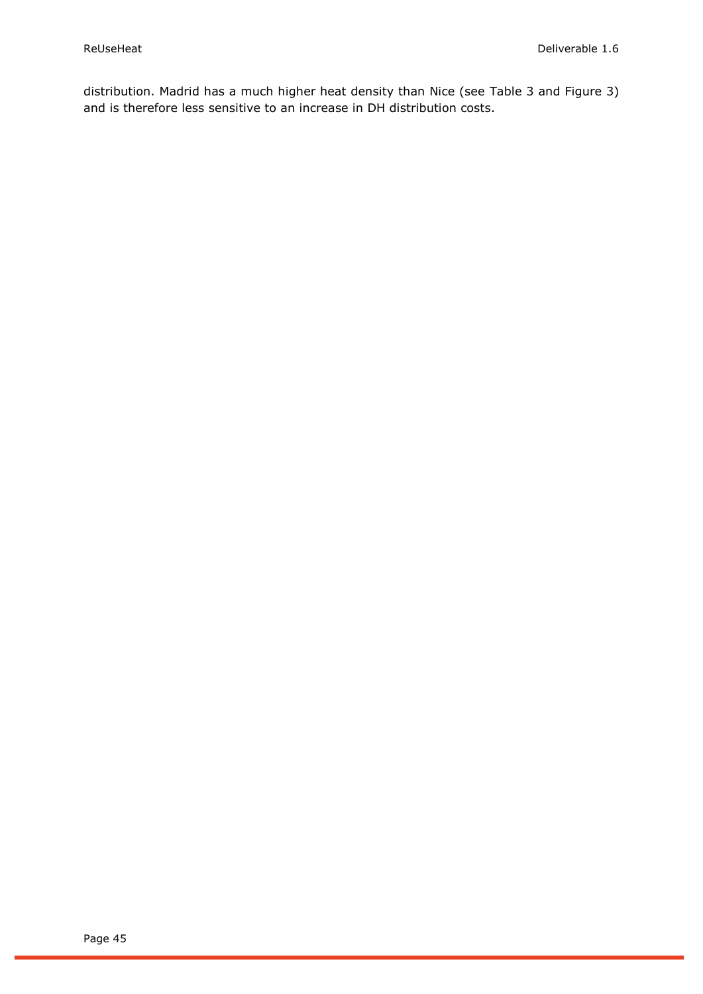distribution. Madrid has a much higher heat density than Nice (see [Table 3](#page-19-1) and [Figure 3\)](#page-19-2) and is therefore less sensitive to an increase in DH distribution costs.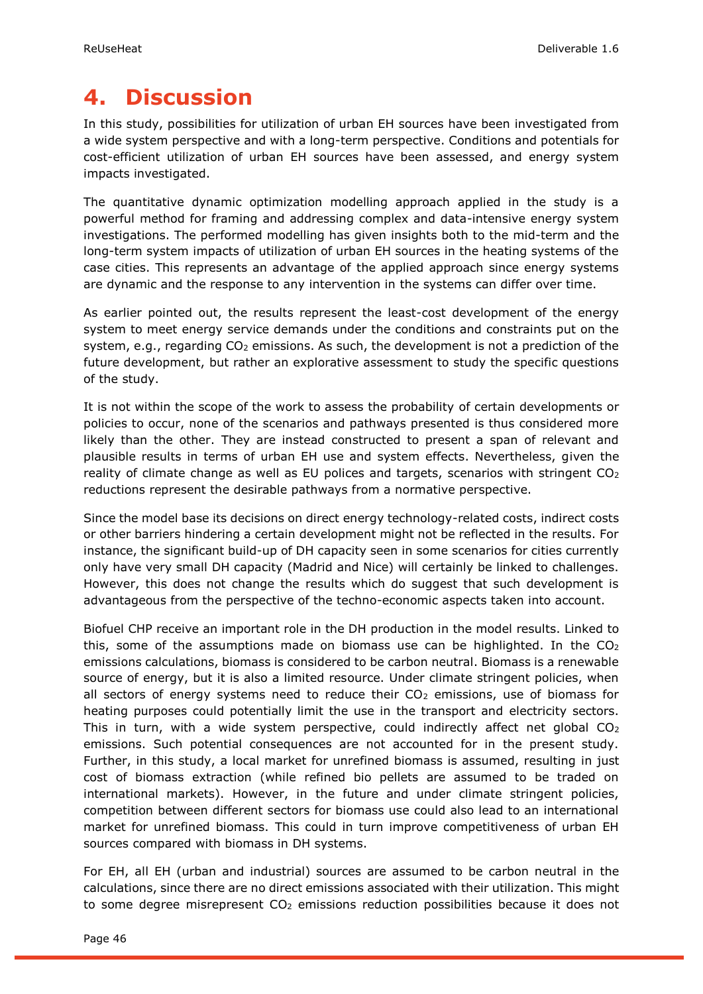## <span id="page-45-0"></span>**4. Discussion**

In this study, possibilities for utilization of urban EH sources have been investigated from a wide system perspective and with a long-term perspective. Conditions and potentials for cost-efficient utilization of urban EH sources have been assessed, and energy system impacts investigated.

The quantitative dynamic optimization modelling approach applied in the study is a powerful method for framing and addressing complex and data-intensive energy system investigations. The performed modelling has given insights both to the mid-term and the long-term system impacts of utilization of urban EH sources in the heating systems of the case cities. This represents an advantage of the applied approach since energy systems are dynamic and the response to any intervention in the systems can differ over time.

As earlier pointed out, the results represent the least-cost development of the energy system to meet energy service demands under the conditions and constraints put on the system, e.g., regarding  $CO<sub>2</sub>$  emissions. As such, the development is not a prediction of the future development, but rather an explorative assessment to study the specific questions of the study.

It is not within the scope of the work to assess the probability of certain developments or policies to occur, none of the scenarios and pathways presented is thus considered more likely than the other. They are instead constructed to present a span of relevant and plausible results in terms of urban EH use and system effects. Nevertheless, given the reality of climate change as well as EU polices and targets, scenarios with stringent  $CO<sub>2</sub>$ reductions represent the desirable pathways from a normative perspective.

Since the model base its decisions on direct energy technology-related costs, indirect costs or other barriers hindering a certain development might not be reflected in the results. For instance, the significant build-up of DH capacity seen in some scenarios for cities currently only have very small DH capacity (Madrid and Nice) will certainly be linked to challenges. However, this does not change the results which do suggest that such development is advantageous from the perspective of the techno-economic aspects taken into account.

Biofuel CHP receive an important role in the DH production in the model results. Linked to this, some of the assumptions made on biomass use can be highlighted. In the  $CO<sub>2</sub>$ emissions calculations, biomass is considered to be carbon neutral. Biomass is a renewable source of energy, but it is also a limited resource. Under climate stringent policies, when all sectors of energy systems need to reduce their  $CO<sub>2</sub>$  emissions, use of biomass for heating purposes could potentially limit the use in the transport and electricity sectors. This in turn, with a wide system perspective, could indirectly affect net global  $CO<sub>2</sub>$ emissions. Such potential consequences are not accounted for in the present study. Further, in this study, a local market for unrefined biomass is assumed, resulting in just cost of biomass extraction (while refined bio pellets are assumed to be traded on international markets). However, in the future and under climate stringent policies, competition between different sectors for biomass use could also lead to an international market for unrefined biomass. This could in turn improve competitiveness of urban EH sources compared with biomass in DH systems.

For EH, all EH (urban and industrial) sources are assumed to be carbon neutral in the calculations, since there are no direct emissions associated with their utilization. This might to some degree misrepresent CO<sub>2</sub> emissions reduction possibilities because it does not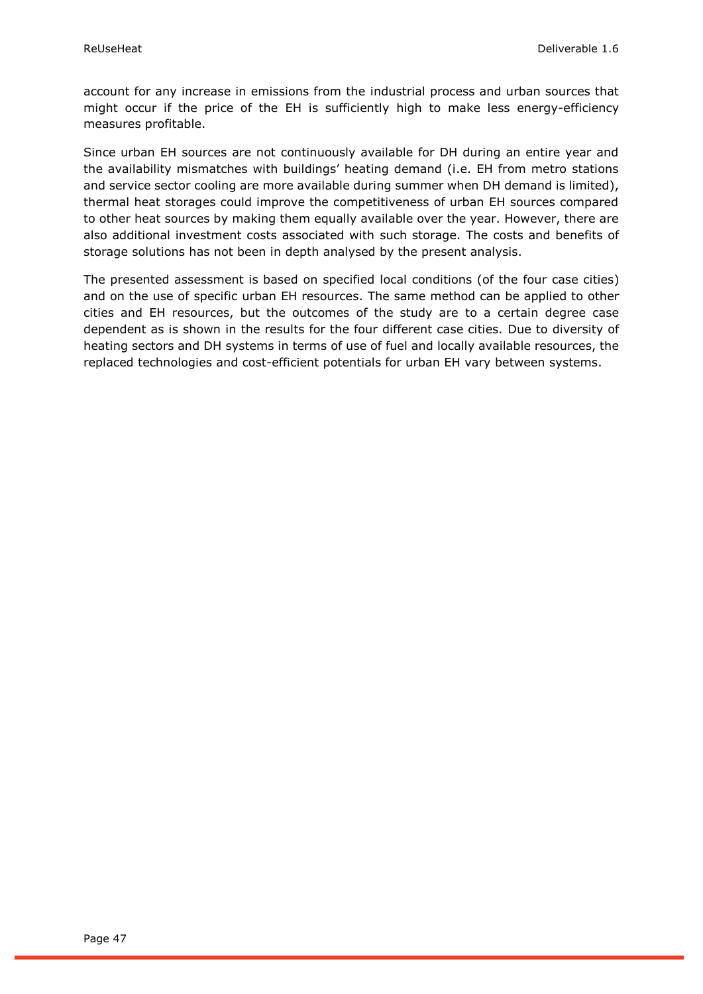account for any increase in emissions from the industrial process and urban sources that might occur if the price of the EH is sufficiently high to make less energy-efficiency measures profitable.

Since urban EH sources are not continuously available for DH during an entire year and the availability mismatches with buildings' heating demand (i.e. EH from metro stations and service sector cooling are more available during summer when DH demand is limited), thermal heat storages could improve the competitiveness of urban EH sources compared to other heat sources by making them equally available over the year. However, there are also additional investment costs associated with such storage. The costs and benefits of storage solutions has not been in depth analysed by the present analysis.

The presented assessment is based on specified local conditions (of the four case cities) and on the use of specific urban EH resources. The same method can be applied to other cities and EH resources, but the outcomes of the study are to a certain degree case dependent as is shown in the results for the four different case cities. Due to diversity of heating sectors and DH systems in terms of use of fuel and locally available resources, the replaced technologies and cost-efficient potentials for urban EH vary between systems.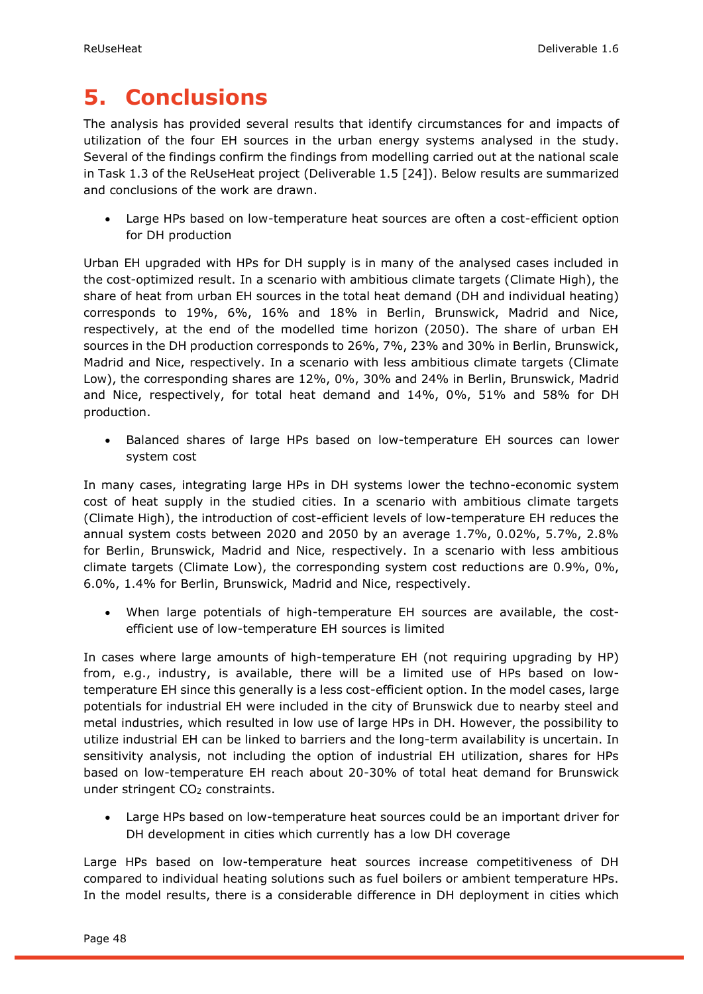## <span id="page-47-0"></span>**5. Conclusions**

The analysis has provided several results that identify circumstances for and impacts of utilization of the four EH sources in the urban energy systems analysed in the study. Several of the findings confirm the findings from modelling carried out at the national scale in Task 1.3 of the ReUseHeat project (Deliverable 1.5 [\[24\]](#page-50-23)). Below results are summarized and conclusions of the work are drawn.

• Large HPs based on low-temperature heat sources are often a cost-efficient option for DH production

Urban EH upgraded with HPs for DH supply is in many of the analysed cases included in the cost-optimized result. In a scenario with ambitious climate targets (Climate High), the share of heat from urban EH sources in the total heat demand (DH and individual heating) corresponds to 19%, 6%, 16% and 18% in Berlin, Brunswick, Madrid and Nice, respectively, at the end of the modelled time horizon (2050). The share of urban EH sources in the DH production corresponds to 26%, 7%, 23% and 30% in Berlin, Brunswick, Madrid and Nice, respectively. In a scenario with less ambitious climate targets (Climate Low), the corresponding shares are 12%, 0%, 30% and 24% in Berlin, Brunswick, Madrid and Nice, respectively, for total heat demand and 14%, 0%, 51% and 58% for DH production.

• Balanced shares of large HPs based on low-temperature EH sources can lower system cost

In many cases, integrating large HPs in DH systems lower the techno-economic system cost of heat supply in the studied cities. In a scenario with ambitious climate targets (Climate High), the introduction of cost-efficient levels of low-temperature EH reduces the annual system costs between 2020 and 2050 by an average 1.7%, 0.02%, 5.7%, 2.8% for Berlin, Brunswick, Madrid and Nice, respectively. In a scenario with less ambitious climate targets (Climate Low), the corresponding system cost reductions are 0.9%, 0%, 6.0%, 1.4% for Berlin, Brunswick, Madrid and Nice, respectively.

• When large potentials of high-temperature EH sources are available, the costefficient use of low-temperature EH sources is limited

In cases where large amounts of high-temperature EH (not requiring upgrading by HP) from, e.g., industry, is available, there will be a limited use of HPs based on lowtemperature EH since this generally is a less cost-efficient option. In the model cases, large potentials for industrial EH were included in the city of Brunswick due to nearby steel and metal industries, which resulted in low use of large HPs in DH. However, the possibility to utilize industrial EH can be linked to barriers and the long-term availability is uncertain. In sensitivity analysis, not including the option of industrial EH utilization, shares for HPs based on low-temperature EH reach about 20-30% of total heat demand for Brunswick under stringent CO<sub>2</sub> constraints.

• Large HPs based on low-temperature heat sources could be an important driver for DH development in cities which currently has a low DH coverage

Large HPs based on low-temperature heat sources increase competitiveness of DH compared to individual heating solutions such as fuel boilers or ambient temperature HPs. In the model results, there is a considerable difference in DH deployment in cities which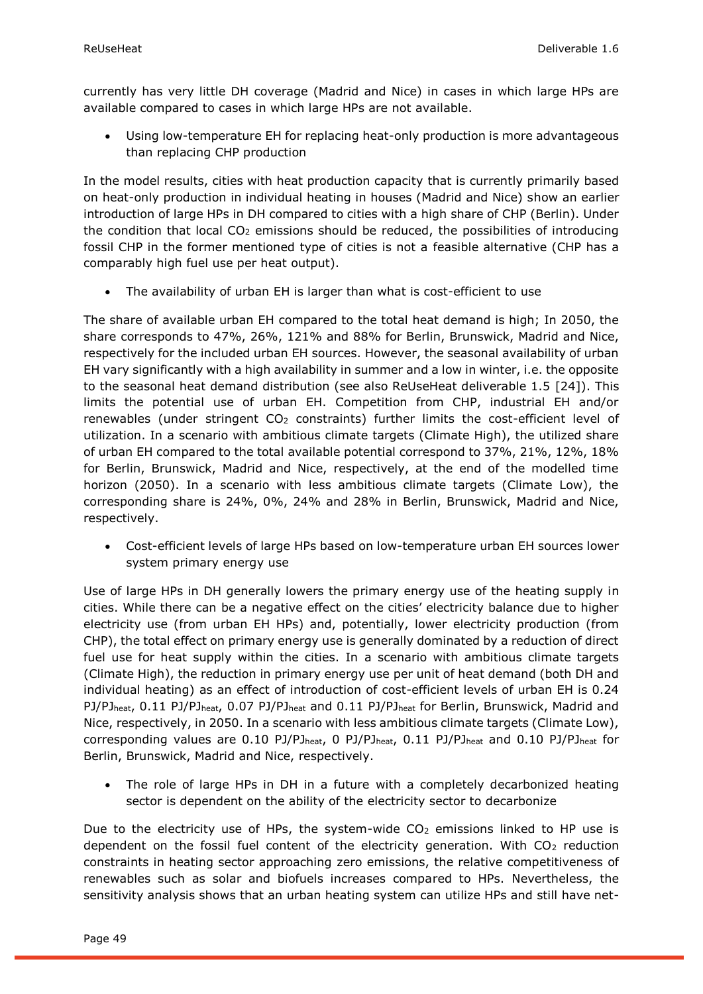currently has very little DH coverage (Madrid and Nice) in cases in which large HPs are available compared to cases in which large HPs are not available.

• Using low-temperature EH for replacing heat-only production is more advantageous than replacing CHP production

In the model results, cities with heat production capacity that is currently primarily based on heat-only production in individual heating in houses (Madrid and Nice) show an earlier introduction of large HPs in DH compared to cities with a high share of CHP (Berlin). Under the condition that local  $CO<sub>2</sub>$  emissions should be reduced, the possibilities of introducing fossil CHP in the former mentioned type of cities is not a feasible alternative (CHP has a comparably high fuel use per heat output).

• The availability of urban EH is larger than what is cost-efficient to use

The share of available urban EH compared to the total heat demand is high; In 2050, the share corresponds to 47%, 26%, 121% and 88% for Berlin, Brunswick, Madrid and Nice, respectively for the included urban EH sources. However, the seasonal availability of urban EH vary significantly with a high availability in summer and a low in winter, i.e. the opposite to the seasonal heat demand distribution (see also ReUseHeat deliverable 1.5 [\[24\]](#page-50-23)). This limits the potential use of urban EH. Competition from CHP, industrial EH and/or renewables (under stringent  $CO<sub>2</sub>$  constraints) further limits the cost-efficient level of utilization. In a scenario with ambitious climate targets (Climate High), the utilized share of urban EH compared to the total available potential correspond to 37%, 21%, 12%, 18% for Berlin, Brunswick, Madrid and Nice, respectively, at the end of the modelled time horizon (2050). In a scenario with less ambitious climate targets (Climate Low), the corresponding share is 24%, 0%, 24% and 28% in Berlin, Brunswick, Madrid and Nice, respectively.

• Cost-efficient levels of large HPs based on low-temperature urban EH sources lower system primary energy use

Use of large HPs in DH generally lowers the primary energy use of the heating supply in cities. While there can be a negative effect on the cities' electricity balance due to higher electricity use (from urban EH HPs) and, potentially, lower electricity production (from CHP), the total effect on primary energy use is generally dominated by a reduction of direct fuel use for heat supply within the cities. In a scenario with ambitious climate targets (Climate High), the reduction in primary energy use per unit of heat demand (both DH and individual heating) as an effect of introduction of cost-efficient levels of urban EH is 0.24 PJ/PJheat, 0.11 PJ/PJheat, 0.07 PJ/PJheat and 0.11 PJ/PJheat for Berlin, Brunswick, Madrid and Nice, respectively, in 2050. In a scenario with less ambitious climate targets (Climate Low), corresponding values are 0.10 PJ/PJ<sub>heat</sub>, 0 PJ/PJ<sub>heat</sub>, 0.11 PJ/PJ<sub>heat</sub> and 0.10 PJ/PJ<sub>heat</sub> for Berlin, Brunswick, Madrid and Nice, respectively.

• The role of large HPs in DH in a future with a completely decarbonized heating sector is dependent on the ability of the electricity sector to decarbonize

Due to the electricity use of HPs, the system-wide  $CO<sub>2</sub>$  emissions linked to HP use is dependent on the fossil fuel content of the electricity generation. With  $CO<sub>2</sub>$  reduction constraints in heating sector approaching zero emissions, the relative competitiveness of renewables such as solar and biofuels increases compared to HPs. Nevertheless, the sensitivity analysis shows that an urban heating system can utilize HPs and still have net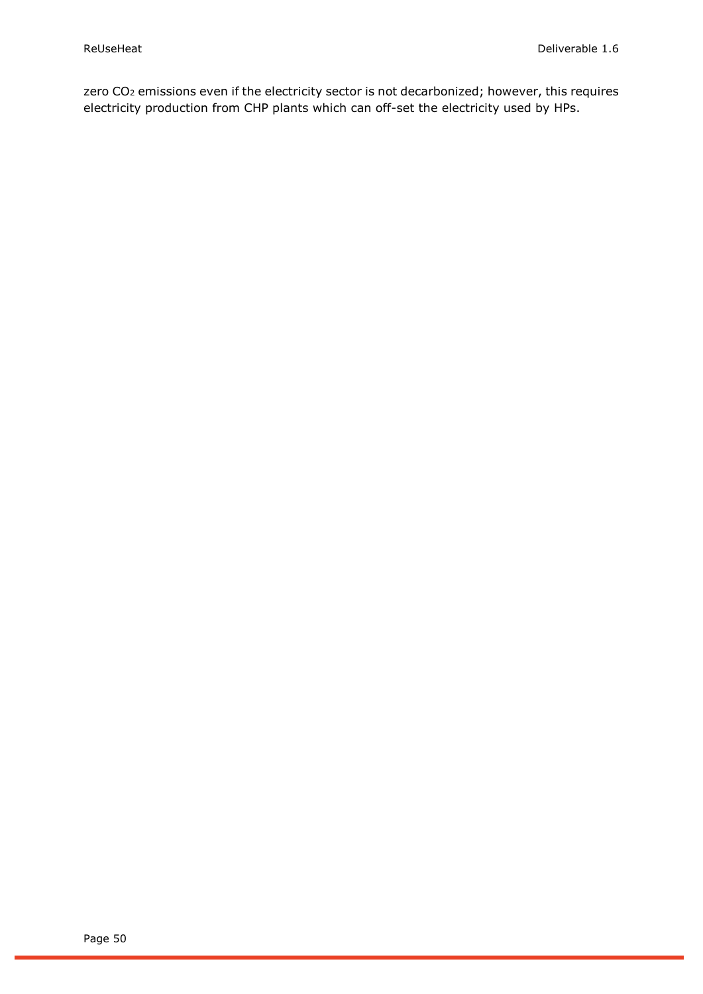zero CO<sub>2</sub> emissions even if the electricity sector is not decarbonized; however, this requires electricity production from CHP plants which can off-set the electricity used by HPs.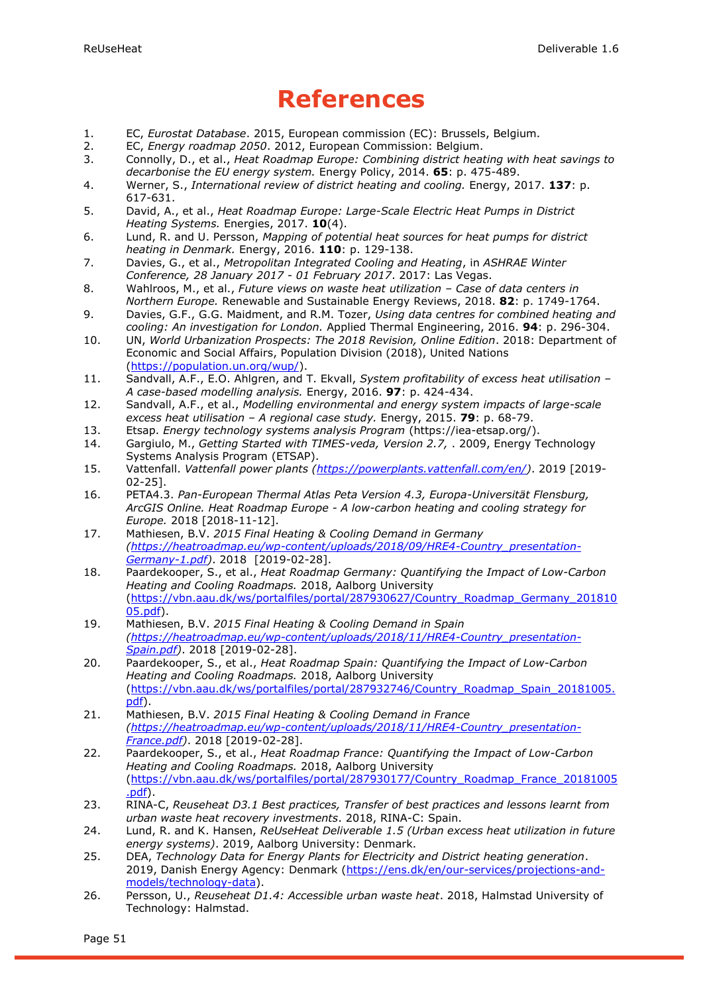## **References**

- <span id="page-50-0"></span>1. EC, *Eurostat Database*. 2015, European commission (EC): Brussels, Belgium.
- <span id="page-50-1"></span>2. EC, *Energy roadmap 2050*. 2012, European Commission: Belgium.
- <span id="page-50-2"></span>3. Connolly, D., et al., *Heat Roadmap Europe: Combining district heating with heat savings to decarbonise the EU energy system.* Energy Policy, 2014. **65**: p. 475-489.
- <span id="page-50-3"></span>4. Werner, S., *International review of district heating and cooling.* Energy, 2017. **137**: p. 617-631.
- <span id="page-50-4"></span>5. David, A., et al., *Heat Roadmap Europe: Large-Scale Electric Heat Pumps in District Heating Systems.* Energies, 2017. **10**(4).
- <span id="page-50-5"></span>6. Lund, R. and U. Persson, *Mapping of potential heat sources for heat pumps for district heating in Denmark.* Energy, 2016. **110**: p. 129-138.
- <span id="page-50-6"></span>7. Davies, G., et al., *Metropolitan Integrated Cooling and Heating*, in *ASHRAE Winter Conference, 28 January 2017 - 01 February 2017*. 2017: Las Vegas.
- <span id="page-50-7"></span>8. Wahlroos, M., et al., *Future views on waste heat utilization – Case of data centers in Northern Europe.* Renewable and Sustainable Energy Reviews, 2018. **82**: p. 1749-1764.
- <span id="page-50-8"></span>9. Davies, G.F., G.G. Maidment, and R.M. Tozer, *Using data centres for combined heating and cooling: An investigation for London.* Applied Thermal Engineering, 2016. **94**: p. 296-304.
- <span id="page-50-9"></span>10. UN, *World Urbanization Prospects: The 2018 Revision, Online Edition*. 2018: Department of Economic and Social Affairs, Population Division (2018), United Nations [\(https://population.un.org/wup/\)](https://population.un.org/wup/).
- <span id="page-50-10"></span>11. Sandvall, A.F., E.O. Ahlgren, and T. Ekvall, *System profitability of excess heat utilisation – A case-based modelling analysis.* Energy, 2016. **97**: p. 424-434.
- <span id="page-50-11"></span>12. Sandvall, A.F., et al., *Modelling environmental and energy system impacts of large-scale excess heat utilisation – A regional case study.* Energy, 2015. **79**: p. 68-79.
- <span id="page-50-12"></span>13. Etsap. *Energy technology systems analysis Program* (https://iea-etsap.org/).
- <span id="page-50-13"></span>14. Gargiulo, M., *Getting Started with TIMES-veda, Version 2.7,* . 2009, Energy Technology Systems Analysis Program (ETSAP).
- <span id="page-50-14"></span>15. Vattenfall. *Vattenfall power plants [\(https://powerplants.vattenfall.com/en/\)](https://powerplants.vattenfall.com/en/)*. 2019 [2019- 02-25].
- <span id="page-50-15"></span>16. PETA4.3. *Pan-European Thermal Atlas Peta Version 4.3, Europa-Universität Flensburg, ArcGIS Online. Heat Roadmap Europe - A low-carbon heating and cooling strategy for Europe.* 2018 [2018-11-12].
- <span id="page-50-16"></span>17. Mathiesen, B.V. *2015 Final Heating & Cooling Demand in Germany [\(https://heatroadmap.eu/wp-content/uploads/2018/09/HRE4-Country\\_presentation-](https://heatroadmap.eu/wp-content/uploads/2018/09/HRE4-Country_presentation-Germany-1.pdf)[Germany-1.pdf\)](https://heatroadmap.eu/wp-content/uploads/2018/09/HRE4-Country_presentation-Germany-1.pdf)*. 2018 [2019-02-28].
- <span id="page-50-17"></span>18. Paardekooper, S., et al., *Heat Roadmap Germany: Quantifying the Impact of Low-Carbon Heating and Cooling Roadmaps.* 2018, Aalborg University [\(https://vbn.aau.dk/ws/portalfiles/portal/287930627/Country\\_Roadmap\\_Germany\\_201810](https://vbn.aau.dk/ws/portalfiles/portal/287930627/Country_Roadmap_Germany_20181005.pdf) [05.pdf\)](https://vbn.aau.dk/ws/portalfiles/portal/287930627/Country_Roadmap_Germany_20181005.pdf).
- <span id="page-50-18"></span>19. Mathiesen, B.V. *2015 Final Heating & Cooling Demand in Spain [\(https://heatroadmap.eu/wp-content/uploads/2018/11/HRE4-Country\\_presentation-](https://heatroadmap.eu/wp-content/uploads/2018/11/HRE4-Country_presentation-Spain.pdf)[Spain.pdf\)](https://heatroadmap.eu/wp-content/uploads/2018/11/HRE4-Country_presentation-Spain.pdf)*. 2018 [2019-02-28].
- <span id="page-50-19"></span>20. Paardekooper, S., et al., *Heat Roadmap Spain: Quantifying the Impact of Low-Carbon Heating and Cooling Roadmaps.* 2018, Aalborg University [\(https://vbn.aau.dk/ws/portalfiles/portal/287932746/Country\\_Roadmap\\_Spain\\_20181005.](https://vbn.aau.dk/ws/portalfiles/portal/287932746/Country_Roadmap_Spain_20181005.pdf) [pdf\)](https://vbn.aau.dk/ws/portalfiles/portal/287932746/Country_Roadmap_Spain_20181005.pdf).
- <span id="page-50-20"></span>21. Mathiesen, B.V. *2015 Final Heating & Cooling Demand in France [\(https://heatroadmap.eu/wp-content/uploads/2018/11/HRE4-Country\\_presentation-](https://heatroadmap.eu/wp-content/uploads/2018/11/HRE4-Country_presentation-France.pdf)[France.pdf\)](https://heatroadmap.eu/wp-content/uploads/2018/11/HRE4-Country_presentation-France.pdf)*. 2018 [2019-02-28].
- <span id="page-50-21"></span>22. Paardekooper, S., et al., *Heat Roadmap France: Quantifying the Impact of Low-Carbon Heating and Cooling Roadmaps.* 2018, Aalborg University [\(https://vbn.aau.dk/ws/portalfiles/portal/287930177/Country\\_Roadmap\\_France\\_20181005](https://vbn.aau.dk/ws/portalfiles/portal/287930177/Country_Roadmap_France_20181005.pdf) [.pdf\)](https://vbn.aau.dk/ws/portalfiles/portal/287930177/Country_Roadmap_France_20181005.pdf).
- <span id="page-50-22"></span>23. RINA-C, *Reuseheat D3.1 Best practices, Transfer of best practices and lessons learnt from urban waste heat recovery investments*. 2018, RINA-C: Spain.
- <span id="page-50-23"></span>24. Lund, R. and K. Hansen, *ReUseHeat Deliverable 1.5 (Urban excess heat utilization in future energy systems)*. 2019, Aalborg University: Denmark.
- <span id="page-50-24"></span>25. DEA, *Technology Data for Energy Plants for Electricity and District heating generation*. 2019, Danish Energy Agency: Denmark [\(https://ens.dk/en/our-services/projections-and](https://ens.dk/en/our-services/projections-and-models/technology-data)[models/technology-data\)](https://ens.dk/en/our-services/projections-and-models/technology-data).
- <span id="page-50-25"></span>26. Persson, U., *Reuseheat D1.4: Accessible urban waste heat*. 2018, Halmstad University of Technology: Halmstad.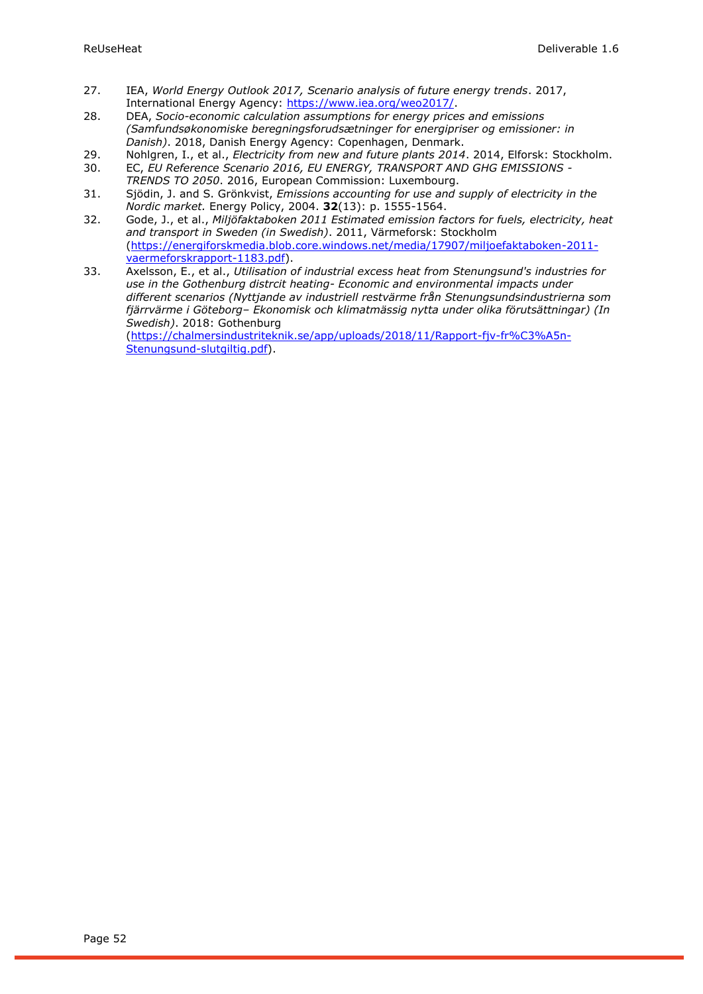- <span id="page-51-0"></span>27. IEA, *World Energy Outlook 2017, Scenario analysis of future energy trends*. 2017, International Energy Agency: [https://www.iea.org/weo2017/.](https://www.iea.org/weo2017/)
- <span id="page-51-1"></span>28. DEA, *Socio-economic calculation assumptions for energy prices and emissions (Samfundsøkonomiske beregningsforudsætninger for energipriser og emissioner: in Danish)*. 2018, Danish Energy Agency: Copenhagen, Denmark.
- <span id="page-51-3"></span>29. Nohlgren, I., et al., *Electricity from new and future plants 2014*. 2014, Elforsk: Stockholm.
- <span id="page-51-2"></span>30. EC, *EU Reference Scenario 2016, EU ENERGY, TRANSPORT AND GHG EMISSIONS - TRENDS TO 2050*. 2016, European Commission: Luxembourg.
- <span id="page-51-5"></span>31. Sjödin, J. and S. Grönkvist, *Emissions accounting for use and supply of electricity in the Nordic market.* Energy Policy, 2004. **32**(13): p. 1555-1564.
- <span id="page-51-4"></span>32. Gode, J., et al., *Miljöfaktaboken 2011 Estimated emission factors for fuels, electricity, heat and transport in Sweden (in Swedish)*. 2011, Värmeforsk: Stockholm [\(https://energiforskmedia.blob.core.windows.net/media/17907/miljoefaktaboken-2011](https://energiforskmedia.blob.core.windows.net/media/17907/miljoefaktaboken-2011-vaermeforskrapport-1183.pdf) [vaermeforskrapport-1183.pdf\)](https://energiforskmedia.blob.core.windows.net/media/17907/miljoefaktaboken-2011-vaermeforskrapport-1183.pdf).
- <span id="page-51-6"></span>33. Axelsson, E., et al., *Utilisation of industrial excess heat from Stenungsund's industries for use in the Gothenburg distrcit heating- Economic and environmental impacts under different scenarios (Nyttjande av industriell restvärme från Stenungsundsindustrierna som fjärrvärme i Göteborg– Ekonomisk och klimatmässig nytta under olika förutsättningar) (In Swedish)*. 2018: Gothenburg

[\(https://chalmersindustriteknik.se/app/uploads/2018/11/Rapport-fjv-fr%C3%A5n-](https://chalmersindustriteknik.se/app/uploads/2018/11/Rapport-fjv-fr%C3%A5n-Stenungsund-slutgiltig.pdf)[Stenungsund-slutgiltig.pdf\)](https://chalmersindustriteknik.se/app/uploads/2018/11/Rapport-fjv-fr%C3%A5n-Stenungsund-slutgiltig.pdf).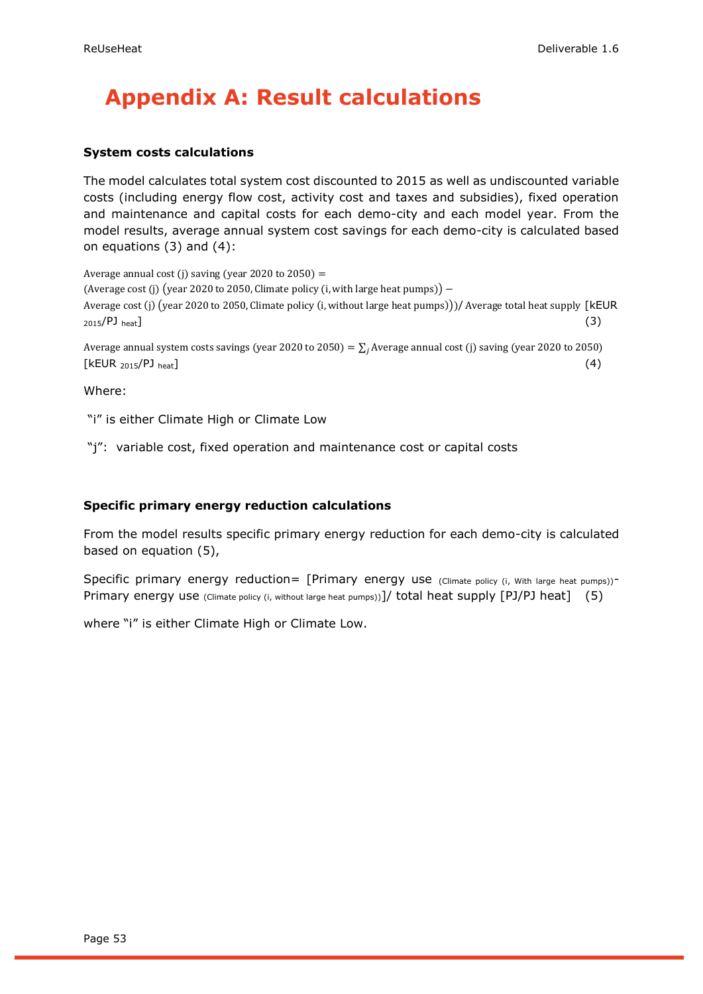## <span id="page-52-0"></span>**Appendix A: Result calculations**

#### **System costs calculations**

The model calculates total system cost discounted to 2015 as well as undiscounted variable costs (including energy flow cost, activity cost and taxes and subsidies), fixed operation and maintenance and capital costs for each demo-city and each model year. From the model results, average annual system cost savings for each demo-city is calculated based on equations (3) and (4):

Average annual cost (j) saving (year 2020 to  $2050$ ) = (Average cost (j) (year 2020 to 2050, Climate policy (i, with large heat pumps)) − Average cost (j) (year 2020 to 2050, Climate policy (i, without large heat pumps)))/ Average total heat supply [kEUR  $_{2015}$ /PJ  $_{\text{heat}}$ ] (3)

Average annual system costs savings (year 2020 to 2050) =  $\sum_i$  Average annual cost (j) saving (year 2020 to 2050)  $[KEUR_{2015}/PJ_{heat}]$  (4)

Where:

"i" is either Climate High or Climate Low

"j": variable cost, fixed operation and maintenance cost or capital costs

#### **Specific primary energy reduction calculations**

From the model results specific primary energy reduction for each demo-city is calculated based on equation (5),

Specific primary energy reduction= [Primary energy use (Climate policy (i, With large heat pumps))-Primary energy use (Climate policy (i, without large heat pumps))]/ total heat supply [PJ/PJ heat] (5)

where "i" is either Climate High or Climate Low.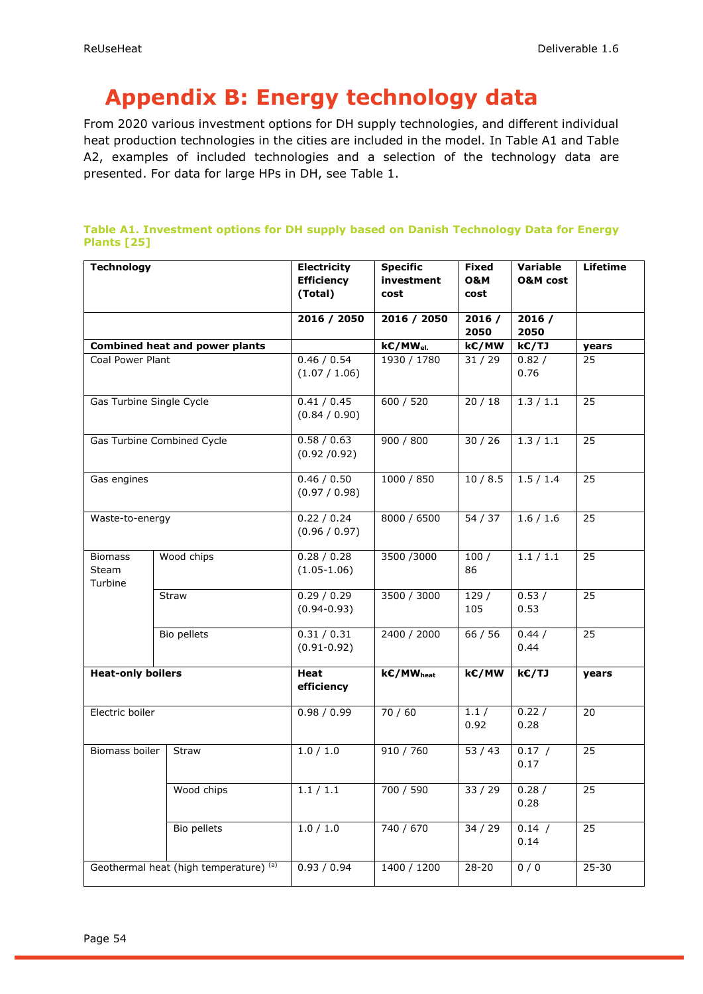## <span id="page-53-0"></span>**Appendix B: Energy technology data**

From 2020 various investment options for DH supply technologies, and different individual heat production technologies in the cities are included in the model. In Table A1 and Table A2, examples of included technologies and a selection of the technology data are presented. For data for large HPs in DH, see [Table 1.](#page-17-0)

#### **Table A1. Investment options for DH supply based on Danish Technology Data for Energy Plants [\[25\]](#page-50-24)**

| <b>Technology</b>                      |                                       | <b>Electricity</b><br><b>Efficiency</b><br>(Total) | <b>Specific</b><br>investment<br>cost | <b>Fixed</b><br><b>O&amp;M</b><br>cost | Variable<br><b>O&amp;M</b> cost | <b>Lifetime</b> |
|----------------------------------------|---------------------------------------|----------------------------------------------------|---------------------------------------|----------------------------------------|---------------------------------|-----------------|
|                                        |                                       | 2016 / 2050                                        | 2016 / 2050                           | 2016/<br>2050                          | 2016/<br>2050                   |                 |
|                                        | <b>Combined heat and power plants</b> |                                                    | kC/MWel.                              | kE/MW                                  | kC/TJ                           | years           |
| Coal Power Plant                       |                                       | 0.46 / 0.54<br>(1.07 / 1.06)                       | 1930 / 1780                           | 31/29                                  | 0.82/<br>0.76                   | 25              |
| Gas Turbine Single Cycle               |                                       | 0.41 / 0.45<br>(0.84 / 0.90)                       | 600 / 520                             | 20/18                                  | 1.3 / 1.1                       | 25              |
| Gas Turbine Combined Cycle             |                                       | 0.58 / 0.63<br>(0.92 / 0.92)                       | 900 / 800                             | 30/26                                  | 1.3 / 1.1                       | $\overline{25}$ |
| Gas engines                            |                                       | 0.46 / 0.50<br>(0.97 / 0.98)                       | 1000 / 850                            | 10/8.5                                 | 1.5 / 1.4                       | 25              |
| Waste-to-energy                        |                                       | 0.22 / 0.24<br>(0.96 / 0.97)                       | 8000 / 6500                           | 54/37                                  | 1.6 / 1.6                       | 25              |
| <b>Biomass</b><br>Steam<br>Turbine     | Wood chips                            | 0.28 / 0.28<br>$(1.05-1.06)$                       | 3500 / 3000                           | 100/<br>86                             | 1.1 / 1.1                       | 25              |
|                                        | Straw                                 | 0.29 / 0.29<br>$(0.94 - 0.93)$                     | 3500 / 3000                           | 129/<br>105                            | 0.53/<br>0.53                   | 25              |
|                                        | Bio pellets                           | 0.31 / 0.31<br>$(0.91 - 0.92)$                     | 2400 / 2000                           | 66 / 56                                | 0.44/<br>0.44                   | 25              |
| <b>Heat-only boilers</b>               |                                       | <b>Heat</b><br>efficiency                          | kC/MW <sub>heat</sub>                 | kE/MW                                  | kE/TJ                           | years           |
| Electric boiler                        |                                       | 0.98 / 0.99                                        | 70/60                                 | 1.1/<br>0.92                           | 0.22/<br>0.28                   | 20              |
| Biomass boiler                         | Straw                                 | 1.0 / 1.0                                          | 910 / 760                             | 53/43                                  | 0.17 /<br>0.17                  | 25              |
|                                        | Wood chips                            | 1.1 / 1.1                                          | 700 / 590                             | 33 / 29                                | 0.28/<br>0.28                   | 25              |
|                                        | <b>Bio pellets</b>                    | 1.0 / 1.0                                          | 740 / 670                             | 34 / 29                                | 0.14 /<br>0.14                  | $\overline{25}$ |
| Geothermal heat (high temperature) (a) |                                       | 0.93 / 0.94                                        | 1400 / 1200                           | $28 - 20$                              | 0/0                             | $25 - 30$       |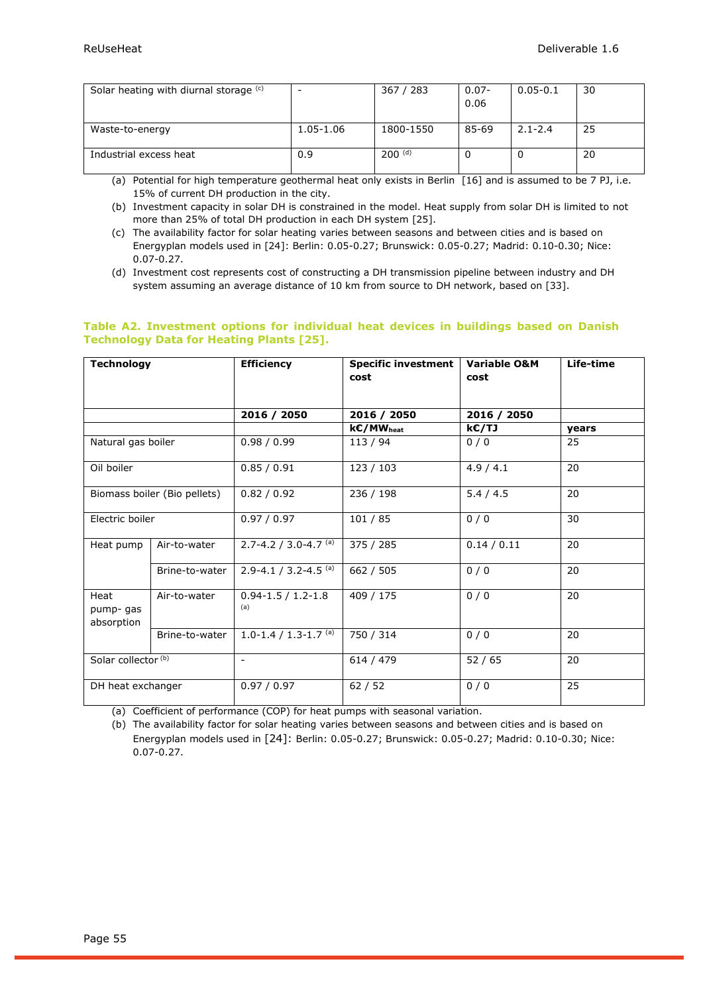| Solar heating with diurnal storage (c) |           | 367 / 283   | $0.07 -$<br>0.06 | $0.05 - 0.1$ | 30 |
|----------------------------------------|-----------|-------------|------------------|--------------|----|
| Waste-to-energy                        | 1.05-1.06 | 1800-1550   | 85-69            | $2.1 - 2.4$  | 25 |
| Industrial excess heat                 | 0.9       | $200^{(d)}$ |                  |              | 20 |

(a) Potential for high temperature geothermal heat only exists in Berlin [\[16\]](#page-50-15) and is assumed to be 7 PJ, i.e. 15% of current DH production in the city.

(b) Investment capacity in solar DH is constrained in the model. Heat supply from solar DH is limited to not more than 25% of total DH production in each DH system [\[25\]](#page-50-24).

(c) The availability factor for solar heating varies between seasons and between cities and is based on Energyplan models used in [\[24\]](#page-50-23): Berlin: 0.05-0.27; Brunswick: 0.05-0.27; Madrid: 0.10-0.30; Nice: 0.07-0.27.

(d) Investment cost represents cost of constructing a DH transmission pipeline between industry and DH system assuming an average distance of 10 km from source to DH network, based on [\[33\]](#page-51-6).

#### **Table A2. Investment options for individual heat devices in buildings based on Danish Technology Data for Heating Plants [\[25\]](#page-50-24).**

| <b>Technology</b>              |                | <b>Efficiency</b>                      | <b>Specific investment</b><br>cost | <b>Variable O&amp;M</b><br>cost | Life-time |
|--------------------------------|----------------|----------------------------------------|------------------------------------|---------------------------------|-----------|
|                                |                |                                        |                                    |                                 |           |
|                                |                | 2016 / 2050                            | 2016 / 2050                        | 2016 / 2050                     |           |
|                                |                |                                        | k€/MW <sub>heat</sub>              | k€/TJ                           | years     |
| Natural gas boiler             |                | 0.98 / 0.99                            | 113/94                             | 0/0                             | 25        |
| Oil boiler                     |                | 0.85 / 0.91                            | 123/103                            | 4.9 / 4.1                       | 20        |
| Biomass boiler (Bio pellets)   |                | 0.82 / 0.92                            | 236 / 198                          | 5.4 / 4.5                       | 20        |
| Electric boiler                |                | 0.97 / 0.97                            | 101 / 85                           | 0/0                             | 30        |
| Heat pump                      | Air-to-water   | $2.7 - 4.2 / 3.0 - 4.7$ <sup>(a)</sup> | 375 / 285                          | 0.14 / 0.11                     | 20        |
|                                | Brine-to-water | 2.9-4.1 / 3.2-4.5 (a)                  | 662 / 505                          | 0/0                             | 20        |
| Heat<br>pump-qas<br>absorption | Air-to-water   | $0.94 - 1.5 / 1.2 - 1.8$<br>(a)        | 409 / 175                          | 0/0                             | 20        |
|                                | Brine-to-water | $1.0 - 1.4 / 1.3 - 1.7$ <sup>(a)</sup> | 750 / 314                          | 0/0                             | 20        |
| Solar collector <sup>(b)</sup> |                | $\blacksquare$                         | 614 / 479                          | 52/65                           | 20        |
| DH heat exchanger              |                | 0.97 / 0.97                            | 62/52                              | 0/0                             | 25        |

(a) Coefficient of performance (COP) for heat pumps with seasonal variation.

(b) The availability factor for solar heating varies between seasons and between cities and is based on Energyplan models used in [\[24\]](#page-50-23): Berlin: 0.05-0.27; Brunswick: 0.05-0.27; Madrid: 0.10-0.30; Nice: 0.07-0.27.